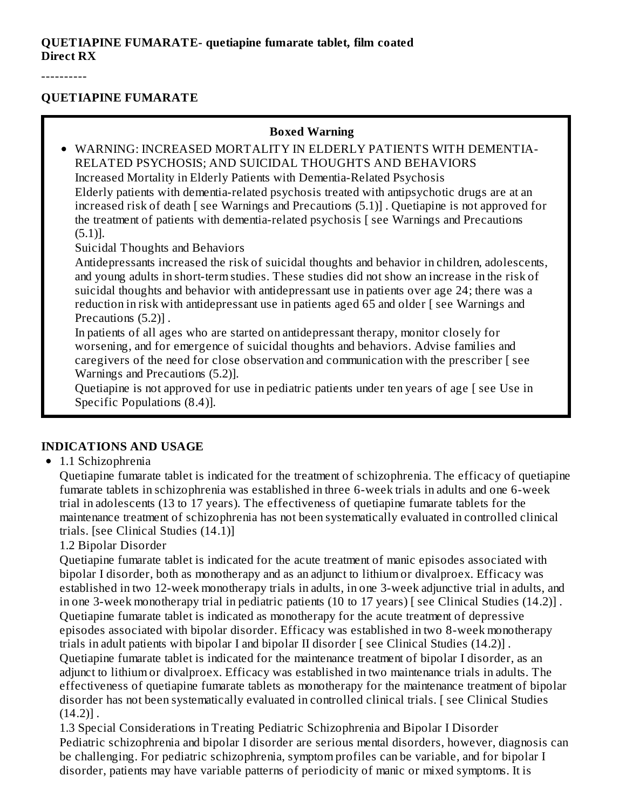----------

#### **QUETIAPINE FUMARATE**

#### **Boxed Warning**

WARNING: INCREASED MORTALITY IN ELDERLY PATIENTS WITH DEMENTIA-RELATED PSYCHOSIS; AND SUICIDAL THOUGHTS AND BEHAVIORS Increased Mortality in Elderly Patients with Dementia-Related Psychosis Elderly patients with dementia-related psychosis treated with antipsychotic drugs are at an increased risk of death [ see Warnings and Precautions (5.1)] . Quetiapine is not approved for the treatment of patients with dementia-related psychosis [ see Warnings and Precautions  $(5.1)$ ].

#### Suicidal Thoughts and Behaviors

Antidepressants increased the risk of suicidal thoughts and behavior in children, adolescents, and young adults in short-term studies. These studies did not show an increase in the risk of suicidal thoughts and behavior with antidepressant use in patients over age 24; there was a reduction in risk with antidepressant use in patients aged 65 and older [ see Warnings and Precautions (5.2)] .

In patients of all ages who are started on antidepressant therapy, monitor closely for worsening, and for emergence of suicidal thoughts and behaviors. Advise families and caregivers of the need for close observation and communication with the prescriber [ see Warnings and Precautions (5.2)].

Quetiapine is not approved for use in pediatric patients under ten years of age [ see Use in Specific Populations (8.4)].

#### **INDICATIONS AND USAGE**

#### • 1.1 Schizophrenia

Quetiapine fumarate tablet is indicated for the treatment of schizophrenia. The efficacy of quetiapine fumarate tablets in schizophrenia was established in three 6-week trials in adults and one 6-week trial in adolescents (13 to 17 years). The effectiveness of quetiapine fumarate tablets for the maintenance treatment of schizophrenia has not been systematically evaluated in controlled clinical trials. [see Clinical Studies (14.1)]

#### 1.2 Bipolar Disorder

Quetiapine fumarate tablet is indicated for the acute treatment of manic episodes associated with bipolar I disorder, both as monotherapy and as an adjunct to lithium or divalproex. Efficacy was established in two 12-week monotherapy trials in adults, in one 3-week adjunctive trial in adults, and in one 3-week monotherapy trial in pediatric patients (10 to 17 years) [ see Clinical Studies (14.2)] . Quetiapine fumarate tablet is indicated as monotherapy for the acute treatment of depressive episodes associated with bipolar disorder. Efficacy was established in two 8-week monotherapy trials in adult patients with bipolar I and bipolar II disorder [ see Clinical Studies (14.2)] . Quetiapine fumarate tablet is indicated for the maintenance treatment of bipolar I disorder, as an adjunct to lithium or divalproex. Efficacy was established in two maintenance trials in adults. The effectiveness of quetiapine fumarate tablets as monotherapy for the maintenance treatment of bipolar disorder has not been systematically evaluated in controlled clinical trials. [ see Clinical Studies  $(14.2)$ ].

1.3 Special Considerations in Treating Pediatric Schizophrenia and Bipolar I Disorder Pediatric schizophrenia and bipolar I disorder are serious mental disorders, however, diagnosis can be challenging. For pediatric schizophrenia, symptom profiles can be variable, and for bipolar I disorder, patients may have variable patterns of periodicity of manic or mixed symptoms. It is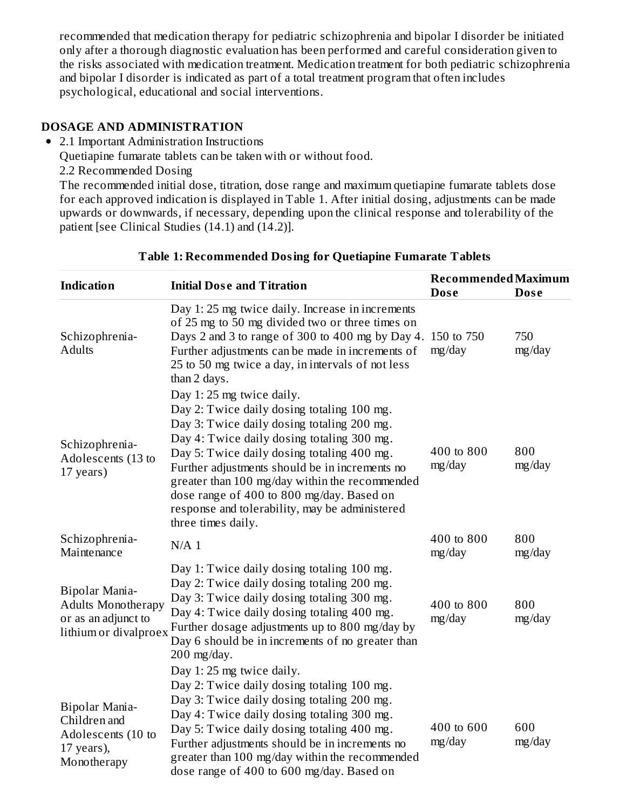recommended that medication therapy for pediatric schizophrenia and bipolar I disorder be initiated only after a thorough diagnostic evaluation has been performed and careful consideration given to the risks associated with medication treatment. Medication treatment for both pediatric schizophrenia and bipolar I disorder is indicated as part of a total treatment program that often includes psychological, educational and social interventions.

#### **DOSAGE AND ADMINISTRATION**

• 2.1 Important Administration Instructions

Quetiapine fumarate tablets can be taken with or without food.

2.2 Recommended Dosing

The recommended initial dose, titration, dose range and maximum quetiapine fumarate tablets dose for each approved indication is displayed in Table 1. After initial dosing, adjustments can be made upwards or downwards, if necessary, depending upon the clinical response and tolerability of the patient [see Clinical Studies (14.1) and (14.2)].

| <b>Indication</b>                                                                           | <b>Initial Dose and Titration</b>                                                                                                                                                                                                                                                                                                                                                                                                         | Recommended Maximum<br><b>Dose</b> | <b>Dose</b>   |  |
|---------------------------------------------------------------------------------------------|-------------------------------------------------------------------------------------------------------------------------------------------------------------------------------------------------------------------------------------------------------------------------------------------------------------------------------------------------------------------------------------------------------------------------------------------|------------------------------------|---------------|--|
| Schizophrenia-<br><b>Adults</b>                                                             | Day 1:25 mg twice daily. Increase in increments<br>of 25 mg to 50 mg divided two or three times on<br>Days 2 and 3 to range of 300 to 400 mg by Day 4. 150 to 750<br>Further adjustments can be made in increments of<br>25 to 50 mg twice a day, in intervals of not less<br>than 2 days.                                                                                                                                                | mg/day                             | 750<br>mg/day |  |
| Schizophrenia-<br>Adolescents (13 to<br>17 years)                                           | Day 1:25 mg twice daily.<br>Day 2: Twice daily dosing totaling 100 mg.<br>Day 3: Twice daily dosing totaling 200 mg.<br>Day 4: Twice daily dosing totaling 300 mg.<br>Day 5: Twice daily dosing totaling 400 mg.<br>Further adjustments should be in increments no<br>greater than 100 mg/day within the recommended<br>dose range of 400 to 800 mg/day. Based on<br>response and tolerability, may be administered<br>three times daily. | 400 to 800<br>mg/day               | 800<br>mg/day |  |
| Schizophrenia-<br>Maintenance                                                               | $N/A$ 1                                                                                                                                                                                                                                                                                                                                                                                                                                   | 400 to 800<br>mg/day               | 800<br>mg/day |  |
| Bipolar Mania-<br><b>Adults Monotherapy</b><br>or as an adjunct to<br>lithium or divalproex | Day 1: Twice daily dosing totaling 100 mg.<br>Day 2: Twice daily dosing totaling 200 mg.<br>Day 3: Twice daily dosing totaling 300 mg.<br>Day 4: Twice daily dosing totaling 400 mg.<br>Further dosage adjustments up to 800 mg/day by<br>Day 6 should be in increments of no greater than<br>$200$ mg/day.                                                                                                                               | 400 to 800<br>mg/day               | 800<br>mg/day |  |
| Bipolar Mania-<br>Children and<br>Adolescents (10 to<br>17 years),<br>Monotherapy           | Day 1:25 mg twice daily.<br>Day 2: Twice daily dosing totaling 100 mg.<br>Day 3: Twice daily dosing totaling 200 mg.<br>Day 4: Twice daily dosing totaling 300 mg.<br>Day 5: Twice daily dosing totaling 400 mg.<br>Further adjustments should be in increments no<br>greater than 100 mg/day within the recommended<br>dose range of 400 to 600 mg/day. Based on                                                                         | 400 to 600<br>mg/day               | 600<br>mg/day |  |

#### **Table 1: Recommended Dosing for Quetiapine Fumarate Tablets**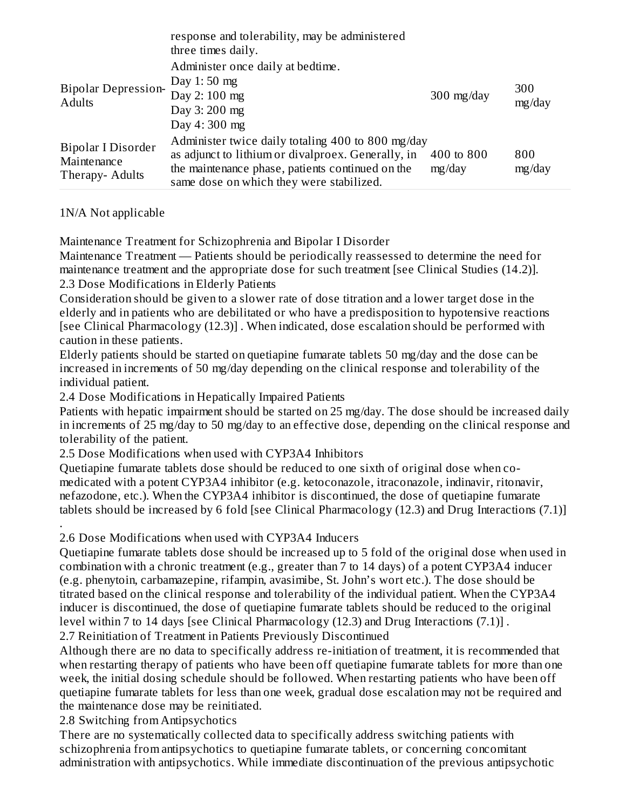|                                      | response and tolerability, may be administered<br>three times daily. |                      |        |
|--------------------------------------|----------------------------------------------------------------------|----------------------|--------|
|                                      | Administer once daily at bedtime.                                    |                      |        |
|                                      | Day 1:50 mg                                                          |                      | 300    |
| <b>Bipolar Depression-</b><br>Adults | Day 2: 100 mg                                                        | $300 \text{ mg/day}$ | mg/day |
|                                      | Day 3:200 mg                                                         |                      |        |
|                                      | Day 4:300 mg                                                         |                      |        |
| Bipolar I Disorder                   | Administer twice daily totaling 400 to 800 mg/day                    |                      |        |
| Maintenance                          | as adjunct to lithium or divalproex. Generally, in                   | 400 to 800           | 800    |
| Therapy-Adults                       | the maintenance phase, patients continued on the                     | mg/day               | mg/day |
|                                      | same dose on which they were stabilized.                             |                      |        |

### 1N/A Not applicable

.

Maintenance Treatment for Schizophrenia and Bipolar I Disorder

Maintenance Treatment — Patients should be periodically reassessed to determine the need for maintenance treatment and the appropriate dose for such treatment [see Clinical Studies (14.2)]. 2.3 Dose Modifications in Elderly Patients

Consideration should be given to a slower rate of dose titration and a lower target dose in the elderly and in patients who are debilitated or who have a predisposition to hypotensive reactions [see Clinical Pharmacology (12.3)]. When indicated, dose escalation should be performed with caution in these patients.

Elderly patients should be started on quetiapine fumarate tablets 50 mg/day and the dose can be increased in increments of 50 mg/day depending on the clinical response and tolerability of the individual patient.

2.4 Dose Modifications in Hepatically Impaired Patients

Patients with hepatic impairment should be started on 25 mg/day. The dose should be increased daily in increments of 25 mg/day to 50 mg/day to an effective dose, depending on the clinical response and tolerability of the patient.

2.5 Dose Modifications when used with CYP3A4 Inhibitors

Quetiapine fumarate tablets dose should be reduced to one sixth of original dose when comedicated with a potent CYP3A4 inhibitor (e.g. ketoconazole, itraconazole, indinavir, ritonavir, nefazodone, etc.). When the CYP3A4 inhibitor is discontinued, the dose of quetiapine fumarate tablets should be increased by 6 fold [see Clinical Pharmacology (12.3) and Drug Interactions (7.1)]

2.6 Dose Modifications when used with CYP3A4 Inducers

Quetiapine fumarate tablets dose should be increased up to 5 fold of the original dose when used in combination with a chronic treatment (e.g., greater than 7 to 14 days) of a potent CYP3A4 inducer (e.g. phenytoin, carbamazepine, rifampin, avasimibe, St. John's wort etc.). The dose should be titrated based on the clinical response and tolerability of the individual patient. When the CYP3A4 inducer is discontinued, the dose of quetiapine fumarate tablets should be reduced to the original level within 7 to 14 days [see Clinical Pharmacology (12.3) and Drug Interactions (7.1)] . 2.7 Reinitiation of Treatment in Patients Previously Discontinued

Although there are no data to specifically address re-initiation of treatment, it is recommended that when restarting therapy of patients who have been off quetiapine fumarate tablets for more than one week, the initial dosing schedule should be followed. When restarting patients who have been off quetiapine fumarate tablets for less than one week, gradual dose escalation may not be required and the maintenance dose may be reinitiated.

2.8 Switching from Antipsychotics

There are no systematically collected data to specifically address switching patients with schizophrenia from antipsychotics to quetiapine fumarate tablets, or concerning concomitant administration with antipsychotics. While immediate discontinuation of the previous antipsychotic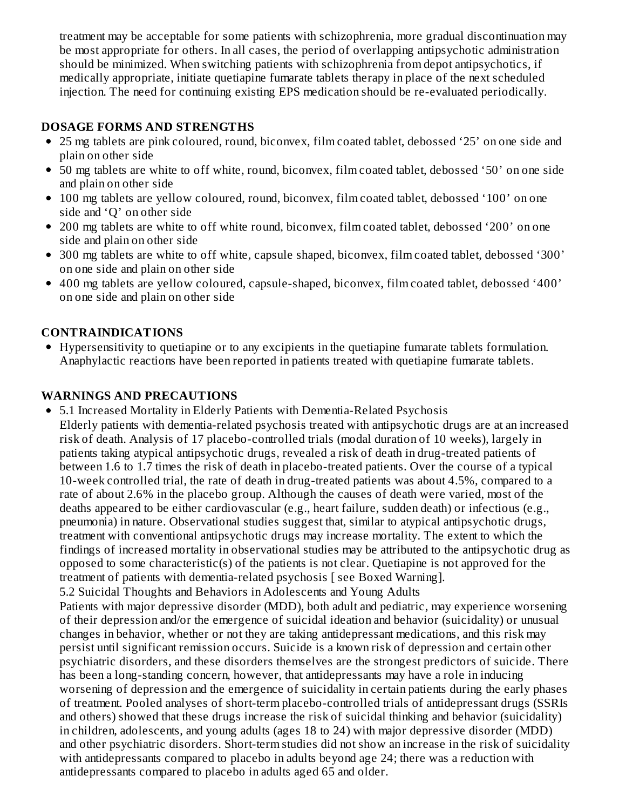treatment may be acceptable for some patients with schizophrenia, more gradual discontinuation may be most appropriate for others. In all cases, the period of overlapping antipsychotic administration should be minimized. When switching patients with schizophrenia from depot antipsychotics, if medically appropriate, initiate quetiapine fumarate tablets therapy in place of the next scheduled injection. The need for continuing existing EPS medication should be re-evaluated periodically.

### **DOSAGE FORMS AND STRENGTHS**

- 25 mg tablets are pink coloured, round, biconvex, film coated tablet, debossed '25' on one side and plain on other side
- 50 mg tablets are white to off white, round, biconvex, film coated tablet, debossed '50' on one side and plain on other side
- 100 mg tablets are yellow coloured, round, biconvex, film coated tablet, debossed '100' on one side and 'Q' on other side
- 200 mg tablets are white to off white round, biconvex, film coated tablet, debossed '200' on one side and plain on other side
- 300 mg tablets are white to off white, capsule shaped, biconvex, film coated tablet, debossed '300' on one side and plain on other side
- 400 mg tablets are yellow coloured, capsule-shaped, biconvex, film coated tablet, debossed '400' on one side and plain on other side

# **CONTRAINDICATIONS**

Hypersensitivity to quetiapine or to any excipients in the quetiapine fumarate tablets formulation. Anaphylactic reactions have been reported in patients treated with quetiapine fumarate tablets.

### **WARNINGS AND PRECAUTIONS**

5.1 Increased Mortality in Elderly Patients with Dementia-Related Psychosis Elderly patients with dementia-related psychosis treated with antipsychotic drugs are at an increased risk of death. Analysis of 17 placebo-controlled trials (modal duration of 10 weeks), largely in patients taking atypical antipsychotic drugs, revealed a risk of death in drug-treated patients of between 1.6 to 1.7 times the risk of death in placebo-treated patients. Over the course of a typical 10-week controlled trial, the rate of death in drug-treated patients was about 4.5%, compared to a rate of about 2.6% in the placebo group. Although the causes of death were varied, most of the deaths appeared to be either cardiovascular (e.g., heart failure, sudden death) or infectious (e.g., pneumonia) in nature. Observational studies suggest that, similar to atypical antipsychotic drugs, treatment with conventional antipsychotic drugs may increase mortality. The extent to which the findings of increased mortality in observational studies may be attributed to the antipsychotic drug as opposed to some characteristic(s) of the patients is not clear. Quetiapine is not approved for the treatment of patients with dementia-related psychosis [ see Boxed Warning]. 5.2 Suicidal Thoughts and Behaviors in Adolescents and Young Adults Patients with major depressive disorder (MDD), both adult and pediatric, may experience worsening of their depression and/or the emergence of suicidal ideation and behavior (suicidality) or unusual changes in behavior, whether or not they are taking antidepressant medications, and this risk may persist until significant remission occurs. Suicide is a known risk of depression and certain other psychiatric disorders, and these disorders themselves are the strongest predictors of suicide. There has been a long-standing concern, however, that antidepressants may have a role in inducing worsening of depression and the emergence of suicidality in certain patients during the early phases of treatment. Pooled analyses of short-term placebo-controlled trials of antidepressant drugs (SSRIs and others) showed that these drugs increase the risk of suicidal thinking and behavior (suicidality) in children, adolescents, and young adults (ages 18 to 24) with major depressive disorder (MDD) and other psychiatric disorders. Short-term studies did not show an increase in the risk of suicidality with antidepressants compared to placebo in adults beyond age 24; there was a reduction with antidepressants compared to placebo in adults aged 65 and older.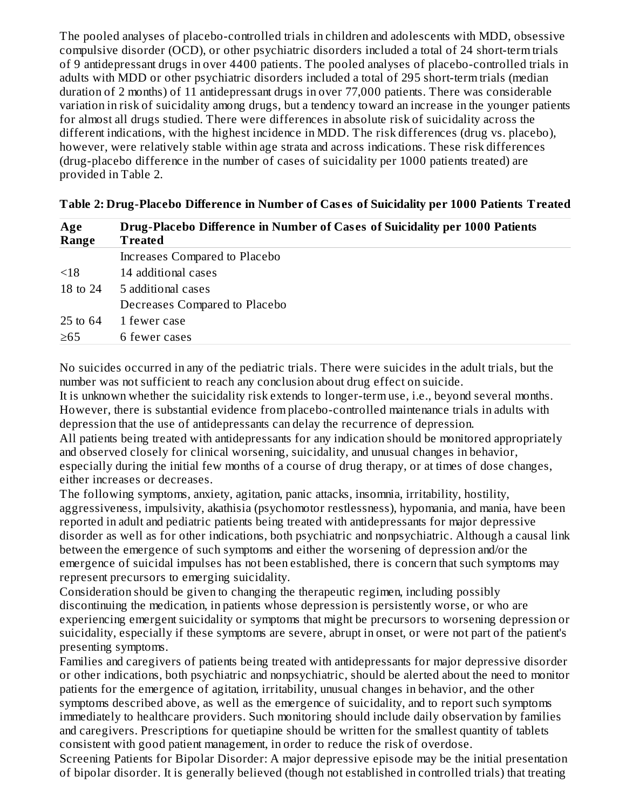The pooled analyses of placebo-controlled trials in children and adolescents with MDD, obsessive compulsive disorder (OCD), or other psychiatric disorders included a total of 24 short-term trials of 9 antidepressant drugs in over 4400 patients. The pooled analyses of placebo-controlled trials in adults with MDD or other psychiatric disorders included a total of 295 short-term trials (median duration of 2 months) of 11 antidepressant drugs in over 77,000 patients. There was considerable variation in risk of suicidality among drugs, but a tendency toward an increase in the younger patients for almost all drugs studied. There were differences in absolute risk of suicidality across the different indications, with the highest incidence in MDD. The risk differences (drug vs. placebo), however, were relatively stable within age strata and across indications. These risk differences (drug-placebo difference in the number of cases of suicidality per 1000 patients treated) are provided in Table 2.

| Age<br>Range | Drug-Placebo Difference in Number of Cases of Suicidality per 1000 Patients<br><b>Treated</b> |
|--------------|-----------------------------------------------------------------------------------------------|
|              | Increases Compared to Placebo                                                                 |
| $\leq 18$    | 14 additional cases                                                                           |
| 18 to 24     | 5 additional cases                                                                            |
|              | Decreases Compared to Placebo                                                                 |
| 25 to 64     | 1 fewer case                                                                                  |
| $\geq 65$    | 6 fewer cases                                                                                 |

| Table 2: Drug-Placebo Difference in Number of Cases of Suicidality per 1000 Patients Treated |  |  |  |
|----------------------------------------------------------------------------------------------|--|--|--|
|                                                                                              |  |  |  |

No suicides occurred in any of the pediatric trials. There were suicides in the adult trials, but the number was not sufficient to reach any conclusion about drug effect on suicide.

It is unknown whether the suicidality risk extends to longer-term use, i.e., beyond several months. However, there is substantial evidence from placebo-controlled maintenance trials in adults with depression that the use of antidepressants can delay the recurrence of depression.

All patients being treated with antidepressants for any indication should be monitored appropriately and observed closely for clinical worsening, suicidality, and unusual changes in behavior, especially during the initial few months of a course of drug therapy, or at times of dose changes, either increases or decreases.

The following symptoms, anxiety, agitation, panic attacks, insomnia, irritability, hostility, aggressiveness, impulsivity, akathisia (psychomotor restlessness), hypomania, and mania, have been reported in adult and pediatric patients being treated with antidepressants for major depressive disorder as well as for other indications, both psychiatric and nonpsychiatric. Although a causal link between the emergence of such symptoms and either the worsening of depression and/or the emergence of suicidal impulses has not been established, there is concern that such symptoms may represent precursors to emerging suicidality.

Consideration should be given to changing the therapeutic regimen, including possibly discontinuing the medication, in patients whose depression is persistently worse, or who are experiencing emergent suicidality or symptoms that might be precursors to worsening depression or suicidality, especially if these symptoms are severe, abrupt in onset, or were not part of the patient's presenting symptoms.

Families and caregivers of patients being treated with antidepressants for major depressive disorder or other indications, both psychiatric and nonpsychiatric, should be alerted about the need to monitor patients for the emergence of agitation, irritability, unusual changes in behavior, and the other symptoms described above, as well as the emergence of suicidality, and to report such symptoms immediately to healthcare providers. Such monitoring should include daily observation by families and caregivers. Prescriptions for quetiapine should be written for the smallest quantity of tablets consistent with good patient management, in order to reduce the risk of overdose.

Screening Patients for Bipolar Disorder: A major depressive episode may be the initial presentation of bipolar disorder. It is generally believed (though not established in controlled trials) that treating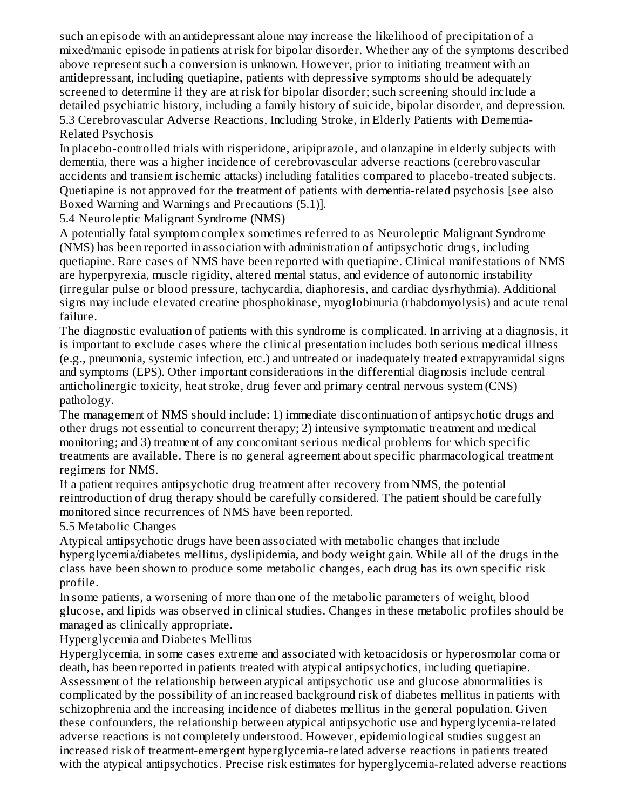such an episode with an antidepressant alone may increase the likelihood of precipitation of a mixed/manic episode in patients at risk for bipolar disorder. Whether any of the symptoms described above represent such a conversion is unknown. However, prior to initiating treatment with an antidepressant, including quetiapine, patients with depressive symptoms should be adequately screened to determine if they are at risk for bipolar disorder; such screening should include a detailed psychiatric history, including a family history of suicide, bipolar disorder, and depression. 5.3 Cerebrovascular Adverse Reactions, Including Stroke, in Elderly Patients with Dementia-Related Psychosis

In placebo-controlled trials with risperidone, aripiprazole, and olanzapine in elderly subjects with dementia, there was a higher incidence of cerebrovascular adverse reactions (cerebrovascular accidents and transient ischemic attacks) including fatalities compared to placebo-treated subjects. Quetiapine is not approved for the treatment of patients with dementia-related psychosis [see also Boxed Warning and Warnings and Precautions (5.1)].

5.4 Neuroleptic Malignant Syndrome (NMS)

A potentially fatal symptom complex sometimes referred to as Neuroleptic Malignant Syndrome (NMS) has been reported in association with administration of antipsychotic drugs, including quetiapine. Rare cases of NMS have been reported with quetiapine. Clinical manifestations of NMS are hyperpyrexia, muscle rigidity, altered mental status, and evidence of autonomic instability (irregular pulse or blood pressure, tachycardia, diaphoresis, and cardiac dysrhythmia). Additional signs may include elevated creatine phosphokinase, myoglobinuria (rhabdomyolysis) and acute renal failure.

The diagnostic evaluation of patients with this syndrome is complicated. In arriving at a diagnosis, it is important to exclude cases where the clinical presentation includes both serious medical illness (e.g., pneumonia, systemic infection, etc.) and untreated or inadequately treated extrapyramidal signs and symptoms (EPS). Other important considerations in the differential diagnosis include central anticholinergic toxicity, heat stroke, drug fever and primary central nervous system (CNS) pathology.

The management of NMS should include: 1) immediate discontinuation of antipsychotic drugs and other drugs not essential to concurrent therapy; 2) intensive symptomatic treatment and medical monitoring; and 3) treatment of any concomitant serious medical problems for which specific treatments are available. There is no general agreement about specific pharmacological treatment regimens for NMS.

If a patient requires antipsychotic drug treatment after recovery from NMS, the potential reintroduction of drug therapy should be carefully considered. The patient should be carefully monitored since recurrences of NMS have been reported.

5.5 Metabolic Changes

Atypical antipsychotic drugs have been associated with metabolic changes that include hyperglycemia/diabetes mellitus, dyslipidemia, and body weight gain. While all of the drugs in the class have been shown to produce some metabolic changes, each drug has its own specific risk profile.

In some patients, a worsening of more than one of the metabolic parameters of weight, blood glucose, and lipids was observed in clinical studies. Changes in these metabolic profiles should be managed as clinically appropriate.

#### Hyperglycemia and Diabetes Mellitus

Hyperglycemia, in some cases extreme and associated with ketoacidosis or hyperosmolar coma or death, has been reported in patients treated with atypical antipsychotics, including quetiapine. Assessment of the relationship between atypical antipsychotic use and glucose abnormalities is complicated by the possibility of an increased background risk of diabetes mellitus in patients with schizophrenia and the increasing incidence of diabetes mellitus in the general population. Given these confounders, the relationship between atypical antipsychotic use and hyperglycemia-related adverse reactions is not completely understood. However, epidemiological studies suggest an increased risk of treatment-emergent hyperglycemia-related adverse reactions in patients treated with the atypical antipsychotics. Precise risk estimates for hyperglycemia-related adverse reactions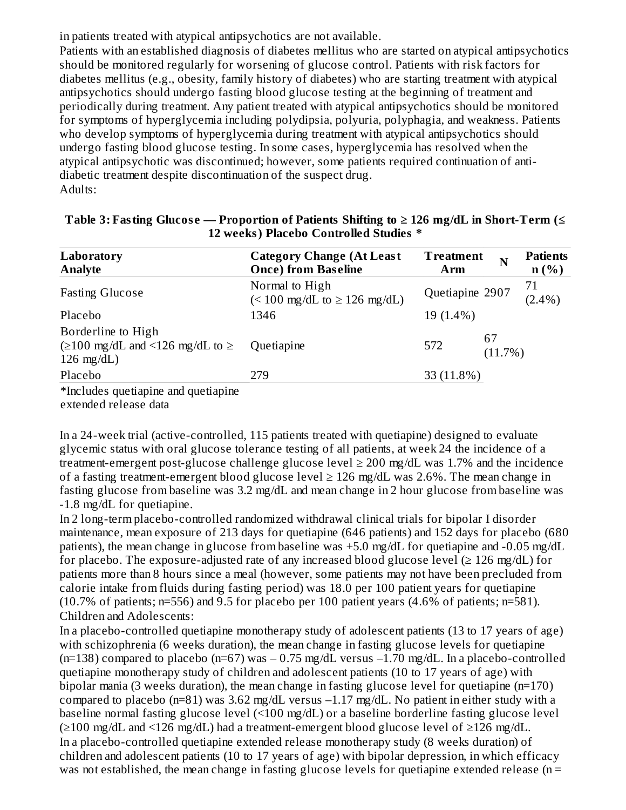in patients treated with atypical antipsychotics are not available.

Patients with an established diagnosis of diabetes mellitus who are started on atypical antipsychotics should be monitored regularly for worsening of glucose control. Patients with risk factors for diabetes mellitus (e.g., obesity, family history of diabetes) who are starting treatment with atypical antipsychotics should undergo fasting blood glucose testing at the beginning of treatment and periodically during treatment. Any patient treated with atypical antipsychotics should be monitored for symptoms of hyperglycemia including polydipsia, polyuria, polyphagia, and weakness. Patients who develop symptoms of hyperglycemia during treatment with atypical antipsychotics should undergo fasting blood glucose testing. In some cases, hyperglycemia has resolved when the atypical antipsychotic was discontinued; however, some patients required continuation of antidiabetic treatment despite discontinuation of the suspect drug. Adults:

| Laboratory<br><b>Analyte</b>                                                                      | <b>Category Change (At Least</b><br><b>Once)</b> from Baseline      | <b>Treatment</b><br>N<br>Arm |               | <b>Patients</b><br>$n$ (%) |  |
|---------------------------------------------------------------------------------------------------|---------------------------------------------------------------------|------------------------------|---------------|----------------------------|--|
| <b>Fasting Glucose</b>                                                                            | Normal to High<br>$(< 100 \text{ mg/dL to} \geq 126 \text{ mg/dL})$ | Quetiapine 2907              |               | 71<br>$(2.4\%)$            |  |
| Placebo                                                                                           | 1346                                                                | 19 (1.4%)                    |               |                            |  |
| Borderline to High<br>$\geq$ 100 mg/dL and <126 mg/dL to $\geq$ Quetiapine<br>$126 \text{ mg/dL}$ |                                                                     | 572                          | 67<br>(11.7%) |                            |  |
| Placebo                                                                                           | 279                                                                 | 33 (11.8%)                   |               |                            |  |
| *Includes quetiapine and quetiapine                                                               |                                                                     |                              |               |                            |  |

#### **Table 3: Fasting Glucos e — Proportion of Patients Shifting to ≥ 126 mg/dL in Short-Term (≤ 12 weeks) Placebo Controlled Studies \***

\*Includes quetiapine and quetiapine

extended release data

In a 24-week trial (active-controlled, 115 patients treated with quetiapine) designed to evaluate glycemic status with oral glucose tolerance testing of all patients, at week 24 the incidence of a treatment-emergent post-glucose challenge glucose level  $\geq 200$  mg/dL was 1.7% and the incidence of a fasting treatment-emergent blood glucose level  $\geq$  126 mg/dL was 2.6%. The mean change in fasting glucose from baseline was 3.2 mg/dL and mean change in 2 hour glucose from baseline was -1.8 mg/dL for quetiapine.

In 2 long-term placebo-controlled randomized withdrawal clinical trials for bipolar I disorder maintenance, mean exposure of 213 days for quetiapine (646 patients) and 152 days for placebo (680 patients), the mean change in glucose from baseline was +5.0 mg/dL for quetiapine and -0.05 mg/dL for placebo. The exposure-adjusted rate of any increased blood glucose level  $(\geq 126 \text{ mg/dL})$  for patients more than 8 hours since a meal (however, some patients may not have been precluded from calorie intake from fluids during fasting period) was 18.0 per 100 patient years for quetiapine (10.7% of patients; n=556) and 9.5 for placebo per 100 patient years (4.6% of patients; n=581). Children and Adolescents:

In a placebo-controlled quetiapine monotherapy study of adolescent patients (13 to 17 years of age) with schizophrenia (6 weeks duration), the mean change in fasting glucose levels for quetiapine  $(n=138)$  compared to placebo  $(n=67)$  was  $-0.75$  mg/dL versus  $-1.70$  mg/dL. In a placebo-controlled quetiapine monotherapy study of children and adolescent patients (10 to 17 years of age) with bipolar mania (3 weeks duration), the mean change in fasting glucose level for quetiapine (n=170) compared to placebo ( $n=81$ ) was 3.62 mg/dL versus  $-1.17$  mg/dL. No patient in either study with a baseline normal fasting glucose level (<100 mg/dL) or a baseline borderline fasting glucose level  $(\geq 100 \text{ mg/dL} \text{ and } \leq 126 \text{ mg/dL})$  had a treatment-emergent blood glucose level of  $\geq 126 \text{ mg/dL}$ . In a placebo-controlled quetiapine extended release monotherapy study (8 weeks duration) of children and adolescent patients (10 to 17 years of age) with bipolar depression, in which efficacy was not established, the mean change in fasting glucose levels for quetiapine extended release ( $n =$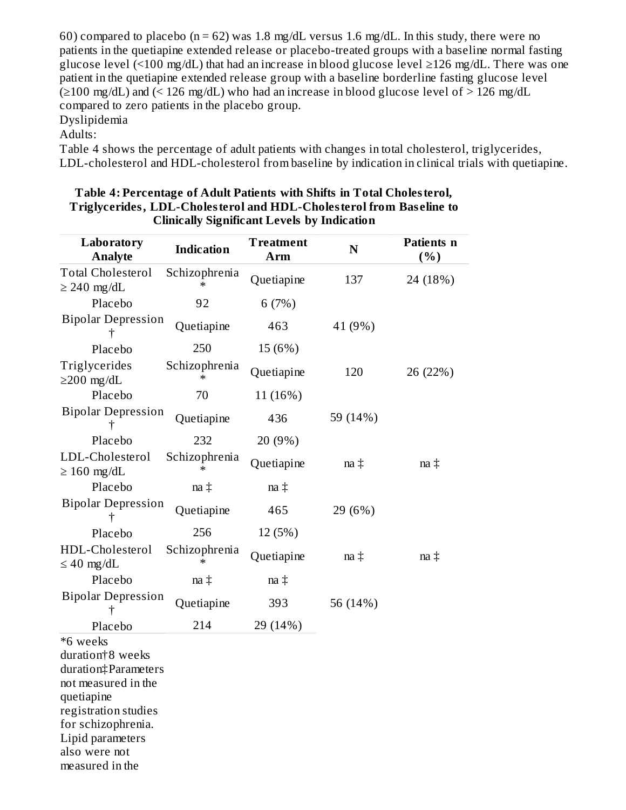60) compared to placebo ( $n = 62$ ) was 1.8 mg/dL versus 1.6 mg/dL. In this study, there were no patients in the quetiapine extended release or placebo-treated groups with a baseline normal fasting glucose level (<100 mg/dL) that had an increase in blood glucose level  $\geq$ 126 mg/dL. There was one patient in the quetiapine extended release group with a baseline borderline fasting glucose level  $(\geq 100 \text{ mg/dL})$  and  $(< 126 \text{ mg/dL})$  who had an increase in blood glucose level of  $> 126 \text{ mg/dL}$ compared to zero patients in the placebo group.

Dyslipidemia

Adults:

Table 4 shows the percentage of adult patients with changes in total cholesterol, triglycerides, LDL-cholesterol and HDL-cholesterol from baseline by indication in clinical trials with quetiapine.

| <b>Indication</b>                       | Arm           | $\mathbf N$      | Patients n<br>(%) |
|-----------------------------------------|---------------|------------------|-------------------|
| Schizophrenia                           | Quetiapine    | 137              | 24 (18%)          |
| 92                                      | 6(7%)         |                  |                   |
| <b>Bipolar Depression</b><br>Quetiapine | 463           | 41 (9%)          |                   |
| 250                                     | 15 (6%)       |                  |                   |
| Schizophrenia                           | Quetiapine    | 120              | 26 (22%)          |
| 70                                      | 11 (16%)      |                  |                   |
| <b>Bipolar Depression</b><br>Quetiapine | 436           | 59 (14%)         |                   |
| 232                                     | 20 (9%)       |                  |                   |
| Schizophrenia                           | Quetiapine    | $na \neq$        | $na \neq$         |
| $na \neq$                               | $na \ddagger$ |                  |                   |
| <b>Bipolar Depression</b><br>Quetiapine | 465           | 29 (6%)          |                   |
| 256                                     | 12 (5%)       |                  |                   |
| Schizophrenia                           | Quetiapine    | $na \neq$        | $na \ddagger$     |
| $na \ddagger$                           | $na \ddagger$ |                  |                   |
| <b>Bipolar Depression</b><br>Quetiapine | 393           | 56 (14%)         |                   |
| 214                                     | 29 (14%)      |                  |                   |
| duration‡Parameters                     |               |                  |                   |
|                                         |               | <b>Treatment</b> |                   |

#### **Table 4: Percentage of Adult Patients with Shifts in Total Cholesterol, Triglycerides, LDL-Cholesterol and HDL-Cholesterol from Bas eline to Clinically Significant Levels by Indication**

also were not measured in the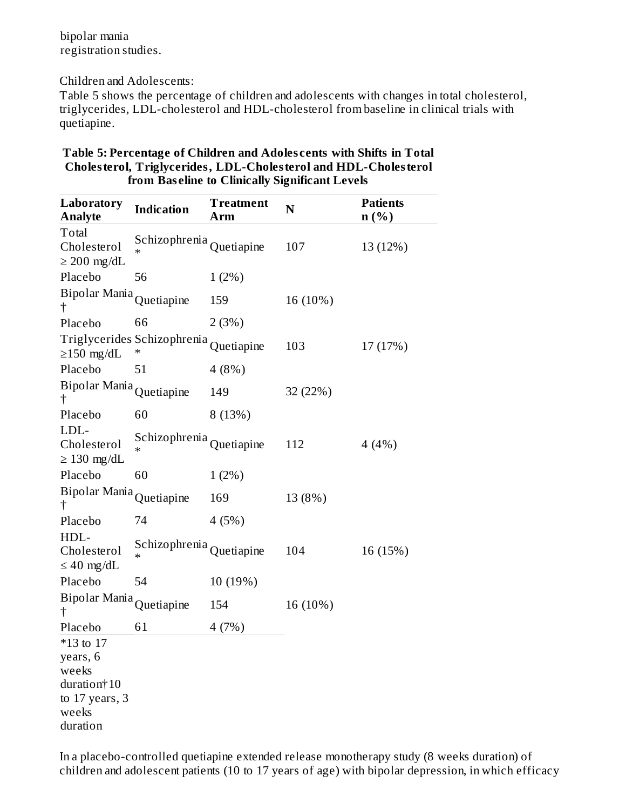bipolar mania registration studies.

Children and Adolescents:

Table 5 shows the percentage of children and adolescents with changes in total cholesterol, triglycerides, LDL-cholesterol and HDL-cholesterol from baseline in clinical trials with quetiapine.

| Table 5: Percentage of Children and Adolescents with Shifts in Total |
|----------------------------------------------------------------------|
| Cholesterol, Triglycerides, LDL-Cholesterol and HDL-Cholesterol      |
| from Baseline to Clinically Significant Levels                       |
|                                                                      |

| Laboratory<br><b>Analyte</b>                                                                       | <b>Indication</b>                           | Treatment<br>Arm | $\mathbf N$ | <b>Patients</b><br>n(%) |
|----------------------------------------------------------------------------------------------------|---------------------------------------------|------------------|-------------|-------------------------|
| Total<br>Cholesterol<br>$\geq$ 200 mg/dL                                                           | Schizophrenia Quetiapine                    |                  | 107         | 13 (12%)                |
| Placebo                                                                                            | 56                                          | $1(2\%)$         |             |                         |
| Bipolar Mania Quetiapine<br>$\dagger$                                                              |                                             | 159              | 16 (10%)    |                         |
| Placebo                                                                                            | 66                                          | 2(3%)            |             |                         |
| $\geq$ 150 mg/dL                                                                                   | Triglycerides Schizophrenia Quetiapine<br>∗ |                  | 103         | 17 (17%)                |
| Placebo                                                                                            | 51                                          | 4(8%)            |             |                         |
| Bipolar Mania Quetiapine<br>$\dagger$                                                              |                                             | 149              | 32 (22%)    |                         |
| Placebo                                                                                            | 60                                          | 8(13%)           |             |                         |
| LDL-<br>Cholesterol<br>$\geq$ 130 mg/dL                                                            | Schizophrenia Quetiapine                    |                  | 112         | 4(4%)                   |
| Placebo                                                                                            | 60                                          | $1(2\%)$         |             |                         |
| Bipolar Mania Quetiapine<br>$\dagger$                                                              |                                             | 169              | 13 (8%)     |                         |
| Placebo                                                                                            | 74                                          | 4(5%)            |             |                         |
| HDL-<br>Cholesterol<br>$\leq 40$ mg/dL                                                             | Schizophrenia Quetiapine                    |                  | 104         | 16 (15%)                |
| Placebo                                                                                            | 54                                          | 10 (19%)         |             |                         |
| Bipolar Mania Quetiapine<br>†                                                                      |                                             | 154              | 16 (10%)    |                         |
| Placebo                                                                                            | 61                                          | 4(7%)            |             |                         |
| $*13$ to 17<br>years, 6<br>weeks<br>duration <sup>+10</sup><br>to 17 years, 3<br>weeks<br>duration |                                             |                  |             |                         |

In a placebo-controlled quetiapine extended release monotherapy study (8 weeks duration) of children and adolescent patients (10 to 17 years of age) with bipolar depression, in which efficacy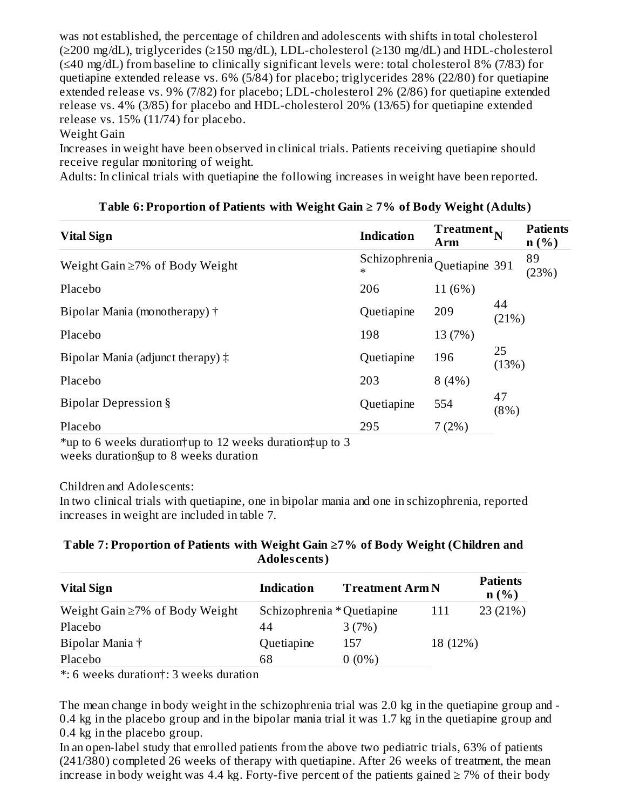was not established, the percentage of children and adolescents with shifts in total cholesterol (≥200 mg/dL), triglycerides (≥150 mg/dL), LDL-cholesterol (≥130 mg/dL) and HDL-cholesterol (≤40 mg/dL) from baseline to clinically significant levels were: total cholesterol 8% (7/83) for quetiapine extended release vs. 6% (5/84) for placebo; triglycerides 28% (22/80) for quetiapine extended release vs. 9% (7/82) for placebo; LDL-cholesterol 2% (2/86) for quetiapine extended release vs. 4% (3/85) for placebo and HDL-cholesterol 20% (13/65) for quetiapine extended release vs. 15% (11/74) for placebo.

Weight Gain

Increases in weight have been observed in clinical trials. Patients receiving quetiapine should receive regular monitoring of weight.

Adults: In clinical trials with quetiapine the following increases in weight have been reported.

| <b>Vital Sign</b>                          | <b>Indication</b>            | $T$ reatment $_{N}$<br>Arm | <b>Patients</b><br>$n$ (%) |             |
|--------------------------------------------|------------------------------|----------------------------|----------------------------|-------------|
| Weight Gain $\geq$ 7% of Body Weight       | Schizophrenia Quetiapine 391 |                            |                            | 89<br>(23%) |
| Placebo                                    | 206                          | 11 (6%)                    |                            |             |
| Bipolar Mania (monotherapy) †              | Quetiapine                   | 209                        | 44<br>(21%)                |             |
| Placebo                                    | 198                          | 13 (7%)                    |                            |             |
| Bipolar Mania (adjunct therapy) $\ddagger$ | Quetiapine                   | 196                        | 25<br>(13%)                |             |
| Placebo                                    | 203                          | 8(4%)                      |                            |             |
| <b>Bipolar Depression §</b>                | Quetiapine                   | 554                        | 47<br>(8%)                 |             |
| Placebo                                    | 295                          | 7(2%)                      |                            |             |

#### **Table 6: Proportion of Patients with Weight Gain ≥ 7% of Body Weight (Adults)**

\*up to 6 weeks duration†up to 12 weeks duration‡up to 3 weeks duration§up to 8 weeks duration

Children and Adolescents:

In two clinical trials with quetiapine, one in bipolar mania and one in schizophrenia, reported increases in weight are included in table 7.

### **Table 7: Proportion of Patients with Weight Gain ≥7% of Body Weight (Children and Adoles cents)**

| <b>Vital Sign</b>                    | <b>Indication</b> | <b>Treatment Arm N</b>     |          | <b>Patients</b><br>n(%) |
|--------------------------------------|-------------------|----------------------------|----------|-------------------------|
| Weight Gain $\geq$ 7% of Body Weight |                   | Schizophrenia * Quetiapine | 111      | 23(21%)                 |
| Placebo                              | 44                | 3(7%)                      |          |                         |
| Bipolar Mania †                      | Quetiapine        | 157                        | 18 (12%) |                         |
| Placebo                              | 68                | $0(0\%)$                   |          |                         |

\*: 6 weeks duration†: 3 weeks duration

The mean change in body weight in the schizophrenia trial was 2.0 kg in the quetiapine group and - 0.4 kg in the placebo group and in the bipolar mania trial it was 1.7 kg in the quetiapine group and 0.4 kg in the placebo group.

In an open-label study that enrolled patients from the above two pediatric trials, 63% of patients (241/380) completed 26 weeks of therapy with quetiapine. After 26 weeks of treatment, the mean increase in body weight was 4.4 kg. Forty-five percent of the patients gained  $\geq$  7% of their body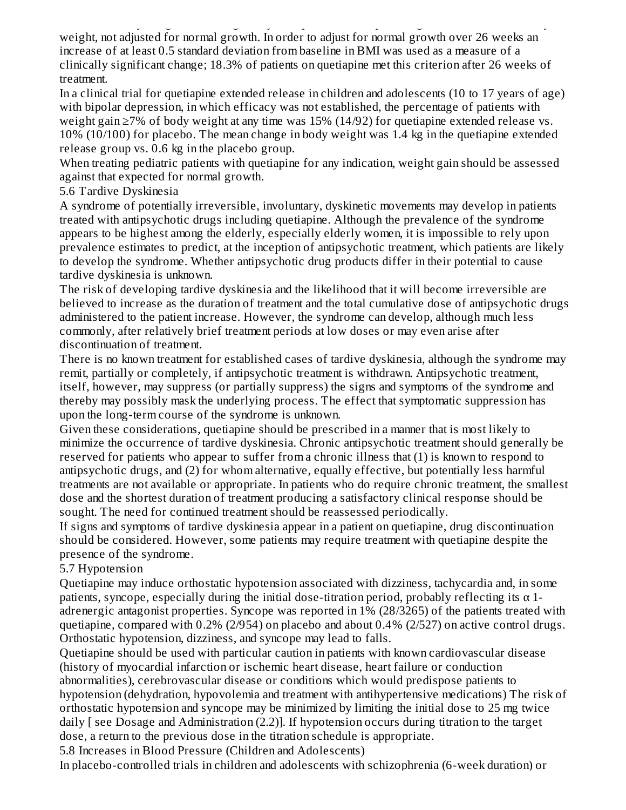increase in body weight was 4.4 kg. Forty-five percent of the patients gained ≥ 7% of their body weight, not adjusted for normal growth. In order to adjust for normal growth over 26 weeks an increase of at least 0.5 standard deviation from baseline in BMI was used as a measure of a clinically significant change; 18.3% of patients on quetiapine met this criterion after 26 weeks of treatment.

In a clinical trial for quetiapine extended release in children and adolescents (10 to 17 years of age) with bipolar depression, in which efficacy was not established, the percentage of patients with weight gain ≥7% of body weight at any time was 15% (14/92) for quetiapine extended release vs. 10% (10/100) for placebo. The mean change in body weight was 1.4 kg in the quetiapine extended release group vs. 0.6 kg in the placebo group.

When treating pediatric patients with quetiapine for any indication, weight gain should be assessed against that expected for normal growth.

5.6 Tardive Dyskinesia

A syndrome of potentially irreversible, involuntary, dyskinetic movements may develop in patients treated with antipsychotic drugs including quetiapine. Although the prevalence of the syndrome appears to be highest among the elderly, especially elderly women, it is impossible to rely upon prevalence estimates to predict, at the inception of antipsychotic treatment, which patients are likely to develop the syndrome. Whether antipsychotic drug products differ in their potential to cause tardive dyskinesia is unknown.

The risk of developing tardive dyskinesia and the likelihood that it will become irreversible are believed to increase as the duration of treatment and the total cumulative dose of antipsychotic drugs administered to the patient increase. However, the syndrome can develop, although much less commonly, after relatively brief treatment periods at low doses or may even arise after discontinuation of treatment.

There is no known treatment for established cases of tardive dyskinesia, although the syndrome may remit, partially or completely, if antipsychotic treatment is withdrawn. Antipsychotic treatment, itself, however, may suppress (or partially suppress) the signs and symptoms of the syndrome and thereby may possibly mask the underlying process. The effect that symptomatic suppression has upon the long-term course of the syndrome is unknown.

Given these considerations, quetiapine should be prescribed in a manner that is most likely to minimize the occurrence of tardive dyskinesia. Chronic antipsychotic treatment should generally be reserved for patients who appear to suffer from a chronic illness that (1) is known to respond to antipsychotic drugs, and (2) for whom alternative, equally effective, but potentially less harmful treatments are not available or appropriate. In patients who do require chronic treatment, the smallest dose and the shortest duration of treatment producing a satisfactory clinical response should be sought. The need for continued treatment should be reassessed periodically.

If signs and symptoms of tardive dyskinesia appear in a patient on quetiapine, drug discontinuation should be considered. However, some patients may require treatment with quetiapine despite the presence of the syndrome.

# 5.7 Hypotension

Quetiapine may induce orthostatic hypotension associated with dizziness, tachycardia and, in some patients, syncope, especially during the initial dose-titration period, probably reflecting its  $\alpha$  1adrenergic antagonist properties. Syncope was reported in 1% (28/3265) of the patients treated with quetiapine, compared with 0.2% (2/954) on placebo and about 0.4% (2/527) on active control drugs. Orthostatic hypotension, dizziness, and syncope may lead to falls.

Quetiapine should be used with particular caution in patients with known cardiovascular disease (history of myocardial infarction or ischemic heart disease, heart failure or conduction abnormalities), cerebrovascular disease or conditions which would predispose patients to hypotension (dehydration, hypovolemia and treatment with antihypertensive medications) The risk of orthostatic hypotension and syncope may be minimized by limiting the initial dose to 25 mg twice daily [ see Dosage and Administration (2.2)]. If hypotension occurs during titration to the target dose, a return to the previous dose in the titration schedule is appropriate.

5.8 Increases in Blood Pressure (Children and Adolescents)

In placebo-controlled trials in children and adolescents with schizophrenia (6-week duration) or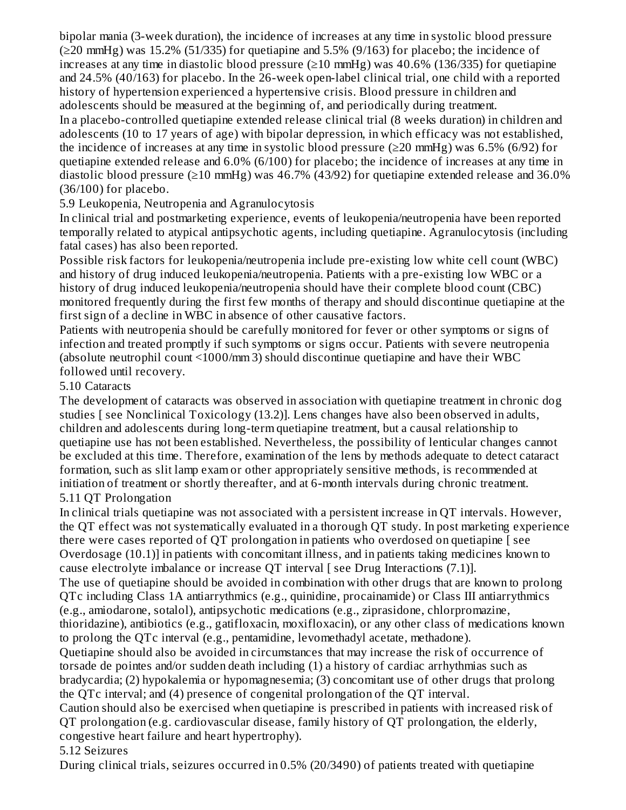bipolar mania (3-week duration), the incidence of increases at any time in systolic blood pressure  $(\geq 20 \text{ mmHg})$  was 15.2% (51/335) for quetiapine and 5.5% (9/163) for placebo; the incidence of increases at any time in diastolic blood pressure  $(≥10$  mmHg) was 40.6% (136/335) for quetiapine and 24.5% (40/163) for placebo. In the 26-week open-label clinical trial, one child with a reported history of hypertension experienced a hypertensive crisis. Blood pressure in children and adolescents should be measured at the beginning of, and periodically during treatment. In a placebo-controlled quetiapine extended release clinical trial (8 weeks duration) in children and adolescents (10 to 17 years of age) with bipolar depression, in which efficacy was not established, the incidence of increases at any time in systolic blood pressure ( $\geq$ 20 mmHg) was 6.5% (6/92) for quetiapine extended release and 6.0% (6/100) for placebo; the incidence of increases at any time in diastolic blood pressure ( $\geq$ 10 mmHg) was 46.7% (43/92) for quetiapine extended release and 36.0% (36/100) for placebo.

5.9 Leukopenia, Neutropenia and Agranulocytosis

In clinical trial and postmarketing experience, events of leukopenia/neutropenia have been reported temporally related to atypical antipsychotic agents, including quetiapine. Agranulocytosis (including fatal cases) has also been reported.

Possible risk factors for leukopenia/neutropenia include pre-existing low white cell count (WBC) and history of drug induced leukopenia/neutropenia. Patients with a pre-existing low WBC or a history of drug induced leukopenia/neutropenia should have their complete blood count (CBC) monitored frequently during the first few months of therapy and should discontinue quetiapine at the first sign of a decline in WBC in absence of other causative factors.

Patients with neutropenia should be carefully monitored for fever or other symptoms or signs of infection and treated promptly if such symptoms or signs occur. Patients with severe neutropenia (absolute neutrophil count <1000/mm 3) should discontinue quetiapine and have their WBC followed until recovery.

#### 5.10 Cataracts

The development of cataracts was observed in association with quetiapine treatment in chronic dog studies [ see Nonclinical Toxicology (13.2)]. Lens changes have also been observed in adults, children and adolescents during long-term quetiapine treatment, but a causal relationship to quetiapine use has not been established. Nevertheless, the possibility of lenticular changes cannot be excluded at this time. Therefore, examination of the lens by methods adequate to detect cataract formation, such as slit lamp exam or other appropriately sensitive methods, is recommended at initiation of treatment or shortly thereafter, and at 6-month intervals during chronic treatment. 5.11 QT Prolongation

In clinical trials quetiapine was not associated with a persistent increase in QT intervals. However, the QT effect was not systematically evaluated in a thorough QT study. In post marketing experience there were cases reported of QT prolongation in patients who overdosed on quetiapine [ see Overdosage (10.1)] in patients with concomitant illness, and in patients taking medicines known to cause electrolyte imbalance or increase QT interval [ see Drug Interactions (7.1)].

The use of quetiapine should be avoided in combination with other drugs that are known to prolong QTc including Class 1A antiarrythmics (e.g., quinidine, procainamide) or Class III antiarrythmics (e.g., amiodarone, sotalol), antipsychotic medications (e.g., ziprasidone, chlorpromazine,

thioridazine), antibiotics (e.g., gatifloxacin, moxifloxacin), or any other class of medications known to prolong the QTc interval (e.g., pentamidine, levomethadyl acetate, methadone).

Quetiapine should also be avoided in circumstances that may increase the risk of occurrence of torsade de pointes and/or sudden death including (1) a history of cardiac arrhythmias such as bradycardia; (2) hypokalemia or hypomagnesemia; (3) concomitant use of other drugs that prolong the QTc interval; and (4) presence of congenital prolongation of the QT interval.

Caution should also be exercised when quetiapine is prescribed in patients with increased risk of QT prolongation (e.g. cardiovascular disease, family history of QT prolongation, the elderly, congestive heart failure and heart hypertrophy).

# 5.12 Seizures

During clinical trials, seizures occurred in 0.5% (20/3490) of patients treated with quetiapine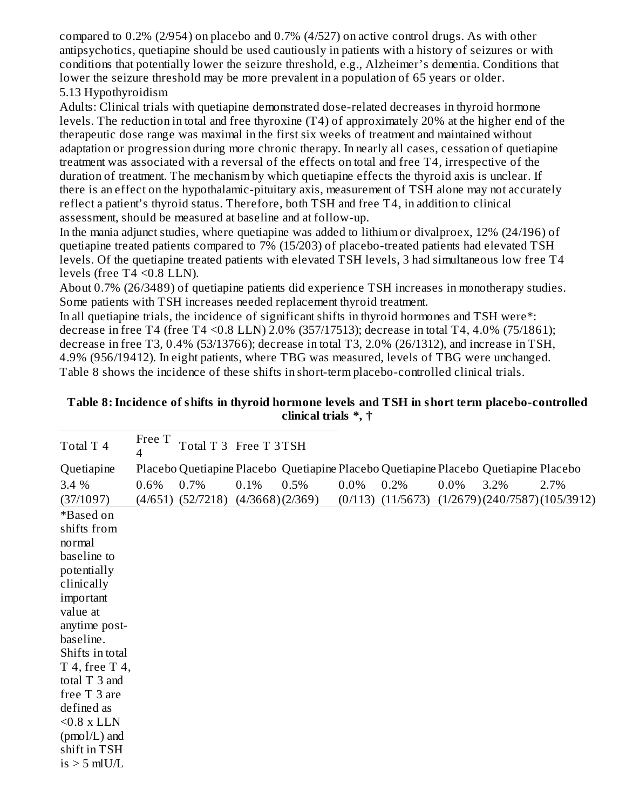compared to 0.2% (2/954) on placebo and 0.7% (4/527) on active control drugs. As with other antipsychotics, quetiapine should be used cautiously in patients with a history of seizures or with conditions that potentially lower the seizure threshold, e.g., Alzheimer's dementia. Conditions that lower the seizure threshold may be more prevalent in a population of 65 years or older. 5.13 Hypothyroidism

Adults: Clinical trials with quetiapine demonstrated dose-related decreases in thyroid hormone levels. The reduction in total and free thyroxine (T4) of approximately 20% at the higher end of the therapeutic dose range was maximal in the first six weeks of treatment and maintained without adaptation or progression during more chronic therapy. In nearly all cases, cessation of quetiapine treatment was associated with a reversal of the effects on total and free T4, irrespective of the duration of treatment. The mechanism by which quetiapine effects the thyroid axis is unclear. If there is an effect on the hypothalamic-pituitary axis, measurement of TSH alone may not accurately reflect a patient's thyroid status. Therefore, both TSH and free T4, in addition to clinical assessment, should be measured at baseline and at follow-up.

In the mania adjunct studies, where quetiapine was added to lithium or divalproex, 12% (24/196) of quetiapine treated patients compared to 7% (15/203) of placebo-treated patients had elevated TSH levels. Of the quetiapine treated patients with elevated TSH levels, 3 had simultaneous low free T4 levels (free T4 <0.8 LLN).

About 0.7% (26/3489) of quetiapine patients did experience TSH increases in monotherapy studies. Some patients with TSH increases needed replacement thyroid treatment.

In all quetiapine trials, the incidence of significant shifts in thyroid hormones and TSH were\*: decrease in free T4 (free T4 <0.8 LLN) 2.0% (357/17513); decrease in total T4, 4.0% (75/1861); decrease in free T3, 0.4% (53/13766); decrease in total T3, 2.0% (26/1312), and increase in TSH, 4.9% (956/19412). In eight patients, where TBG was measured, levels of TBG were unchanged. Table 8 shows the incidence of these shifts in short-term placebo-controlled clinical trials.

#### **Table 8:Incidence of shifts in thyroid hormone levels and TSH in short term placebo-controlled clinical trials \*, †**

| Total T 4                                                                                                                             | Free T<br>$\overline{4}$ | Total T 3 Free T 3TSH                      |      |      |         |                                                                                     |      |      |                                                      |
|---------------------------------------------------------------------------------------------------------------------------------------|--------------------------|--------------------------------------------|------|------|---------|-------------------------------------------------------------------------------------|------|------|------------------------------------------------------|
| Quetiapine                                                                                                                            |                          |                                            |      |      |         | Placebo Quetiapine Placebo Quetiapine Placebo Quetiapine Placebo Quetiapine Placebo |      |      |                                                      |
| 3.4%                                                                                                                                  | 0.6%                     | 0.7%                                       | 0.1% | 0.5% | $0.0\%$ | 0.2%                                                                                | 0.0% | 3.2% | 2.7%                                                 |
| (37/1097)                                                                                                                             |                          | $(4/651)$ $(52/7218)$ $(4/3668)$ $(2/369)$ |      |      |         |                                                                                     |      |      | $(0/113)$ $(11/5673)$ $(1/2679)(240/7587)(105/3912)$ |
| *Based on<br>shifts from<br>normal<br>baseline to<br>potentially<br>clinically<br>important<br>value at<br>anytime post-<br>baseline. |                          |                                            |      |      |         |                                                                                     |      |      |                                                      |
| Shifts in total                                                                                                                       |                          |                                            |      |      |         |                                                                                     |      |      |                                                      |
| T 4, free T 4,<br>total T 3 and                                                                                                       |                          |                                            |      |      |         |                                                                                     |      |      |                                                      |
| free T 3 are                                                                                                                          |                          |                                            |      |      |         |                                                                                     |      |      |                                                      |
| defined as                                                                                                                            |                          |                                            |      |      |         |                                                                                     |      |      |                                                      |
| $<$ 0.8 x LLN                                                                                                                         |                          |                                            |      |      |         |                                                                                     |      |      |                                                      |
| $(pmol/L)$ and                                                                                                                        |                          |                                            |      |      |         |                                                                                     |      |      |                                                      |
| shift in TSH                                                                                                                          |                          |                                            |      |      |         |                                                                                     |      |      |                                                      |
| $is > 5$ mlU/L                                                                                                                        |                          |                                            |      |      |         |                                                                                     |      |      |                                                      |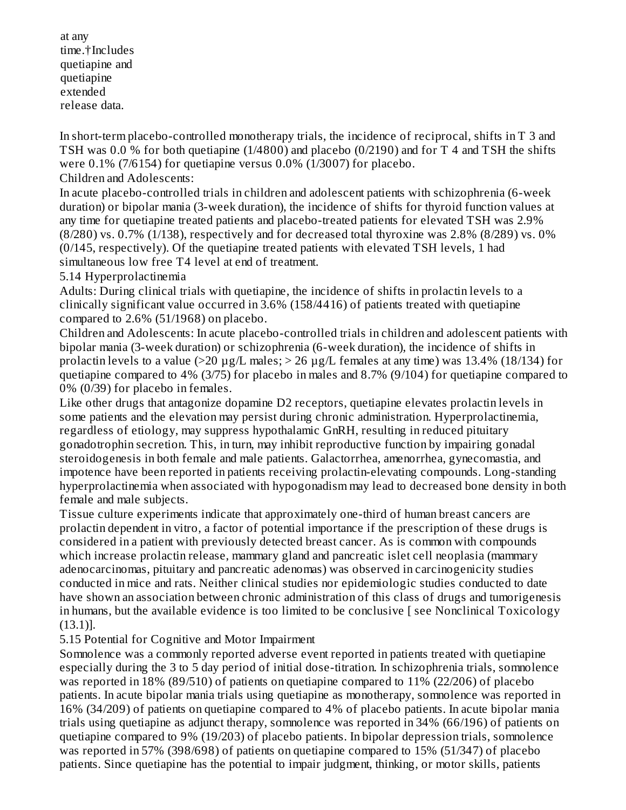at any time.†Includes quetiapine and quetiapine extended release data.

In short-term placebo-controlled monotherapy trials, the incidence of reciprocal, shifts in T 3 and TSH was 0.0 % for both quetiapine (1/4800) and placebo (0/2190) and for T 4 and TSH the shifts were 0.1% (7/6154) for quetiapine versus 0.0% (1/3007) for placebo.

Children and Adolescents:

In acute placebo-controlled trials in children and adolescent patients with schizophrenia (6-week duration) or bipolar mania (3-week duration), the incidence of shifts for thyroid function values at any time for quetiapine treated patients and placebo-treated patients for elevated TSH was 2.9% (8/280) vs. 0.7% (1/138), respectively and for decreased total thyroxine was 2.8% (8/289) vs. 0% (0/145, respectively). Of the quetiapine treated patients with elevated TSH levels, 1 had simultaneous low free T4 level at end of treatment.

5.14 Hyperprolactinemia

Adults: During clinical trials with quetiapine, the incidence of shifts in prolactin levels to a clinically significant value occurred in 3.6% (158/4416) of patients treated with quetiapine compared to 2.6% (51/1968) on placebo.

Children and Adolescents: In acute placebo-controlled trials in children and adolescent patients with bipolar mania (3-week duration) or schizophrenia (6-week duration), the incidence of shifts in prolactin levels to a value (>20 µg/L males; > 26 µg/L females at any time) was 13.4% (18/134) for quetiapine compared to 4% (3/75) for placebo in males and 8.7% (9/104) for quetiapine compared to 0% (0/39) for placebo in females.

Like other drugs that antagonize dopamine D2 receptors, quetiapine elevates prolactin levels in some patients and the elevation may persist during chronic administration. Hyperprolactinemia, regardless of etiology, may suppress hypothalamic GnRH, resulting in reduced pituitary gonadotrophin secretion. This, in turn, may inhibit reproductive function by impairing gonadal steroidogenesis in both female and male patients. Galactorrhea, amenorrhea, gynecomastia, and impotence have been reported in patients receiving prolactin-elevating compounds. Long-standing hyperprolactinemia when associated with hypogonadism may lead to decreased bone density in both female and male subjects.

Tissue culture experiments indicate that approximately one-third of human breast cancers are prolactin dependent in vitro, a factor of potential importance if the prescription of these drugs is considered in a patient with previously detected breast cancer. As is common with compounds which increase prolactin release, mammary gland and pancreatic islet cell neoplasia (mammary adenocarcinomas, pituitary and pancreatic adenomas) was observed in carcinogenicity studies conducted in mice and rats. Neither clinical studies nor epidemiologic studies conducted to date have shown an association between chronic administration of this class of drugs and tumorigenesis in humans, but the available evidence is too limited to be conclusive [ see Nonclinical Toxicology (13.1)].

# 5.15 Potential for Cognitive and Motor Impairment

Somnolence was a commonly reported adverse event reported in patients treated with quetiapine especially during the 3 to 5 day period of initial dose-titration. In schizophrenia trials, somnolence was reported in 18% (89/510) of patients on quetiapine compared to 11% (22/206) of placebo patients. In acute bipolar mania trials using quetiapine as monotherapy, somnolence was reported in 16% (34/209) of patients on quetiapine compared to 4% of placebo patients. In acute bipolar mania trials using quetiapine as adjunct therapy, somnolence was reported in 34% (66/196) of patients on quetiapine compared to 9% (19/203) of placebo patients. In bipolar depression trials, somnolence was reported in 57% (398/698) of patients on quetiapine compared to 15% (51/347) of placebo patients. Since quetiapine has the potential to impair judgment, thinking, or motor skills, patients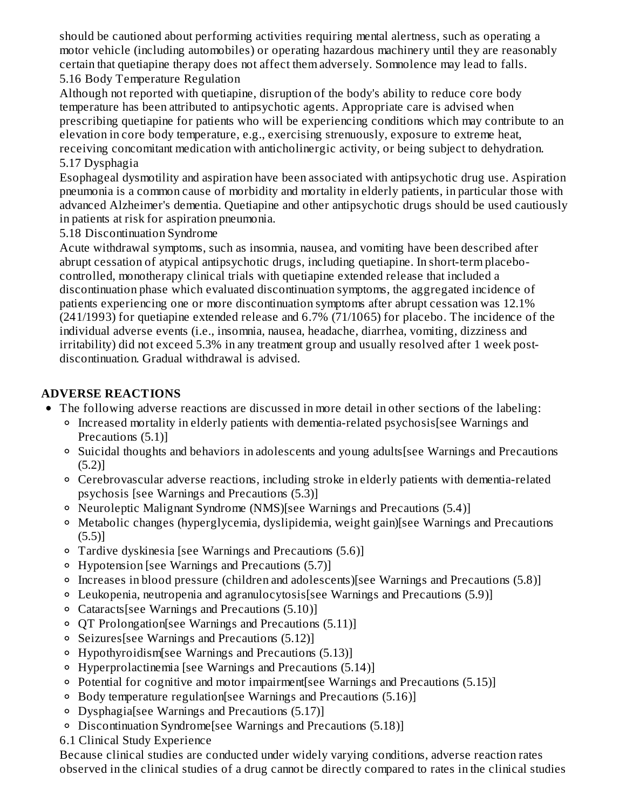should be cautioned about performing activities requiring mental alertness, such as operating a motor vehicle (including automobiles) or operating hazardous machinery until they are reasonably certain that quetiapine therapy does not affect them adversely. Somnolence may lead to falls. 5.16 Body Temperature Regulation

Although not reported with quetiapine, disruption of the body's ability to reduce core body temperature has been attributed to antipsychotic agents. Appropriate care is advised when prescribing quetiapine for patients who will be experiencing conditions which may contribute to an elevation in core body temperature, e.g., exercising strenuously, exposure to extreme heat, receiving concomitant medication with anticholinergic activity, or being subject to dehydration. 5.17 Dysphagia

Esophageal dysmotility and aspiration have been associated with antipsychotic drug use. Aspiration pneumonia is a common cause of morbidity and mortality in elderly patients, in particular those with advanced Alzheimer's dementia. Quetiapine and other antipsychotic drugs should be used cautiously in patients at risk for aspiration pneumonia.

5.18 Discontinuation Syndrome

Acute withdrawal symptoms, such as insomnia, nausea, and vomiting have been described after abrupt cessation of atypical antipsychotic drugs, including quetiapine. In short-term placebocontrolled, monotherapy clinical trials with quetiapine extended release that included a discontinuation phase which evaluated discontinuation symptoms, the aggregated incidence of patients experiencing one or more discontinuation symptoms after abrupt cessation was 12.1% (241/1993) for quetiapine extended release and 6.7% (71/1065) for placebo. The incidence of the individual adverse events (i.e., insomnia, nausea, headache, diarrhea, vomiting, dizziness and irritability) did not exceed 5.3% in any treatment group and usually resolved after 1 week postdiscontinuation. Gradual withdrawal is advised.

# **ADVERSE REACTIONS**

- The following adverse reactions are discussed in more detail in other sections of the labeling:
	- Increased mortality in elderly patients with dementia-related psychosis[see Warnings and Precautions (5.1)]
	- Suicidal thoughts and behaviors in adolescents and young adults[see Warnings and Precautions (5.2)]
	- Cerebrovascular adverse reactions, including stroke in elderly patients with dementia-related psychosis [see Warnings and Precautions (5.3)]
	- Neuroleptic Malignant Syndrome (NMS)[see Warnings and Precautions (5.4)]
	- Metabolic changes (hyperglycemia, dyslipidemia, weight gain)[see Warnings and Precautions (5.5)]
	- Tardive dyskinesia [see Warnings and Precautions (5.6)]
	- Hypotension [see Warnings and Precautions (5.7)]
	- Increases in blood pressure (children and adolescents)[see Warnings and Precautions (5.8)]
	- Leukopenia, neutropenia and agranulocytosis[see Warnings and Precautions (5.9)]
	- Cataracts[see Warnings and Precautions (5.10)]
	- QT Prolongation[see Warnings and Precautions (5.11)]
	- Seizures[see Warnings and Precautions (5.12)]
	- Hypothyroidism[see Warnings and Precautions (5.13)]
	- Hyperprolactinemia [see Warnings and Precautions (5.14)]
	- Potential for cognitive and motor impairment[see Warnings and Precautions (5.15)]
	- Body temperature regulation[see Warnings and Precautions (5.16)]
	- Dysphagia[see Warnings and Precautions (5.17)]
	- Discontinuation Syndrome[see Warnings and Precautions (5.18)]

6.1 Clinical Study Experience

Because clinical studies are conducted under widely varying conditions, adverse reaction rates observed in the clinical studies of a drug cannot be directly compared to rates in the clinical studies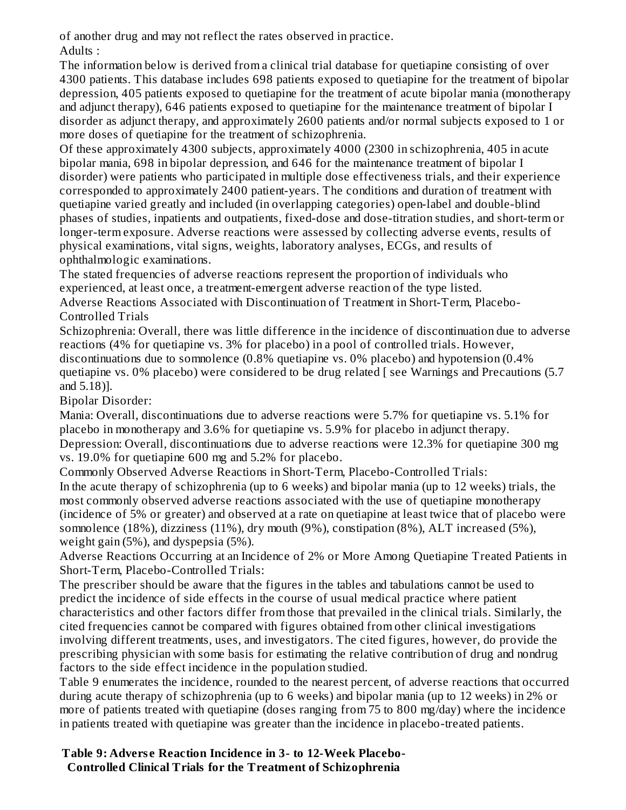of another drug and may not reflect the rates observed in practice. Adults :

The information below is derived from a clinical trial database for quetiapine consisting of over 4300 patients. This database includes 698 patients exposed to quetiapine for the treatment of bipolar depression, 405 patients exposed to quetiapine for the treatment of acute bipolar mania (monotherapy and adjunct therapy), 646 patients exposed to quetiapine for the maintenance treatment of bipolar I disorder as adjunct therapy, and approximately 2600 patients and/or normal subjects exposed to 1 or more doses of quetiapine for the treatment of schizophrenia.

Of these approximately 4300 subjects, approximately 4000 (2300 in schizophrenia, 405 in acute bipolar mania, 698 in bipolar depression, and 646 for the maintenance treatment of bipolar I disorder) were patients who participated in multiple dose effectiveness trials, and their experience corresponded to approximately 2400 patient-years. The conditions and duration of treatment with quetiapine varied greatly and included (in overlapping categories) open-label and double-blind phases of studies, inpatients and outpatients, fixed-dose and dose-titration studies, and short-term or longer-term exposure. Adverse reactions were assessed by collecting adverse events, results of physical examinations, vital signs, weights, laboratory analyses, ECGs, and results of ophthalmologic examinations.

The stated frequencies of adverse reactions represent the proportion of individuals who experienced, at least once, a treatment-emergent adverse reaction of the type listed.

Adverse Reactions Associated with Discontinuation of Treatment in Short-Term, Placebo-Controlled Trials

Schizophrenia: Overall, there was little difference in the incidence of discontinuation due to adverse reactions (4% for quetiapine vs. 3% for placebo) in a pool of controlled trials. However, discontinuations due to somnolence (0.8% quetiapine vs. 0% placebo) and hypotension (0.4% quetiapine vs. 0% placebo) were considered to be drug related [ see Warnings and Precautions (5.7 and 5.18)].

Bipolar Disorder:

Mania: Overall, discontinuations due to adverse reactions were 5.7% for quetiapine vs. 5.1% for placebo in monotherapy and 3.6% for quetiapine vs. 5.9% for placebo in adjunct therapy. Depression: Overall, discontinuations due to adverse reactions were 12.3% for quetiapine 300 mg vs. 19.0% for quetiapine 600 mg and 5.2% for placebo.

Commonly Observed Adverse Reactions in Short-Term, Placebo-Controlled Trials: In the acute therapy of schizophrenia (up to 6 weeks) and bipolar mania (up to 12 weeks) trials, the most commonly observed adverse reactions associated with the use of quetiapine monotherapy (incidence of 5% or greater) and observed at a rate on quetiapine at least twice that of placebo were somnolence (18%), dizziness (11%), dry mouth (9%), constipation (8%), ALT increased (5%), weight gain (5%), and dyspepsia (5%).

Adverse Reactions Occurring at an Incidence of 2% or More Among Quetiapine Treated Patients in Short-Term, Placebo-Controlled Trials:

The prescriber should be aware that the figures in the tables and tabulations cannot be used to predict the incidence of side effects in the course of usual medical practice where patient characteristics and other factors differ from those that prevailed in the clinical trials. Similarly, the cited frequencies cannot be compared with figures obtained from other clinical investigations involving different treatments, uses, and investigators. The cited figures, however, do provide the prescribing physician with some basis for estimating the relative contribution of drug and nondrug factors to the side effect incidence in the population studied.

Table 9 enumerates the incidence, rounded to the nearest percent, of adverse reactions that occurred during acute therapy of schizophrenia (up to 6 weeks) and bipolar mania (up to 12 weeks) in 2% or more of patients treated with quetiapine (doses ranging from 75 to 800 mg/day) where the incidence in patients treated with quetiapine was greater than the incidence in placebo-treated patients.

**Table 9: Advers e Reaction Incidence in 3- to 12-Week Placebo-Controlled Clinical Trials for the Treatment of Schizophrenia**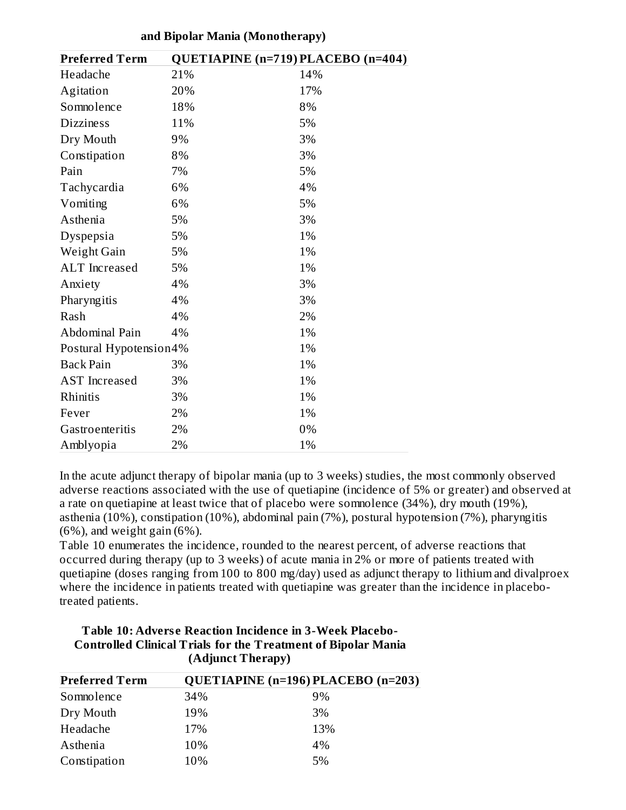| <b>Preferred Term</b>  | QUETIAPINE (n=719) PLACEBO (n=404) |     |
|------------------------|------------------------------------|-----|
| Headache               | 21%                                | 14% |
| Agitation              | 20%                                | 17% |
| Somnolence             | 18%                                | 8%  |
| <b>Dizziness</b>       | 11%                                | 5%  |
| Dry Mouth              | 9%                                 | 3%  |
| Constipation           | 8%                                 | 3%  |
| Pain                   | 7%                                 | 5%  |
| Tachycardia            | 6%                                 | 4%  |
| Vomiting               | 6%                                 | 5%  |
| Asthenia               | 5%                                 | 3%  |
| Dyspepsia              | 5%                                 | 1%  |
| Weight Gain            | 5%                                 | 1%  |
| <b>ALT</b> Increased   | 5%                                 | 1%  |
| Anxiety                | 4%                                 | 3%  |
| Pharyngitis            | 4%                                 | 3%  |
| Rash                   | 4%                                 | 2%  |
| Abdominal Pain         | 4%                                 | 1%  |
| Postural Hypotension4% |                                    | 1%  |
| <b>Back Pain</b>       | 3%                                 | 1%  |
| <b>AST</b> Increased   | 3%                                 | 1%  |
| Rhinitis               | 3%                                 | 1%  |
| Fever                  | 2%                                 | 1%  |
| Gastroenteritis        | 2%                                 | 0%  |
| Amblyopia              | 2%                                 | 1%  |

#### **and Bipolar Mania (Monotherapy)**

In the acute adjunct therapy of bipolar mania (up to 3 weeks) studies, the most commonly observed adverse reactions associated with the use of quetiapine (incidence of 5% or greater) and observed at a rate on quetiapine at least twice that of placebo were somnolence (34%), dry mouth (19%), asthenia (10%), constipation (10%), abdominal pain (7%), postural hypotension (7%), pharyngitis (6%), and weight gain (6%).

Table 10 enumerates the incidence, rounded to the nearest percent, of adverse reactions that occurred during therapy (up to 3 weeks) of acute mania in 2% or more of patients treated with quetiapine (doses ranging from 100 to 800 mg/day) used as adjunct therapy to lithium and divalproex where the incidence in patients treated with quetiapine was greater than the incidence in placebotreated patients.

| Table 10: Adverse Reaction Incidence in 3-Week Placebo-              |
|----------------------------------------------------------------------|
| <b>Controlled Clinical Trials for the Treatment of Bipolar Mania</b> |
| (Adjunct Therapy)                                                    |

| <b>Preferred Term</b> |     | QUETIAPINE (n=196) PLACEBO (n=203) |
|-----------------------|-----|------------------------------------|
| Somnolence            | 34% | 9%                                 |
| Dry Mouth             | 19% | 3%                                 |
| Headache              | 17% | 13%                                |
| Asthenia              | 10% | $4\%$                              |
| Constipation          | 10% | 5%                                 |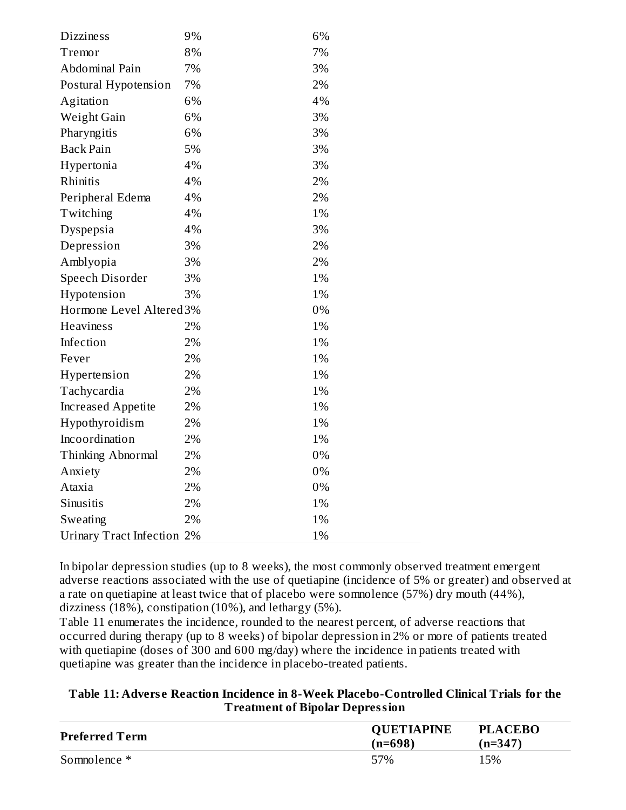| <b>Dizziness</b>                  | 9% | 6% |
|-----------------------------------|----|----|
| Tremor                            | 8% | 7% |
| Abdominal Pain                    | 7% | 3% |
| Postural Hypotension              | 7% | 2% |
| Agitation                         | 6% | 4% |
| Weight Gain                       | 6% | 3% |
| Pharyngitis                       | 6% | 3% |
| <b>Back Pain</b>                  | 5% | 3% |
| Hypertonia                        | 4% | 3% |
| Rhinitis                          | 4% | 2% |
| Peripheral Edema                  | 4% | 2% |
| Twitching                         | 4% | 1% |
| Dyspepsia                         | 4% | 3% |
| Depression                        | 3% | 2% |
| Amblyopia                         | 3% | 2% |
| Speech Disorder                   | 3% | 1% |
| Hypotension                       | 3% | 1% |
| Hormone Level Altered 3%          |    | 0% |
| <b>Heaviness</b>                  | 2% | 1% |
| Infection                         | 2% | 1% |
| Fever                             | 2% | 1% |
| Hypertension                      | 2% | 1% |
| Tachycardia                       | 2% | 1% |
| <b>Increased Appetite</b>         | 2% | 1% |
| Hypothyroidism                    | 2% | 1% |
| Incoordination                    | 2% | 1% |
| Thinking Abnormal                 | 2% | 0% |
| Anxiety                           | 2% | 0% |
| Ataxia                            | 2% | 0% |
| Sinusitis                         | 2% | 1% |
| Sweating                          | 2% | 1% |
| <b>Urinary Tract Infection 2%</b> |    | 1% |

In bipolar depression studies (up to 8 weeks), the most commonly observed treatment emergent adverse reactions associated with the use of quetiapine (incidence of 5% or greater) and observed at a rate on quetiapine at least twice that of placebo were somnolence (57%) dry mouth (44%), dizziness (18%), constipation (10%), and lethargy (5%).

Table 11 enumerates the incidence, rounded to the nearest percent, of adverse reactions that occurred during therapy (up to 8 weeks) of bipolar depression in 2% or more of patients treated with quetiapine (doses of 300 and 600 mg/day) where the incidence in patients treated with quetiapine was greater than the incidence in placebo-treated patients.

### **Table 11: Advers e Reaction Incidence in 8-Week Placebo-Controlled Clinical Trials for the Treatment of Bipolar Depression**

| <b>Preferred Term</b> | <b>QUETIAPINE</b><br>$(n=698)$ | <b>PLACEBO</b><br>$(n=347)$ |
|-----------------------|--------------------------------|-----------------------------|
| Somnolence *          | 57%                            | 15%                         |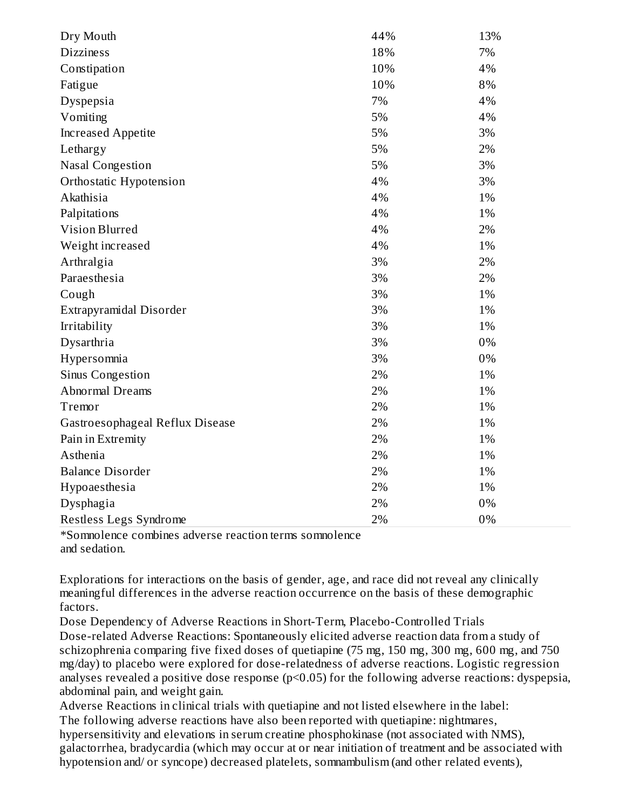| Dry Mouth                       | 44% | 13% |
|---------------------------------|-----|-----|
| <b>Dizziness</b>                | 18% | 7%  |
| Constipation                    | 10% | 4%  |
| Fatigue                         | 10% | 8%  |
| Dyspepsia                       | 7%  | 4%  |
| Vomiting                        | 5%  | 4%  |
| <b>Increased Appetite</b>       | 5%  | 3%  |
| Lethargy                        | 5%  | 2%  |
| <b>Nasal Congestion</b>         | 5%  | 3%  |
| Orthostatic Hypotension         | 4%  | 3%  |
| Akathisia                       | 4%  | 1%  |
| Palpitations                    | 4%  | 1%  |
| Vision Blurred                  | 4%  | 2%  |
| Weight increased                | 4%  | 1%  |
| Arthralgia                      | 3%  | 2%  |
| Paraesthesia                    | 3%  | 2%  |
| Cough                           | 3%  | 1%  |
| Extrapyramidal Disorder         | 3%  | 1%  |
| Irritability                    | 3%  | 1%  |
| Dysarthria                      | 3%  | 0%  |
| Hypersomnia                     | 3%  | 0%  |
| <b>Sinus Congestion</b>         | 2%  | 1%  |
| <b>Abnormal Dreams</b>          | 2%  | 1%  |
| Tremor                          | 2%  | 1%  |
| Gastroesophageal Reflux Disease | 2%  | 1%  |
| Pain in Extremity               | 2%  | 1%  |
| Asthenia                        | 2%  | 1%  |
| <b>Balance Disorder</b>         | 2%  | 1%  |
| Hypoaesthesia                   | 2%  | 1%  |
| Dysphagia                       | 2%  | 0%  |
| Restless Legs Syndrome          | 2%  | 0%  |

\*Somnolence combines adverse reaction terms somnolence and sedation.

Explorations for interactions on the basis of gender, age, and race did not reveal any clinically meaningful differences in the adverse reaction occurrence on the basis of these demographic factors.

Dose Dependency of Adverse Reactions in Short-Term, Placebo-Controlled Trials Dose-related Adverse Reactions: Spontaneously elicited adverse reaction data from a study of schizophrenia comparing five fixed doses of quetiapine (75 mg, 150 mg, 300 mg, 600 mg, and 750 mg/day) to placebo were explored for dose-relatedness of adverse reactions. Logistic regression analyses revealed a positive dose response (p<0.05) for the following adverse reactions: dyspepsia, abdominal pain, and weight gain.

Adverse Reactions in clinical trials with quetiapine and not listed elsewhere in the label: The following adverse reactions have also been reported with quetiapine: nightmares, hypersensitivity and elevations in serum creatine phosphokinase (not associated with NMS), galactorrhea, bradycardia (which may occur at or near initiation of treatment and be associated with hypotension and/ or syncope) decreased platelets, somnambulism (and other related events),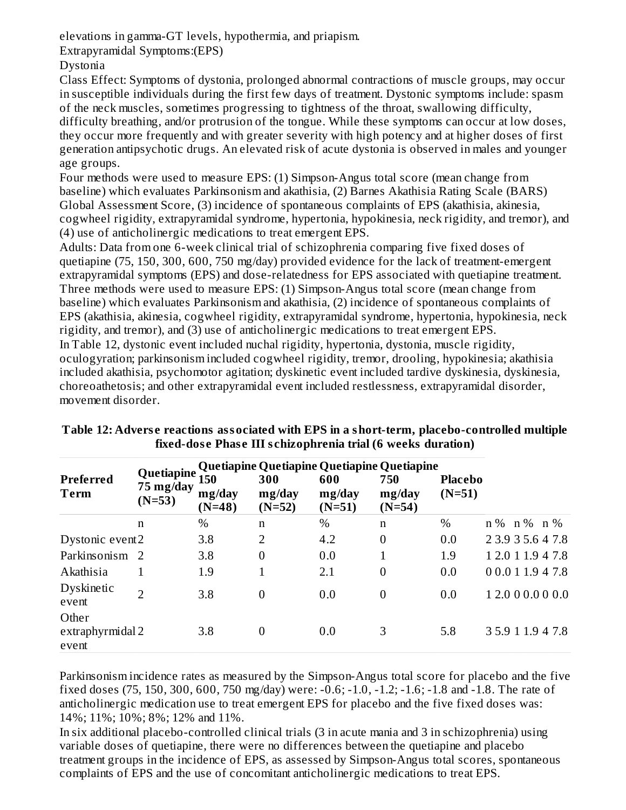elevations in gamma-GT levels, hypothermia, and priapism.

Extrapyramidal Symptoms:(EPS)

Dystonia

Class Effect: Symptoms of dystonia, prolonged abnormal contractions of muscle groups, may occur in susceptible individuals during the first few days of treatment. Dystonic symptoms include: spasm of the neck muscles, sometimes progressing to tightness of the throat, swallowing difficulty, difficulty breathing, and/or protrusion of the tongue. While these symptoms can occur at low doses, they occur more frequently and with greater severity with high potency and at higher doses of first generation antipsychotic drugs. An elevated risk of acute dystonia is observed in males and younger age groups.

Four methods were used to measure EPS: (1) Simpson-Angus total score (mean change from baseline) which evaluates Parkinsonism and akathisia, (2) Barnes Akathisia Rating Scale (BARS) Global Assessment Score, (3) incidence of spontaneous complaints of EPS (akathisia, akinesia, cogwheel rigidity, extrapyramidal syndrome, hypertonia, hypokinesia, neck rigidity, and tremor), and (4) use of anticholinergic medications to treat emergent EPS.

Adults: Data from one 6-week clinical trial of schizophrenia comparing five fixed doses of quetiapine (75, 150, 300, 600, 750 mg/day) provided evidence for the lack of treatment-emergent extrapyramidal symptoms (EPS) and dose-relatedness for EPS associated with quetiapine treatment. Three methods were used to measure EPS: (1) Simpson-Angus total score (mean change from baseline) which evaluates Parkinsonism and akathisia, (2) incidence of spontaneous complaints of EPS (akathisia, akinesia, cogwheel rigidity, extrapyramidal syndrome, hypertonia, hypokinesia, neck rigidity, and tremor), and (3) use of anticholinergic medications to treat emergent EPS. In Table 12, dystonic event included nuchal rigidity, hypertonia, dystonia, muscle rigidity, oculogyration; parkinsonism included cogwheel rigidity, tremor, drooling, hypokinesia; akathisia included akathisia, psychomotor agitation; dyskinetic event included tardive dyskinesia, dyskinesia, choreoathetosis; and other extrapyramidal event included restlessness, extrapyramidal disorder, movement disorder.

|                                    | Quetiapine            |                           |                           |                           | Quetiapine Quetiapine Quetiapine Quetiapine |                            |                   |
|------------------------------------|-----------------------|---------------------------|---------------------------|---------------------------|---------------------------------------------|----------------------------|-------------------|
| Preferred<br>Term                  | 75 mg/day<br>$(N=53)$ | 150<br>mg/day<br>$(N=48)$ | 300<br>mg/day<br>$(N=52)$ | 600<br>mg/day<br>$(N=51)$ | 750<br>mg/day<br>$(N=54)$                   | <b>Placebo</b><br>$(N=51)$ |                   |
|                                    | n                     | $\%$                      | n                         | %                         | n                                           | $\%$                       | $n\%$ $n\%$ $n\%$ |
| Dystonic event <sub>2</sub>        |                       | 3.8                       | 2                         | 4.2                       | $\boldsymbol{0}$                            | 0.0                        | 2 3.9 3 5.6 4 7.8 |
| Parkinsonism <sub>2</sub>          |                       | 3.8                       | 0                         | 0.0                       | 1                                           | 1.9                        | 1 2.0 1 1.9 4 7.8 |
| Akathisia                          |                       | 1.9                       | $\overline{1}$            | 2.1                       | 0                                           | 0.0                        | 0 0 0 1 1 9 4 7 8 |
| Dyskinetic<br>event                | $\overline{2}$        | 3.8                       | $\overline{0}$            | 0.0                       | 0                                           | 0.0                        | 1 2.0 0 0.0 0 0.0 |
| Other<br>extraphyrmidal 2<br>event |                       | 3.8                       | $\theta$                  | 0.0                       | 3                                           | 5.8                        | 3 5.9 1 1.9 4 7.8 |

# **Table 12: Advers e reactions associated with EPS in a short-term, placebo-controlled multiple fixed-dos e Phas e III s chizophrenia trial (6 weeks duration)**

Parkinsonism incidence rates as measured by the Simpson-Angus total score for placebo and the five fixed doses (75, 150, 300, 600, 750 mg/day) were: -0.6; -1.0, -1.2; -1.6; -1.8 and -1.8. The rate of anticholinergic medication use to treat emergent EPS for placebo and the five fixed doses was: 14%; 11%; 10%; 8%; 12% and 11%.

In six additional placebo-controlled clinical trials (3 in acute mania and 3 in schizophrenia) using variable doses of quetiapine, there were no differences between the quetiapine and placebo treatment groups in the incidence of EPS, as assessed by Simpson-Angus total scores, spontaneous complaints of EPS and the use of concomitant anticholinergic medications to treat EPS.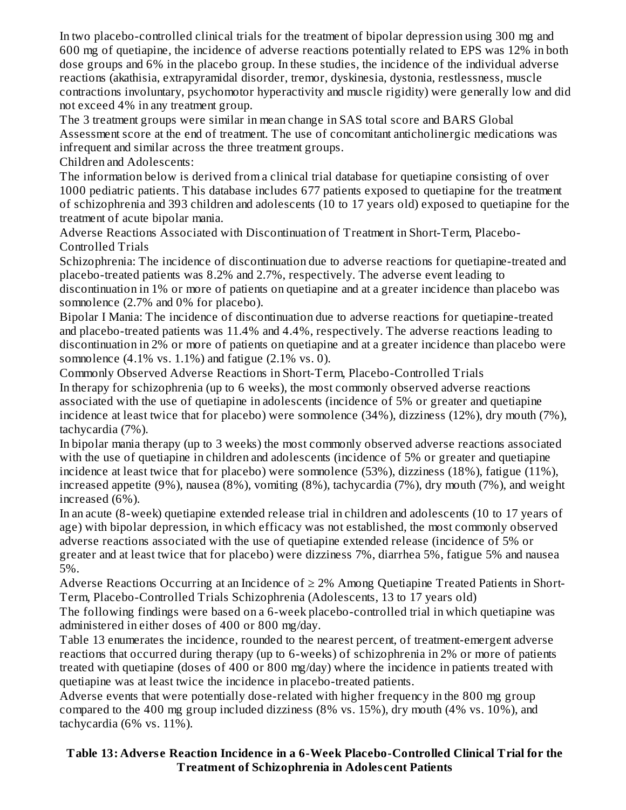In two placebo-controlled clinical trials for the treatment of bipolar depression using 300 mg and 600 mg of quetiapine, the incidence of adverse reactions potentially related to EPS was 12% in both dose groups and 6% in the placebo group. In these studies, the incidence of the individual adverse reactions (akathisia, extrapyramidal disorder, tremor, dyskinesia, dystonia, restlessness, muscle contractions involuntary, psychomotor hyperactivity and muscle rigidity) were generally low and did not exceed 4% in any treatment group.

The 3 treatment groups were similar in mean change in SAS total score and BARS Global Assessment score at the end of treatment. The use of concomitant anticholinergic medications was infrequent and similar across the three treatment groups.

Children and Adolescents:

The information below is derived from a clinical trial database for quetiapine consisting of over 1000 pediatric patients. This database includes 677 patients exposed to quetiapine for the treatment of schizophrenia and 393 children and adolescents (10 to 17 years old) exposed to quetiapine for the treatment of acute bipolar mania.

Adverse Reactions Associated with Discontinuation of Treatment in Short-Term, Placebo-Controlled Trials

Schizophrenia: The incidence of discontinuation due to adverse reactions for quetiapine-treated and placebo-treated patients was 8.2% and 2.7%, respectively. The adverse event leading to discontinuation in 1% or more of patients on quetiapine and at a greater incidence than placebo was somnolence (2.7% and 0% for placebo).

Bipolar I Mania: The incidence of discontinuation due to adverse reactions for quetiapine-treated and placebo-treated patients was 11.4% and 4.4%, respectively. The adverse reactions leading to discontinuation in 2% or more of patients on quetiapine and at a greater incidence than placebo were somnolence (4.1% vs. 1.1%) and fatigue (2.1% vs. 0).

Commonly Observed Adverse Reactions in Short-Term, Placebo-Controlled Trials In therapy for schizophrenia (up to 6 weeks), the most commonly observed adverse reactions associated with the use of quetiapine in adolescents (incidence of 5% or greater and quetiapine incidence at least twice that for placebo) were somnolence (34%), dizziness (12%), dry mouth (7%), tachycardia (7%).

In bipolar mania therapy (up to 3 weeks) the most commonly observed adverse reactions associated with the use of quetiapine in children and adolescents (incidence of 5% or greater and quetiapine incidence at least twice that for placebo) were somnolence (53%), dizziness (18%), fatigue (11%), increased appetite (9%), nausea (8%), vomiting (8%), tachycardia (7%), dry mouth (7%), and weight increased (6%).

In an acute (8-week) quetiapine extended release trial in children and adolescents (10 to 17 years of age) with bipolar depression, in which efficacy was not established, the most commonly observed adverse reactions associated with the use of quetiapine extended release (incidence of 5% or greater and at least twice that for placebo) were dizziness 7%, diarrhea 5%, fatigue 5% and nausea 5%.

Adverse Reactions Occurring at an Incidence of  $\geq 2\%$  Among Quetiapine Treated Patients in Short-Term, Placebo-Controlled Trials Schizophrenia (Adolescents, 13 to 17 years old)

The following findings were based on a 6-week placebo-controlled trial in which quetiapine was administered in either doses of 400 or 800 mg/day.

Table 13 enumerates the incidence, rounded to the nearest percent, of treatment-emergent adverse reactions that occurred during therapy (up to 6-weeks) of schizophrenia in 2% or more of patients treated with quetiapine (doses of 400 or 800 mg/day) where the incidence in patients treated with quetiapine was at least twice the incidence in placebo-treated patients.

Adverse events that were potentially dose-related with higher frequency in the 800 mg group compared to the 400 mg group included dizziness (8% vs. 15%), dry mouth (4% vs. 10%), and tachycardia (6% vs. 11%).

**Table 13: Advers e Reaction Incidence in a 6-Week Placebo-Controlled Clinical Trial for the Treatment of Schizophrenia in Adoles cent Patients**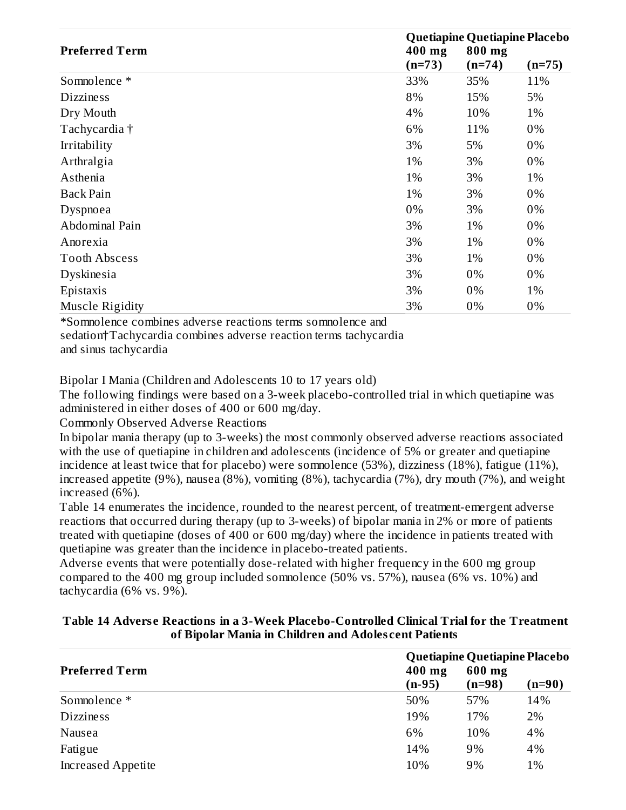|                       |                    |                    | Quetiapine Quetiapine Placebo |
|-----------------------|--------------------|--------------------|-------------------------------|
| <b>Preferred Term</b> | 400 mg<br>$(n=73)$ | 800 mg<br>$(n=74)$ | $(n=75)$                      |
| Somnolence *          | 33%                | 35%                | 11%                           |
| <b>Dizziness</b>      | 8%                 | 15%                | 5%                            |
| Dry Mouth             | 4%                 | 10%                | 1%                            |
| Tachycardia †         | 6%                 | 11%                | 0%                            |
| Irritability          | 3%                 | 5%                 | 0%                            |
| Arthralgia            | 1%                 | 3%                 | 0%                            |
| Asthenia              | 1%                 | 3%                 | 1%                            |
| <b>Back Pain</b>      | 1%                 | 3%                 | 0%                            |
| Dyspnoea              | 0%                 | 3%                 | 0%                            |
| Abdominal Pain        | 3%                 | 1%                 | 0%                            |
| Anorexia              | 3%                 | 1%                 | 0%                            |
| <b>Tooth Abscess</b>  | 3%                 | 1%                 | 0%                            |
| Dyskinesia            | 3%                 | $0\%$              | 0%                            |
| Epistaxis             | 3%                 | $0\%$              | 1%                            |
| Muscle Rigidity       | 3%                 | 0%                 | 0%                            |

\*Somnolence combines adverse reactions terms somnolence and sedation†Tachycardia combines adverse reaction terms tachycardia and sinus tachycardia

Bipolar I Mania (Children and Adolescents 10 to 17 years old)

The following findings were based on a 3-week placebo-controlled trial in which quetiapine was administered in either doses of 400 or 600 mg/day.

Commonly Observed Adverse Reactions

In bipolar mania therapy (up to 3-weeks) the most commonly observed adverse reactions associated with the use of quetiapine in children and adolescents (incidence of 5% or greater and quetiapine incidence at least twice that for placebo) were somnolence (53%), dizziness (18%), fatigue (11%), increased appetite (9%), nausea (8%), vomiting (8%), tachycardia (7%), dry mouth (7%), and weight increased (6%).

Table 14 enumerates the incidence, rounded to the nearest percent, of treatment-emergent adverse reactions that occurred during therapy (up to 3-weeks) of bipolar mania in 2% or more of patients treated with quetiapine (doses of 400 or 600 mg/day) where the incidence in patients treated with quetiapine was greater than the incidence in placebo-treated patients.

Adverse events that were potentially dose-related with higher frequency in the 600 mg group compared to the 400 mg group included somnolence (50% vs. 57%), nausea (6% vs. 10%) and tachycardia (6% vs. 9%).

| Table 14 Adverse Reactions in a 3-Week Placebo-Controlled Clinical Trial for the Treatment |
|--------------------------------------------------------------------------------------------|
| of Bipolar Mania in Children and Adolescent Patients                                       |

| <b>Preferred Term</b>     | $400$ mg | Quetiapine Quetiapine Placebo<br>600 mg |          |
|---------------------------|----------|-----------------------------------------|----------|
|                           | $(n-95)$ | $(n=98)$                                | $(n=90)$ |
| Somnolence *              | 50%      | 57%                                     | 14%      |
| <b>Dizziness</b>          | 19%      | 17%                                     | 2%       |
| Nausea                    | 6%       | 10%                                     | 4%       |
| Fatigue                   | 14%      | 9%                                      | 4%       |
| <b>Increased Appetite</b> | 10%      | 9%                                      | 1%       |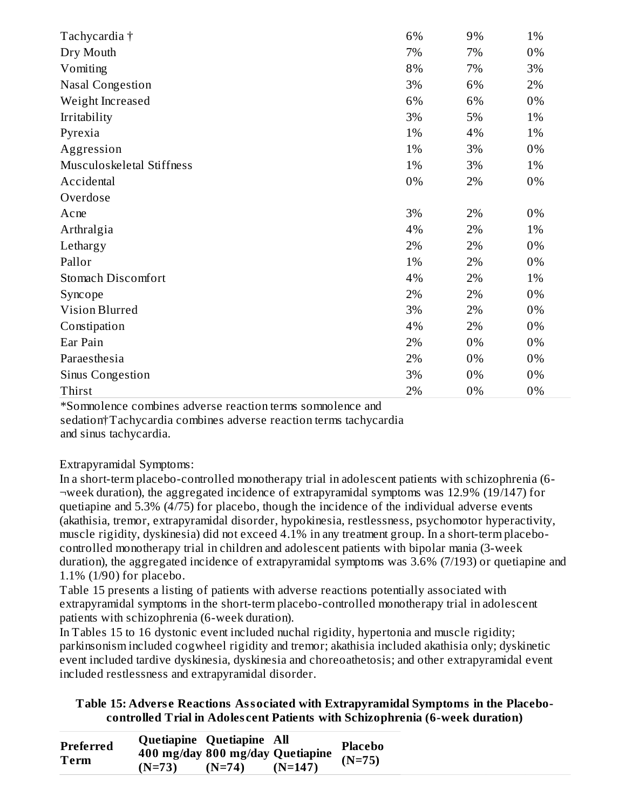| Tachycardia †             | 6% | 9% | 1% |
|---------------------------|----|----|----|
| Dry Mouth                 | 7% | 7% | 0% |
| Vomiting                  | 8% | 7% | 3% |
| <b>Nasal Congestion</b>   | 3% | 6% | 2% |
| Weight Increased          | 6% | 6% | 0% |
| Irritability              | 3% | 5% | 1% |
| Pyrexia                   | 1% | 4% | 1% |
| Aggression                | 1% | 3% | 0% |
| Musculoskeletal Stiffness | 1% | 3% | 1% |
| Accidental                | 0% | 2% | 0% |
| Overdose                  |    |    |    |
| Acne                      | 3% | 2% | 0% |
| Arthralgia                | 4% | 2% | 1% |
| Lethargy                  | 2% | 2% | 0% |
| Pallor                    | 1% | 2% | 0% |
| <b>Stomach Discomfort</b> | 4% | 2% | 1% |
| Syncope                   | 2% | 2% | 0% |
| Vision Blurred            | 3% | 2% | 0% |
| Constipation              | 4% | 2% | 0% |
| Ear Pain                  | 2% | 0% | 0% |
| Paraesthesia              | 2% | 0% | 0% |
| <b>Sinus Congestion</b>   | 3% | 0% | 0% |
| Thirst                    | 2% | 0% | 0% |

\*Somnolence combines adverse reaction terms somnolence and sedation†Tachycardia combines adverse reaction terms tachycardia and sinus tachycardia.

Extrapyramidal Symptoms:

In a short-term placebo-controlled monotherapy trial in adolescent patients with schizophrenia (6- ¬week duration), the aggregated incidence of extrapyramidal symptoms was 12.9% (19/147) for quetiapine and 5.3% (4/75) for placebo, though the incidence of the individual adverse events (akathisia, tremor, extrapyramidal disorder, hypokinesia, restlessness, psychomotor hyperactivity, muscle rigidity, dyskinesia) did not exceed 4.1% in any treatment group. In a short-term placebocontrolled monotherapy trial in children and adolescent patients with bipolar mania (3-week duration), the aggregated incidence of extrapyramidal symptoms was 3.6% (7/193) or quetiapine and 1.1% (1/90) for placebo.

Table 15 presents a listing of patients with adverse reactions potentially associated with extrapyramidal symptoms in the short-term placebo-controlled monotherapy trial in adolescent patients with schizophrenia (6-week duration).

In Tables 15 to 16 dystonic event included nuchal rigidity, hypertonia and muscle rigidity; parkinsonism included cogwheel rigidity and tremor; akathisia included akathisia only; dyskinetic event included tardive dyskinesia, dyskinesia and choreoathetosis; and other extrapyramidal event included restlessness and extrapyramidal disorder.

### **Table 15: Advers e Reactions Associated with Extrapyramidal Symptoms in the Placebocontrolled Trial in Adoles cent Patients with Schizophrenia (6-week duration)**

| Preferred<br>Term |          | Quetiapine Quetiapine All        |           | <b>Placebo</b> |
|-------------------|----------|----------------------------------|-----------|----------------|
|                   |          | 400 mg/day 800 mg/day Quetiapine |           | $(N=75)$       |
|                   | $(N=73)$ | $(N=74)$                         | $(N=147)$ |                |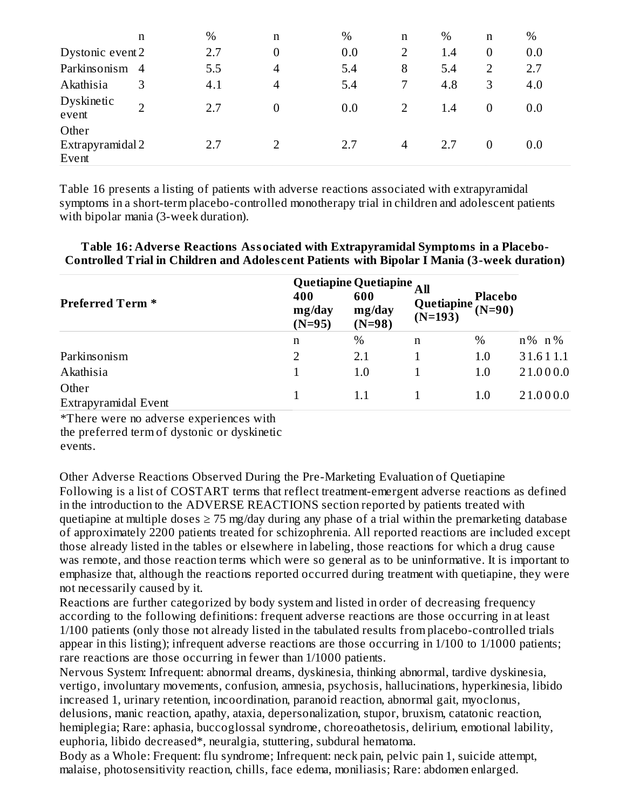|                                    | n | $\%$ | n                | %   | $\mathbf n$    | $\%$ | $\mathbf n$      | $\%$ |
|------------------------------------|---|------|------------------|-----|----------------|------|------------------|------|
| Dystonic event 2                   |   | 2.7  | $\boldsymbol{0}$ | 0.0 | 2              | 1.4  | $\boldsymbol{0}$ | 0.0  |
| Parkinsonism 4                     |   | 5.5  | $\overline{4}$   | 5.4 | 8              | 5.4  | 2                | 2.7  |
| Akathisia                          | 3 | 4.1  | $\overline{4}$   | 5.4 | 7              | 4.8  | 3                | 4.0  |
| Dyskinetic<br>event                | ר | 2.7  | $\overline{0}$   | 0.0 |                | 1.4  | $\overline{0}$   | 0.0  |
| Other<br>Extrapyramidal 2<br>Event |   | 2.7  |                  | 2.7 | $\overline{4}$ | 2.7  | $\Omega$         | 0.0  |

Table 16 presents a listing of patients with adverse reactions associated with extrapyramidal symptoms in a short-term placebo-controlled monotherapy trial in children and adolescent patients with bipolar mania (3-week duration).

#### **Table 16: Advers e Reactions Associated with Extrapyramidal Symptoms in a Placebo-Controlled Trial in Children and Adoles cent Patients with Bipolar I Mania (3-week duration)**

| <b>Preferred Term *</b>       | Quetiapine Quetiapine <sub>All</sub><br>400<br>mg/day<br>$(N=95)$ | 600<br>mg/day<br>$(N=98)$ | Quetiapine $\bar{N}$ (N=90)<br>$(N=193)$ | <b>Placebo</b> |             |
|-------------------------------|-------------------------------------------------------------------|---------------------------|------------------------------------------|----------------|-------------|
|                               | $\mathbf n$                                                       | %                         | n                                        | $\%$           | $n\%$ $n\%$ |
| Parkinsonism                  | 2                                                                 | 2.1                       |                                          | $1.0\,$        | 31.611.1    |
| Akathisia                     |                                                                   | 1.0                       |                                          | 1.0            | 21.000.0    |
| Other<br>Extrapyramidal Event |                                                                   | 1.1                       |                                          | $1.0\,$        | 21.000.0    |

\*There were no adverse experiences with the preferred term of dystonic or dyskinetic events.

Other Adverse Reactions Observed During the Pre-Marketing Evaluation of Quetiapine Following is a list of COSTART terms that reflect treatment-emergent adverse reactions as defined in the introduction to the ADVERSE REACTIONS section reported by patients treated with quetiapine at multiple doses  $\geq$  75 mg/day during any phase of a trial within the premarketing database of approximately 2200 patients treated for schizophrenia. All reported reactions are included except those already listed in the tables or elsewhere in labeling, those reactions for which a drug cause was remote, and those reaction terms which were so general as to be uninformative. It is important to emphasize that, although the reactions reported occurred during treatment with quetiapine, they were not necessarily caused by it.

Reactions are further categorized by body system and listed in order of decreasing frequency according to the following definitions: frequent adverse reactions are those occurring in at least 1/100 patients (only those not already listed in the tabulated results from placebo-controlled trials appear in this listing); infrequent adverse reactions are those occurring in 1/100 to 1/1000 patients; rare reactions are those occurring in fewer than 1/1000 patients.

Nervous System: Infrequent: abnormal dreams, dyskinesia, thinking abnormal, tardive dyskinesia, vertigo, involuntary movements, confusion, amnesia, psychosis, hallucinations, hyperkinesia, libido increased 1, urinary retention, incoordination, paranoid reaction, abnormal gait, myoclonus, delusions, manic reaction, apathy, ataxia, depersonalization, stupor, bruxism, catatonic reaction, hemiplegia; Rare: aphasia, buccoglossal syndrome, choreoathetosis, delirium, emotional lability, euphoria, libido decreased\*, neuralgia, stuttering, subdural hematoma.

Body as a Whole: Frequent: flu syndrome; Infrequent: neck pain, pelvic pain 1, suicide attempt, malaise, photosensitivity reaction, chills, face edema, moniliasis; Rare: abdomen enlarged.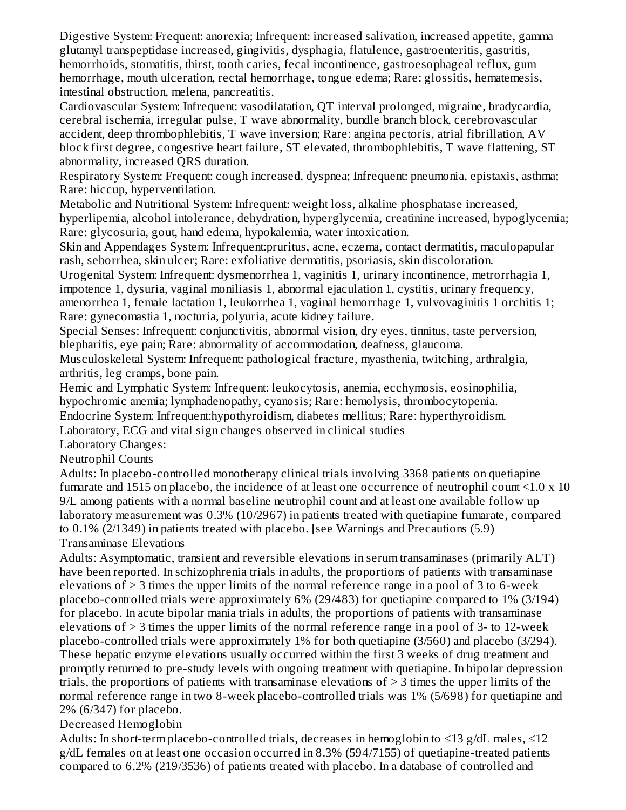Digestive System: Frequent: anorexia; Infrequent: increased salivation, increased appetite, gamma glutamyl transpeptidase increased, gingivitis, dysphagia, flatulence, gastroenteritis, gastritis, hemorrhoids, stomatitis, thirst, tooth caries, fecal incontinence, gastroesophageal reflux, gum hemorrhage, mouth ulceration, rectal hemorrhage, tongue edema; Rare: glossitis, hematemesis, intestinal obstruction, melena, pancreatitis.

Cardiovascular System: Infrequent: vasodilatation, QT interval prolonged, migraine, bradycardia, cerebral ischemia, irregular pulse, T wave abnormality, bundle branch block, cerebrovascular accident, deep thrombophlebitis, T wave inversion; Rare: angina pectoris, atrial fibrillation, AV block first degree, congestive heart failure, ST elevated, thrombophlebitis, T wave flattening, ST abnormality, increased QRS duration.

Respiratory System: Frequent: cough increased, dyspnea; Infrequent: pneumonia, epistaxis, asthma; Rare: hiccup, hyperventilation.

Metabolic and Nutritional System: Infrequent: weight loss, alkaline phosphatase increased, hyperlipemia, alcohol intolerance, dehydration, hyperglycemia, creatinine increased, hypoglycemia; Rare: glycosuria, gout, hand edema, hypokalemia, water intoxication.

Skin and Appendages System: Infrequent:pruritus, acne, eczema, contact dermatitis, maculopapular rash, seborrhea, skin ulcer; Rare: exfoliative dermatitis, psoriasis, skin discoloration.

Urogenital System: Infrequent: dysmenorrhea 1, vaginitis 1, urinary incontinence, metrorrhagia 1, impotence 1, dysuria, vaginal moniliasis 1, abnormal ejaculation 1, cystitis, urinary frequency, amenorrhea 1, female lactation 1, leukorrhea 1, vaginal hemorrhage 1, vulvovaginitis 1 orchitis 1; Rare: gynecomastia 1, nocturia, polyuria, acute kidney failure.

Special Senses: Infrequent: conjunctivitis, abnormal vision, dry eyes, tinnitus, taste perversion, blepharitis, eye pain; Rare: abnormality of accommodation, deafness, glaucoma.

Musculoskeletal System: Infrequent: pathological fracture, myasthenia, twitching, arthralgia, arthritis, leg cramps, bone pain.

Hemic and Lymphatic System: Infrequent: leukocytosis, anemia, ecchymosis, eosinophilia, hypochromic anemia; lymphadenopathy, cyanosis; Rare: hemolysis, thrombocytopenia.

Endocrine System: Infrequent:hypothyroidism, diabetes mellitus; Rare: hyperthyroidism.

Laboratory, ECG and vital sign changes observed in clinical studies

Laboratory Changes:

Neutrophil Counts

Adults: In placebo-controlled monotherapy clinical trials involving 3368 patients on quetiapine fumarate and 1515 on placebo, the incidence of at least one occurrence of neutrophil count <1.0 x 10 9/L among patients with a normal baseline neutrophil count and at least one available follow up laboratory measurement was 0.3% (10/2967) in patients treated with quetiapine fumarate, compared to 0.1% (2/1349) in patients treated with placebo. [see Warnings and Precautions (5.9) Transaminase Elevations

Adults: Asymptomatic, transient and reversible elevations in serum transaminases (primarily ALT) have been reported. In schizophrenia trials in adults, the proportions of patients with transaminase elevations of > 3 times the upper limits of the normal reference range in a pool of 3 to 6-week placebo-controlled trials were approximately 6% (29/483) for quetiapine compared to 1% (3/194) for placebo. In acute bipolar mania trials in adults, the proportions of patients with transaminase elevations of  $>$  3 times the upper limits of the normal reference range in a pool of 3- to 12-week placebo-controlled trials were approximately 1% for both quetiapine (3/560) and placebo (3/294). These hepatic enzyme elevations usually occurred within the first 3 weeks of drug treatment and promptly returned to pre-study levels with ongoing treatment with quetiapine. In bipolar depression trials, the proportions of patients with transaminase elevations of > 3 times the upper limits of the normal reference range in two 8-week placebo-controlled trials was 1% (5/698) for quetiapine and 2% (6/347) for placebo.

# Decreased Hemoglobin

Adults: In short-term placebo-controlled trials, decreases in hemoglobin to ≤13 g/dL males, ≤12 g/dL females on at least one occasion occurred in 8.3% (594/7155) of quetiapine-treated patients compared to 6.2% (219/3536) of patients treated with placebo. In a database of controlled and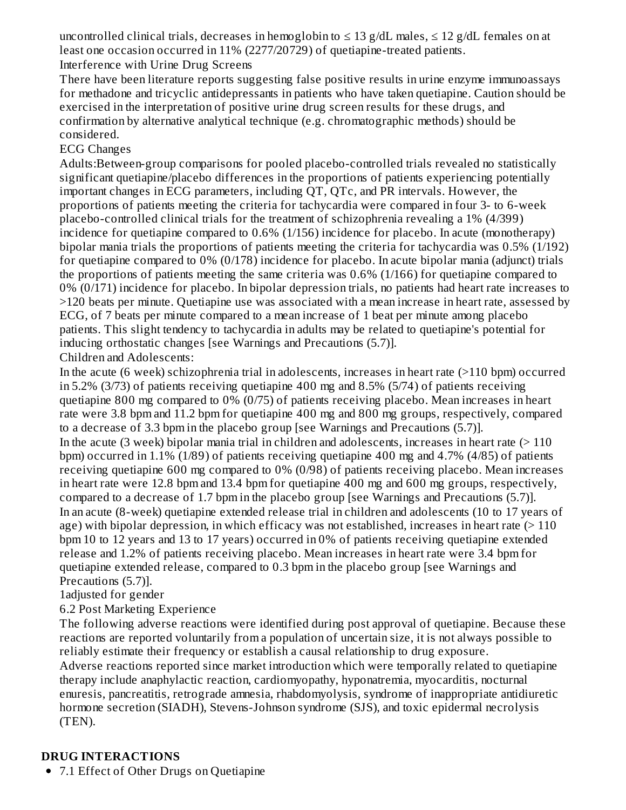uncontrolled clinical trials, decreases in hemoglobin to  $\leq 13$  g/dL males,  $\leq 12$  g/dL females on at least one occasion occurred in 11% (2277/20729) of quetiapine-treated patients. Interference with Urine Drug Screens

There have been literature reports suggesting false positive results in urine enzyme immunoassays for methadone and tricyclic antidepressants in patients who have taken quetiapine. Caution should be exercised in the interpretation of positive urine drug screen results for these drugs, and confirmation by alternative analytical technique (e.g. chromatographic methods) should be considered.

# ECG Changes

Adults:Between-group comparisons for pooled placebo-controlled trials revealed no statistically significant quetiapine/placebo differences in the proportions of patients experiencing potentially important changes in ECG parameters, including QT, QTc, and PR intervals. However, the proportions of patients meeting the criteria for tachycardia were compared in four 3- to 6-week placebo-controlled clinical trials for the treatment of schizophrenia revealing a 1% (4/399) incidence for quetiapine compared to 0.6% (1/156) incidence for placebo. In acute (monotherapy) bipolar mania trials the proportions of patients meeting the criteria for tachycardia was 0.5% (1/192) for quetiapine compared to 0% (0/178) incidence for placebo. In acute bipolar mania (adjunct) trials the proportions of patients meeting the same criteria was 0.6% (1/166) for quetiapine compared to 0% (0/171) incidence for placebo. In bipolar depression trials, no patients had heart rate increases to >120 beats per minute. Quetiapine use was associated with a mean increase in heart rate, assessed by ECG, of 7 beats per minute compared to a mean increase of 1 beat per minute among placebo patients. This slight tendency to tachycardia in adults may be related to quetiapine's potential for inducing orthostatic changes [see Warnings and Precautions (5.7)]. Children and Adolescents:

In the acute (6 week) schizophrenia trial in adolescents, increases in heart rate (>110 bpm) occurred in 5.2% (3/73) of patients receiving quetiapine 400 mg and 8.5% (5/74) of patients receiving quetiapine 800 mg compared to 0% (0/75) of patients receiving placebo. Mean increases in heart rate were 3.8 bpm and 11.2 bpm for quetiapine 400 mg and 800 mg groups, respectively, compared to a decrease of 3.3 bpm in the placebo group [see Warnings and Precautions (5.7)]. In the acute (3 week) bipolar mania trial in children and adolescents, increases in heart rate ( $>110$ ) bpm) occurred in 1.1% (1/89) of patients receiving quetiapine 400 mg and 4.7% (4/85) of patients receiving quetiapine 600 mg compared to 0% (0/98) of patients receiving placebo. Mean increases in heart rate were 12.8 bpm and 13.4 bpm for quetiapine 400 mg and 600 mg groups, respectively, compared to a decrease of 1.7 bpm in the placebo group [see Warnings and Precautions (5.7)]. In an acute (8-week) quetiapine extended release trial in children and adolescents (10 to 17 years of age) with bipolar depression, in which efficacy was not established, increases in heart rate  $(>110$ bpm 10 to 12 years and 13 to 17 years) occurred in 0% of patients receiving quetiapine extended release and 1.2% of patients receiving placebo. Mean increases in heart rate were 3.4 bpm for quetiapine extended release, compared to 0.3 bpm in the placebo group [see Warnings and Precautions (5.7)].

1adjusted for gender

# 6.2 Post Marketing Experience

The following adverse reactions were identified during post approval of quetiapine. Because these reactions are reported voluntarily from a population of uncertain size, it is not always possible to reliably estimate their frequency or establish a causal relationship to drug exposure. Adverse reactions reported since market introduction which were temporally related to quetiapine therapy include anaphylactic reaction, cardiomyopathy, hyponatremia, myocarditis, nocturnal enuresis, pancreatitis, retrograde amnesia, rhabdomyolysis, syndrome of inappropriate antidiuretic hormone secretion (SIADH), Stevens-Johnson syndrome (SJS), and toxic epidermal necrolysis (TEN).

# **DRUG INTERACTIONS**

7.1 Effect of Other Drugs on Quetiapine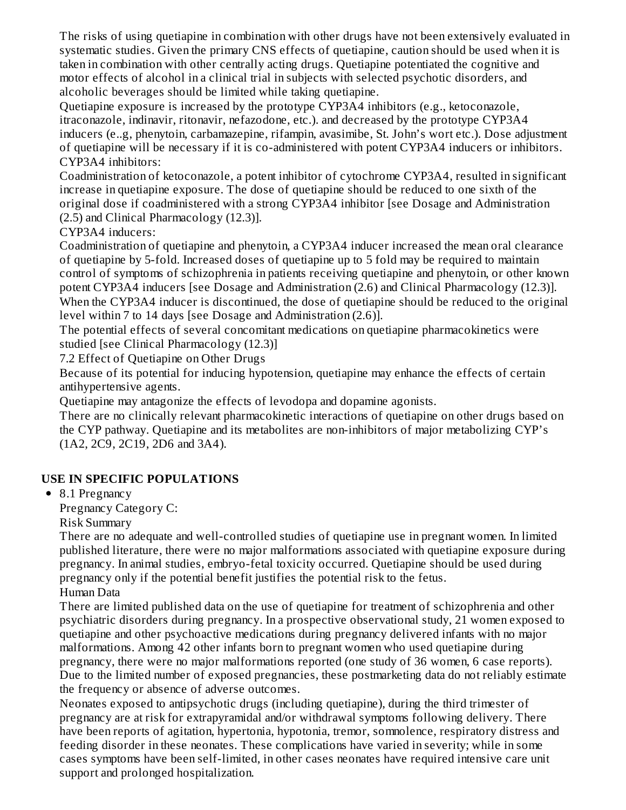The risks of using quetiapine in combination with other drugs have not been extensively evaluated in systematic studies. Given the primary CNS effects of quetiapine, caution should be used when it is taken in combination with other centrally acting drugs. Quetiapine potentiated the cognitive and motor effects of alcohol in a clinical trial in subjects with selected psychotic disorders, and alcoholic beverages should be limited while taking quetiapine.

Quetiapine exposure is increased by the prototype CYP3A4 inhibitors (e.g., ketoconazole, itraconazole, indinavir, ritonavir, nefazodone, etc.). and decreased by the prototype CYP3A4 inducers (e..g, phenytoin, carbamazepine, rifampin, avasimibe, St. John's wort etc.). Dose adjustment of quetiapine will be necessary if it is co-administered with potent CYP3A4 inducers or inhibitors. CYP3A4 inhibitors:

Coadministration of ketoconazole, a potent inhibitor of cytochrome CYP3A4, resulted in significant increase in quetiapine exposure. The dose of quetiapine should be reduced to one sixth of the original dose if coadministered with a strong CYP3A4 inhibitor [see Dosage and Administration (2.5) and Clinical Pharmacology (12.3)].

CYP3A4 inducers:

Coadministration of quetiapine and phenytoin, a CYP3A4 inducer increased the mean oral clearance of quetiapine by 5-fold. Increased doses of quetiapine up to 5 fold may be required to maintain control of symptoms of schizophrenia in patients receiving quetiapine and phenytoin, or other known potent CYP3A4 inducers [see Dosage and Administration (2.6) and Clinical Pharmacology (12.3)]. When the CYP3A4 inducer is discontinued, the dose of quetiapine should be reduced to the original level within 7 to 14 days [see Dosage and Administration (2.6)].

The potential effects of several concomitant medications on quetiapine pharmacokinetics were studied [see Clinical Pharmacology (12.3)]

7.2 Effect of Quetiapine on Other Drugs

Because of its potential for inducing hypotension, quetiapine may enhance the effects of certain antihypertensive agents.

Quetiapine may antagonize the effects of levodopa and dopamine agonists.

There are no clinically relevant pharmacokinetic interactions of quetiapine on other drugs based on the CYP pathway. Quetiapine and its metabolites are non-inhibitors of major metabolizing CYP's (1A2, 2C9, 2C19, 2D6 and 3A4).

# **USE IN SPECIFIC POPULATIONS**

• 8.1 Pregnancy

Pregnancy Category C:

Risk Summary

There are no adequate and well-controlled studies of quetiapine use in pregnant women. In limited published literature, there were no major malformations associated with quetiapine exposure during pregnancy. In animal studies, embryo-fetal toxicity occurred. Quetiapine should be used during pregnancy only if the potential benefit justifies the potential risk to the fetus. Human Data

There are limited published data on the use of quetiapine for treatment of schizophrenia and other psychiatric disorders during pregnancy. In a prospective observational study, 21 women exposed to quetiapine and other psychoactive medications during pregnancy delivered infants with no major malformations. Among 42 other infants born to pregnant women who used quetiapine during pregnancy, there were no major malformations reported (one study of 36 women, 6 case reports). Due to the limited number of exposed pregnancies, these postmarketing data do not reliably estimate the frequency or absence of adverse outcomes.

Neonates exposed to antipsychotic drugs (including quetiapine), during the third trimester of pregnancy are at risk for extrapyramidal and/or withdrawal symptoms following delivery. There have been reports of agitation, hypertonia, hypotonia, tremor, somnolence, respiratory distress and feeding disorder in these neonates. These complications have varied in severity; while in some cases symptoms have been self-limited, in other cases neonates have required intensive care unit support and prolonged hospitalization.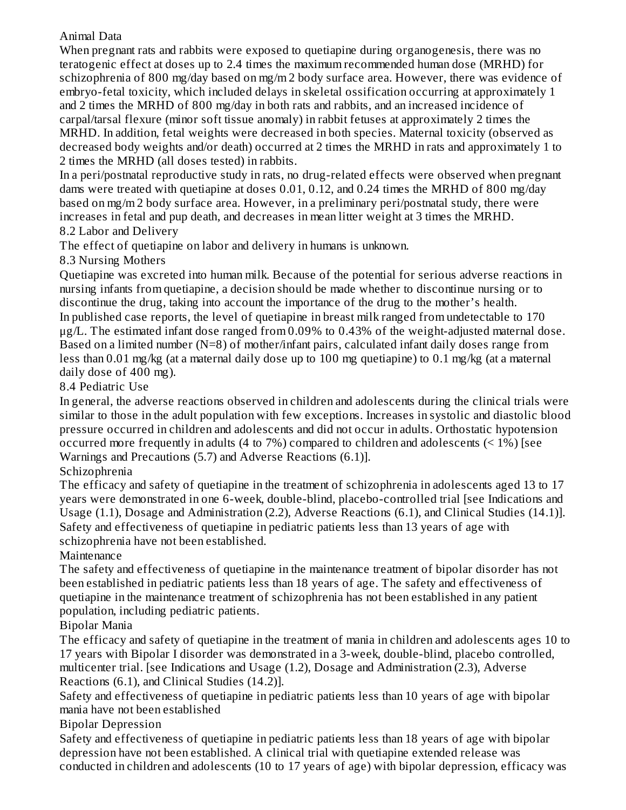# Animal Data

When pregnant rats and rabbits were exposed to quetiapine during organogenesis, there was no teratogenic effect at doses up to 2.4 times the maximum recommended human dose (MRHD) for schizophrenia of 800 mg/day based on mg/m 2 body surface area. However, there was evidence of embryo-fetal toxicity, which included delays in skeletal ossification occurring at approximately 1 and 2 times the MRHD of 800 mg/day in both rats and rabbits, and an increased incidence of carpal/tarsal flexure (minor soft tissue anomaly) in rabbit fetuses at approximately 2 times the MRHD. In addition, fetal weights were decreased in both species. Maternal toxicity (observed as decreased body weights and/or death) occurred at 2 times the MRHD in rats and approximately 1 to 2 times the MRHD (all doses tested) in rabbits.

In a peri/postnatal reproductive study in rats, no drug-related effects were observed when pregnant dams were treated with quetiapine at doses 0.01, 0.12, and 0.24 times the MRHD of 800 mg/day based on mg/m 2 body surface area. However, in a preliminary peri/postnatal study, there were increases in fetal and pup death, and decreases in mean litter weight at 3 times the MRHD. 8.2 Labor and Delivery

The effect of quetiapine on labor and delivery in humans is unknown.

8.3 Nursing Mothers

Quetiapine was excreted into human milk. Because of the potential for serious adverse reactions in nursing infants from quetiapine, a decision should be made whether to discontinue nursing or to discontinue the drug, taking into account the importance of the drug to the mother's health. In published case reports, the level of quetiapine in breast milk ranged from undetectable to 170 μg/L. The estimated infant dose ranged from 0.09% to 0.43% of the weight-adjusted maternal dose. Based on a limited number (N=8) of mother/infant pairs, calculated infant daily doses range from less than 0.01 mg/kg (at a maternal daily dose up to 100 mg quetiapine) to 0.1 mg/kg (at a maternal daily dose of 400 mg).

8.4 Pediatric Use

In general, the adverse reactions observed in children and adolescents during the clinical trials were similar to those in the adult population with few exceptions. Increases in systolic and diastolic blood pressure occurred in children and adolescents and did not occur in adults. Orthostatic hypotension occurred more frequently in adults (4 to 7%) compared to children and adolescents (< 1%) [see Warnings and Precautions (5.7) and Adverse Reactions (6.1)].

Schizophrenia

The efficacy and safety of quetiapine in the treatment of schizophrenia in adolescents aged 13 to 17 years were demonstrated in one 6-week, double-blind, placebo-controlled trial [see Indications and Usage (1.1), Dosage and Administration (2.2), Adverse Reactions (6.1), and Clinical Studies (14.1)]. Safety and effectiveness of quetiapine in pediatric patients less than 13 years of age with schizophrenia have not been established.

Maintenance

The safety and effectiveness of quetiapine in the maintenance treatment of bipolar disorder has not been established in pediatric patients less than 18 years of age. The safety and effectiveness of quetiapine in the maintenance treatment of schizophrenia has not been established in any patient population, including pediatric patients.

# Bipolar Mania

The efficacy and safety of quetiapine in the treatment of mania in children and adolescents ages 10 to 17 years with Bipolar I disorder was demonstrated in a 3-week, double-blind, placebo controlled, multicenter trial. [see Indications and Usage (1.2), Dosage and Administration (2.3), Adverse Reactions (6.1), and Clinical Studies (14.2)].

Safety and effectiveness of quetiapine in pediatric patients less than 10 years of age with bipolar mania have not been established

# Bipolar Depression

Safety and effectiveness of quetiapine in pediatric patients less than 18 years of age with bipolar depression have not been established. A clinical trial with quetiapine extended release was conducted in children and adolescents (10 to 17 years of age) with bipolar depression, efficacy was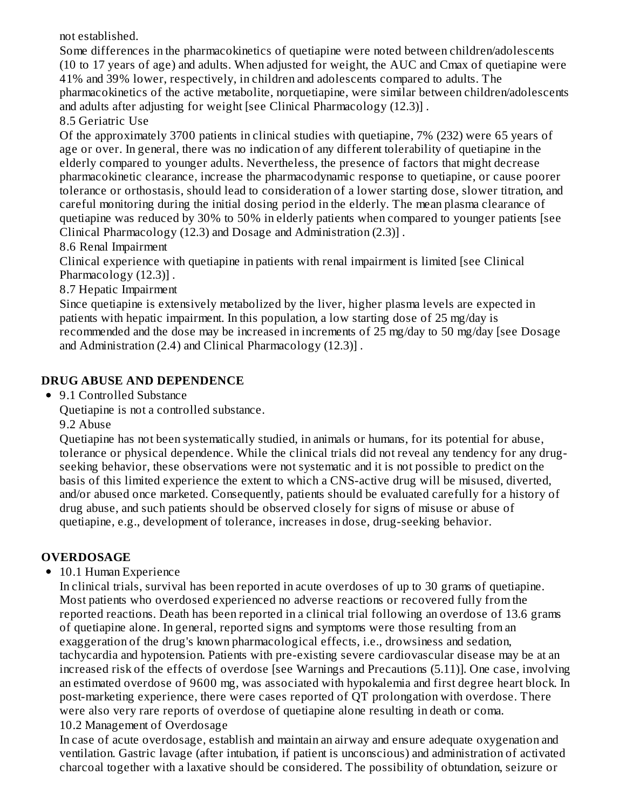not established.

Some differences in the pharmacokinetics of quetiapine were noted between children/adolescents (10 to 17 years of age) and adults. When adjusted for weight, the AUC and Cmax of quetiapine were 41% and 39% lower, respectively, in children and adolescents compared to adults. The pharmacokinetics of the active metabolite, norquetiapine, were similar between children/adolescents and adults after adjusting for weight [see Clinical Pharmacology (12.3)] .

8.5 Geriatric Use

Of the approximately 3700 patients in clinical studies with quetiapine, 7% (232) were 65 years of age or over. In general, there was no indication of any different tolerability of quetiapine in the elderly compared to younger adults. Nevertheless, the presence of factors that might decrease pharmacokinetic clearance, increase the pharmacodynamic response to quetiapine, or cause poorer tolerance or orthostasis, should lead to consideration of a lower starting dose, slower titration, and careful monitoring during the initial dosing period in the elderly. The mean plasma clearance of quetiapine was reduced by 30% to 50% in elderly patients when compared to younger patients [see Clinical Pharmacology (12.3) and Dosage and Administration (2.3)] .

8.6 Renal Impairment

Clinical experience with quetiapine in patients with renal impairment is limited [see Clinical Pharmacology (12.3)] .

8.7 Hepatic Impairment

Since quetiapine is extensively metabolized by the liver, higher plasma levels are expected in patients with hepatic impairment. In this population, a low starting dose of 25 mg/day is recommended and the dose may be increased in increments of 25 mg/day to 50 mg/day [see Dosage and Administration (2.4) and Clinical Pharmacology (12.3)] .

# **DRUG ABUSE AND DEPENDENCE**

• 9.1 Controlled Substance

Quetiapine is not a controlled substance.

9.2 Abuse

Quetiapine has not been systematically studied, in animals or humans, for its potential for abuse, tolerance or physical dependence. While the clinical trials did not reveal any tendency for any drugseeking behavior, these observations were not systematic and it is not possible to predict on the basis of this limited experience the extent to which a CNS-active drug will be misused, diverted, and/or abused once marketed. Consequently, patients should be evaluated carefully for a history of drug abuse, and such patients should be observed closely for signs of misuse or abuse of quetiapine, e.g., development of tolerance, increases in dose, drug-seeking behavior.

# **OVERDOSAGE**

• 10.1 Human Experience

In clinical trials, survival has been reported in acute overdoses of up to 30 grams of quetiapine. Most patients who overdosed experienced no adverse reactions or recovered fully from the reported reactions. Death has been reported in a clinical trial following an overdose of 13.6 grams of quetiapine alone. In general, reported signs and symptoms were those resulting from an exaggeration of the drug's known pharmacological effects, i.e., drowsiness and sedation, tachycardia and hypotension. Patients with pre-existing severe cardiovascular disease may be at an increased risk of the effects of overdose [see Warnings and Precautions (5.11)]. One case, involving an estimated overdose of 9600 mg, was associated with hypokalemia and first degree heart block. In post-marketing experience, there were cases reported of QT prolongation with overdose. There were also very rare reports of overdose of quetiapine alone resulting in death or coma. 10.2 Management of Overdosage

In case of acute overdosage, establish and maintain an airway and ensure adequate oxygenation and ventilation. Gastric lavage (after intubation, if patient is unconscious) and administration of activated charcoal together with a laxative should be considered. The possibility of obtundation, seizure or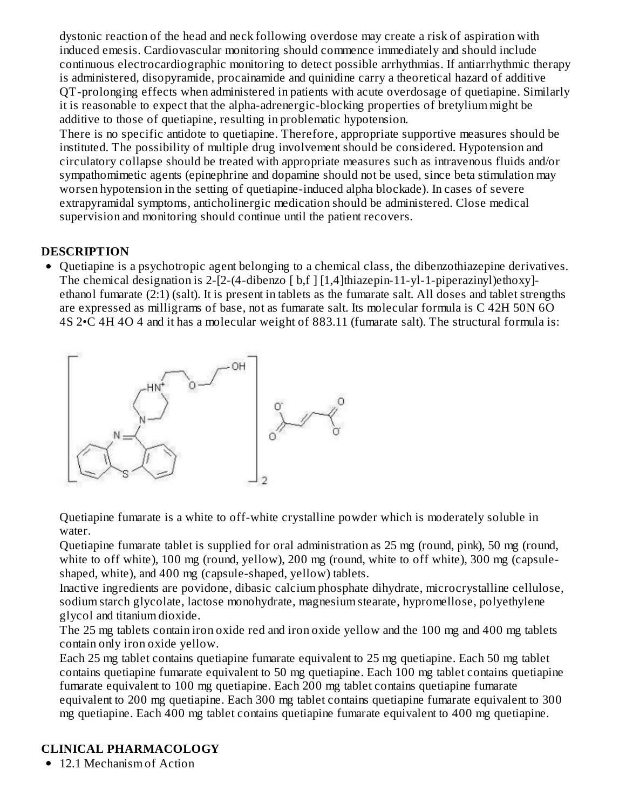dystonic reaction of the head and neck following overdose may create a risk of aspiration with induced emesis. Cardiovascular monitoring should commence immediately and should include continuous electrocardiographic monitoring to detect possible arrhythmias. If antiarrhythmic therapy is administered, disopyramide, procainamide and quinidine carry a theoretical hazard of additive QT-prolonging effects when administered in patients with acute overdosage of quetiapine. Similarly it is reasonable to expect that the alpha-adrenergic-blocking properties of bretylium might be additive to those of quetiapine, resulting in problematic hypotension.

There is no specific antidote to quetiapine. Therefore, appropriate supportive measures should be instituted. The possibility of multiple drug involvement should be considered. Hypotension and circulatory collapse should be treated with appropriate measures such as intravenous fluids and/or sympathomimetic agents (epinephrine and dopamine should not be used, since beta stimulation may worsen hypotension in the setting of quetiapine-induced alpha blockade). In cases of severe extrapyramidal symptoms, anticholinergic medication should be administered. Close medical supervision and monitoring should continue until the patient recovers.

### **DESCRIPTION**

Quetiapine is a psychotropic agent belonging to a chemical class, the dibenzothiazepine derivatives. The chemical designation is 2-[2-(4-dibenzo [ b,f ] [1,4]thiazepin-11-yl-1-piperazinyl)ethoxy] ethanol fumarate (2:1) (salt). It is present in tablets as the fumarate salt. All doses and tablet strengths are expressed as milligrams of base, not as fumarate salt. Its molecular formula is C 42H 50N 6O 4S 2•C 4H 4O 4 and it has a molecular weight of 883.11 (fumarate salt). The structural formula is:



Quetiapine fumarate is a white to off-white crystalline powder which is moderately soluble in water.

Quetiapine fumarate tablet is supplied for oral administration as 25 mg (round, pink), 50 mg (round, white to off white), 100 mg (round, yellow), 200 mg (round, white to off white), 300 mg (capsuleshaped, white), and 400 mg (capsule-shaped, yellow) tablets.

Inactive ingredients are povidone, dibasic calcium phosphate dihydrate, microcrystalline cellulose, sodium starch glycolate, lactose monohydrate, magnesium stearate, hypromellose, polyethylene glycol and titanium dioxide.

The 25 mg tablets contain iron oxide red and iron oxide yellow and the 100 mg and 400 mg tablets contain only iron oxide yellow.

Each 25 mg tablet contains quetiapine fumarate equivalent to 25 mg quetiapine. Each 50 mg tablet contains quetiapine fumarate equivalent to 50 mg quetiapine. Each 100 mg tablet contains quetiapine fumarate equivalent to 100 mg quetiapine. Each 200 mg tablet contains quetiapine fumarate equivalent to 200 mg quetiapine. Each 300 mg tablet contains quetiapine fumarate equivalent to 300 mg quetiapine. Each 400 mg tablet contains quetiapine fumarate equivalent to 400 mg quetiapine.

#### **CLINICAL PHARMACOLOGY**

• 12.1 Mechanism of Action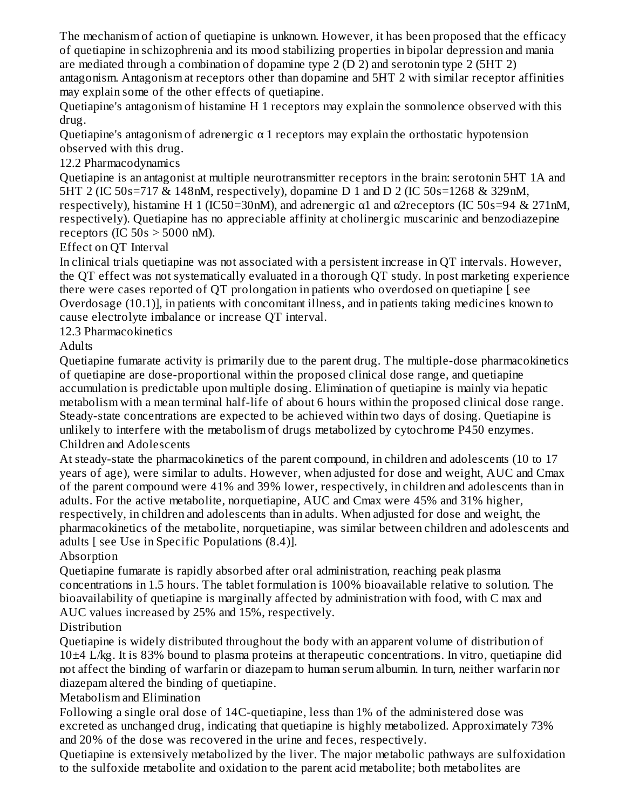The mechanism of action of quetiapine is unknown. However, it has been proposed that the efficacy of quetiapine in schizophrenia and its mood stabilizing properties in bipolar depression and mania are mediated through a combination of dopamine type 2 (D 2) and serotonin type 2 (5HT 2) antagonism. Antagonism at receptors other than dopamine and 5HT 2 with similar receptor affinities may explain some of the other effects of quetiapine.

Quetiapine's antagonism of histamine H 1 receptors may explain the somnolence observed with this drug.

Quetiapine's antagonism of adrenergic α 1 receptors may explain the orthostatic hypotension observed with this drug.

12.2 Pharmacodynamics

Quetiapine is an antagonist at multiple neurotransmitter receptors in the brain: serotonin 5HT 1A and 5HT 2 (IC 50s=717 & 148nM, respectively), dopamine D 1 and D 2 (IC 50s=1268 & 329nM, respectively), histamine H 1 (IC50=30nM), and adrenergic  $α1$  and  $α2$ receptors (IC 50s=94 & 271nM, respectively). Quetiapine has no appreciable affinity at cholinergic muscarinic and benzodiazepine receptors (IC  $50s > 5000$  nM).

Effect on QT Interval

In clinical trials quetiapine was not associated with a persistent increase in QT intervals. However, the QT effect was not systematically evaluated in a thorough QT study. In post marketing experience there were cases reported of QT prolongation in patients who overdosed on quetiapine [ see Overdosage (10.1)], in patients with concomitant illness, and in patients taking medicines known to cause electrolyte imbalance or increase QT interval.

12.3 Pharmacokinetics

Adults

Quetiapine fumarate activity is primarily due to the parent drug. The multiple-dose pharmacokinetics of quetiapine are dose-proportional within the proposed clinical dose range, and quetiapine accumulation is predictable upon multiple dosing. Elimination of quetiapine is mainly via hepatic metabolism with a mean terminal half-life of about 6 hours within the proposed clinical dose range. Steady-state concentrations are expected to be achieved within two days of dosing. Quetiapine is unlikely to interfere with the metabolism of drugs metabolized by cytochrome P450 enzymes. Children and Adolescents

At steady-state the pharmacokinetics of the parent compound, in children and adolescents (10 to 17 years of age), were similar to adults. However, when adjusted for dose and weight, AUC and Cmax of the parent compound were 41% and 39% lower, respectively, in children and adolescents than in adults. For the active metabolite, norquetiapine, AUC and Cmax were 45% and 31% higher, respectively, in children and adolescents than in adults. When adjusted for dose and weight, the pharmacokinetics of the metabolite, norquetiapine, was similar between children and adolescents and adults [ see Use in Specific Populations (8.4)].

Absorption

Quetiapine fumarate is rapidly absorbed after oral administration, reaching peak plasma concentrations in 1.5 hours. The tablet formulation is 100% bioavailable relative to solution. The bioavailability of quetiapine is marginally affected by administration with food, with C max and AUC values increased by 25% and 15%, respectively.

# Distribution

Quetiapine is widely distributed throughout the body with an apparent volume of distribution of 10±4 L/kg. It is 83% bound to plasma proteins at therapeutic concentrations. In vitro, quetiapine did not affect the binding of warfarin or diazepam to human serum albumin. In turn, neither warfarin nor diazepam altered the binding of quetiapine.

# Metabolism and Elimination

Following a single oral dose of 14C-quetiapine, less than 1% of the administered dose was excreted as unchanged drug, indicating that quetiapine is highly metabolized. Approximately 73% and 20% of the dose was recovered in the urine and feces, respectively.

Quetiapine is extensively metabolized by the liver. The major metabolic pathways are sulfoxidation to the sulfoxide metabolite and oxidation to the parent acid metabolite; both metabolites are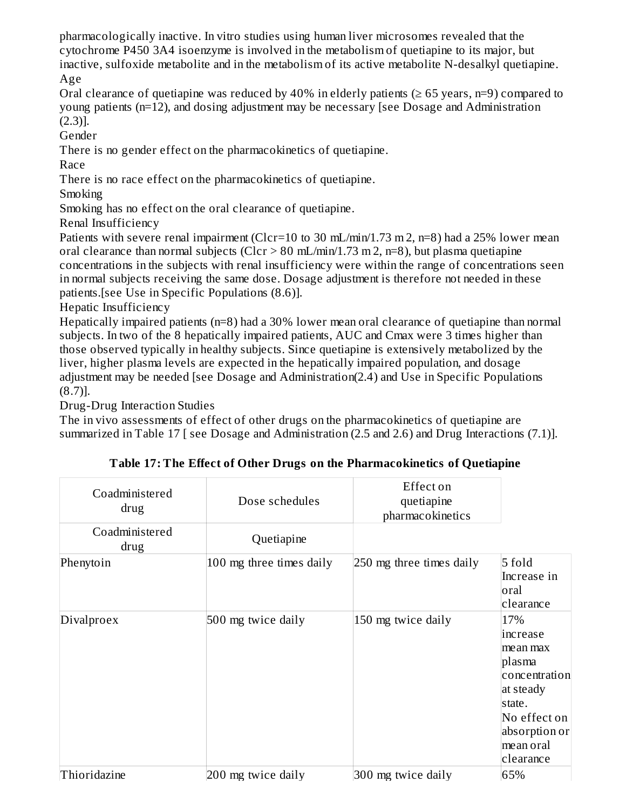pharmacologically inactive. In vitro studies using human liver microsomes revealed that the cytochrome P450 3A4 isoenzyme is involved in the metabolism of quetiapine to its major, but inactive, sulfoxide metabolite and in the metabolism of its active metabolite N-desalkyl quetiapine. Age

Oral clearance of quetiapine was reduced by 40% in elderly patients ( $\geq 65$  years, n=9) compared to young patients (n=12), and dosing adjustment may be necessary [see Dosage and Administration (2.3)].

Gender

There is no gender effect on the pharmacokinetics of quetiapine.

Race

There is no race effect on the pharmacokinetics of quetiapine.

Smoking

Smoking has no effect on the oral clearance of quetiapine.

Renal Insufficiency

Patients with severe renal impairment (Clcr=10 to 30 mL/min/1.73 m 2, n=8) had a 25% lower mean oral clearance than normal subjects (Clcr  $> 80 \text{ mL/min}/1.73 \text{ m}$  2, n=8), but plasma quetiapine concentrations in the subjects with renal insufficiency were within the range of concentrations seen in normal subjects receiving the same dose. Dosage adjustment is therefore not needed in these patients.[see Use in Specific Populations (8.6)].

Hepatic Insufficiency

Hepatically impaired patients (n=8) had a 30% lower mean oral clearance of quetiapine than normal subjects. In two of the 8 hepatically impaired patients, AUC and Cmax were 3 times higher than those observed typically in healthy subjects. Since quetiapine is extensively metabolized by the liver, higher plasma levels are expected in the hepatically impaired population, and dosage adjustment may be needed [see Dosage and Administration(2.4) and Use in Specific Populations  $(8.7)$ ].

Drug-Drug Interaction Studies

The in vivo assessments of effect of other drugs on the pharmacokinetics of quetiapine are summarized in Table 17 [see Dosage and Administration (2.5 and 2.6) and Drug Interactions (7.1)].

| Coadministered<br>drug | Dose schedules           | Effect on<br>quetiapine<br>pharmacokinetics |                                                                                                                                          |
|------------------------|--------------------------|---------------------------------------------|------------------------------------------------------------------------------------------------------------------------------------------|
| Coadministered<br>drug | Quetiapine               |                                             |                                                                                                                                          |
| Phenytoin              | 100 mg three times daily | 250 mg three times daily                    | 5 fold<br>Increase in<br>oral<br>clearance                                                                                               |
| Divalproex             | 500 mg twice daily       | 150 mg twice daily                          | 17%<br>increase<br>mean max<br>plasma<br>concentration<br>at steady<br>state.<br>No effect on<br>absorption or<br>mean oral<br>clearance |
| Thioridazine           | 200 mg twice daily       | 300 mg twice daily                          | 65%                                                                                                                                      |

**Table 17: The Effect of Other Drugs on the Pharmacokinetics of Quetiapine**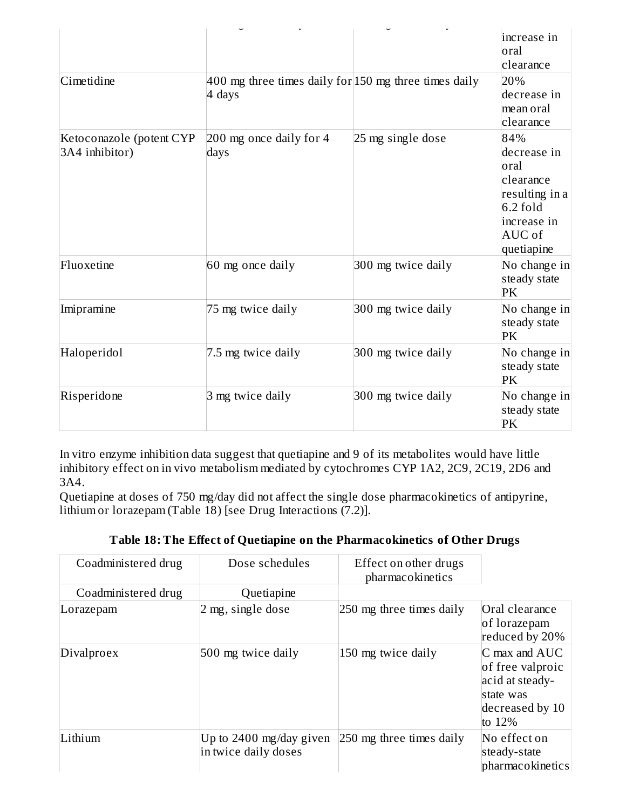|                          |                                                         |                    | increase in    |
|--------------------------|---------------------------------------------------------|--------------------|----------------|
|                          |                                                         |                    | oral           |
|                          |                                                         |                    | clearance      |
| Cimetidine               | 400 mg three times daily for $150$ mg three times daily |                    | 20%            |
|                          | 4 days                                                  |                    | decrease in    |
|                          |                                                         |                    | mean oral      |
|                          |                                                         |                    | clearance      |
| Ketoconazole (potent CYP | 200 mg once daily for 4                                 | 25 mg single dose  | 84%            |
| 3A4 inhibitor)           | days                                                    |                    | decrease in    |
|                          |                                                         |                    | oral           |
|                          |                                                         |                    | clearance      |
|                          |                                                         |                    | resulting in a |
|                          |                                                         |                    | $6.2$ fold     |
|                          |                                                         |                    | increase in    |
|                          |                                                         |                    | AUC of         |
|                          |                                                         |                    | quetiapine     |
| Fluoxetine               | 60 mg once daily                                        | 300 mg twice daily | No change in   |
|                          |                                                         |                    | steady state   |
|                          |                                                         |                    | PK             |
| Imipramine               | 75 mg twice daily                                       | 300 mg twice daily | No change in   |
|                          |                                                         |                    | steady state   |
|                          |                                                         |                    | PK             |
| Haloperidol              | 7.5 mg twice daily                                      | 300 mg twice daily | No change in   |
|                          |                                                         |                    | steady state   |
|                          |                                                         |                    | PK             |
| Risperidone              | 3 mg twice daily                                        | 300 mg twice daily | No change in   |
|                          |                                                         |                    | steady state   |
|                          |                                                         |                    | PK             |

In vitro enzyme inhibition data suggest that quetiapine and 9 of its metabolites would have little inhibitory effect on in vivo metabolism mediated by cytochromes CYP 1A2, 2C9, 2C19, 2D6 and 3A4.

Quetiapine at doses of 750 mg/day did not affect the single dose pharmacokinetics of antipyrine, lithium or lorazepam (Table 18) [see Drug Interactions (7.2)].

|  | Table 18: The Effect of Quetiapine on the Pharmacokinetics of Other Drugs |  |
|--|---------------------------------------------------------------------------|--|
|  |                                                                           |  |

| Coadministered drug | Dose schedules                                    | Effect on other drugs<br>pharmacokinetics |                                                                                                    |
|---------------------|---------------------------------------------------|-------------------------------------------|----------------------------------------------------------------------------------------------------|
| Coadministered drug | Quetiapine                                        |                                           |                                                                                                    |
| Lorazepam           | 2 mg, single dose                                 | 250 mg three times daily                  | Oral clearance<br>of lorazepam<br>reduced by 20%                                                   |
| Divalproex          | 500 mg twice daily                                | 150 mg twice daily                        | $C$ max and $AUC$<br>of free valproic<br>acid at steady-<br>state was<br>decreased by 10<br>to 12% |
| Lithium             | Up to $2400$ mg/day given<br>in twice daily doses | $250$ mg three times daily                | No effect on<br>steady-state<br>pharmacokinetics                                                   |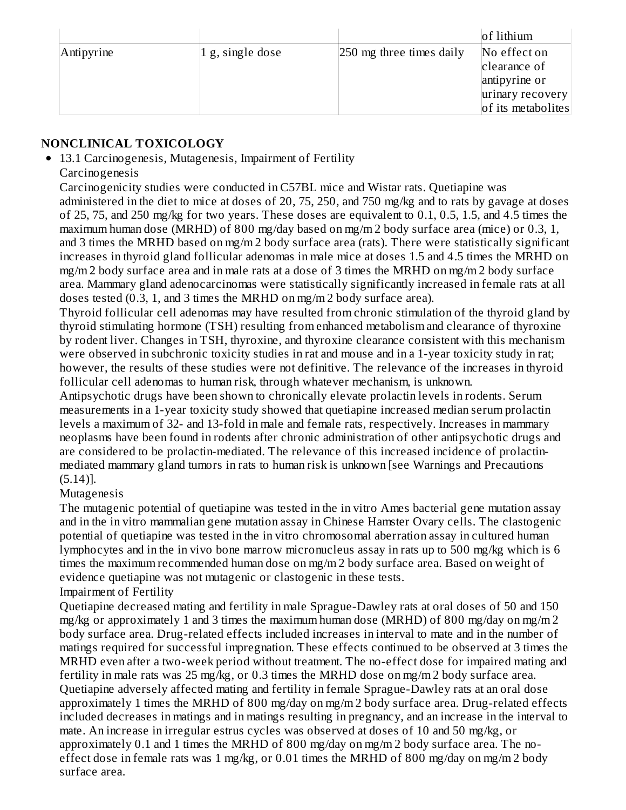|            |                  |                          | of lithium         |
|------------|------------------|--------------------------|--------------------|
| Antipyrine | 1 g, single dose | 250 mg three times daily | No effect on       |
|            |                  |                          | clearance of       |
|            |                  |                          | antipyrine or      |
|            |                  |                          | urinary recovery   |
|            |                  |                          | of its metabolites |

# **NONCLINICAL TOXICOLOGY**

- 13.1 Carcinogenesis, Mutagenesis, Impairment of Fertility
	- Carcinogenesis

Carcinogenicity studies were conducted in C57BL mice and Wistar rats. Quetiapine was administered in the diet to mice at doses of 20, 75, 250, and 750 mg/kg and to rats by gavage at doses of 25, 75, and 250 mg/kg for two years. These doses are equivalent to 0.1, 0.5, 1.5, and 4.5 times the maximum human dose (MRHD) of 800 mg/day based on mg/m 2 body surface area (mice) or 0.3, 1, and 3 times the MRHD based on mg/m 2 body surface area (rats). There were statistically significant increases in thyroid gland follicular adenomas in male mice at doses 1.5 and 4.5 times the MRHD on mg/m 2 body surface area and in male rats at a dose of 3 times the MRHD on mg/m 2 body surface area. Mammary gland adenocarcinomas were statistically significantly increased in female rats at all doses tested (0.3, 1, and 3 times the MRHD on mg/m 2 body surface area).

Thyroid follicular cell adenomas may have resulted from chronic stimulation of the thyroid gland by thyroid stimulating hormone (TSH) resulting from enhanced metabolism and clearance of thyroxine by rodent liver. Changes in TSH, thyroxine, and thyroxine clearance consistent with this mechanism were observed in subchronic toxicity studies in rat and mouse and in a 1-year toxicity study in rat; however, the results of these studies were not definitive. The relevance of the increases in thyroid follicular cell adenomas to human risk, through whatever mechanism, is unknown.

Antipsychotic drugs have been shown to chronically elevate prolactin levels in rodents. Serum measurements in a 1-year toxicity study showed that quetiapine increased median serum prolactin levels a maximum of 32- and 13-fold in male and female rats, respectively. Increases in mammary neoplasms have been found in rodents after chronic administration of other antipsychotic drugs and are considered to be prolactin-mediated. The relevance of this increased incidence of prolactinmediated mammary gland tumors in rats to human risk is unknown [see Warnings and Precautions (5.14)].

# Mutagenesis

The mutagenic potential of quetiapine was tested in the in vitro Ames bacterial gene mutation assay and in the in vitro mammalian gene mutation assay in Chinese Hamster Ovary cells. The clastogenic potential of quetiapine was tested in the in vitro chromosomal aberration assay in cultured human lymphocytes and in the in vivo bone marrow micronucleus assay in rats up to 500 mg/kg which is 6 times the maximum recommended human dose on mg/m 2 body surface area. Based on weight of evidence quetiapine was not mutagenic or clastogenic in these tests.

Impairment of Fertility

Quetiapine decreased mating and fertility in male Sprague-Dawley rats at oral doses of 50 and 150 mg/kg or approximately 1 and 3 times the maximum human dose (MRHD) of 800 mg/day on mg/m 2 body surface area. Drug-related effects included increases in interval to mate and in the number of matings required for successful impregnation. These effects continued to be observed at 3 times the MRHD even after a two-week period without treatment. The no-effect dose for impaired mating and fertility in male rats was 25 mg/kg, or 0.3 times the MRHD dose on mg/m 2 body surface area. Quetiapine adversely affected mating and fertility in female Sprague-Dawley rats at an oral dose approximately 1 times the MRHD of 800 mg/day on mg/m 2 body surface area. Drug-related effects included decreases in matings and in matings resulting in pregnancy, and an increase in the interval to mate. An increase in irregular estrus cycles was observed at doses of 10 and 50 mg/kg, or approximately 0.1 and 1 times the MRHD of 800 mg/day on mg/m 2 body surface area. The noeffect dose in female rats was 1 mg/kg, or 0.01 times the MRHD of 800 mg/day on mg/m 2 body surface area.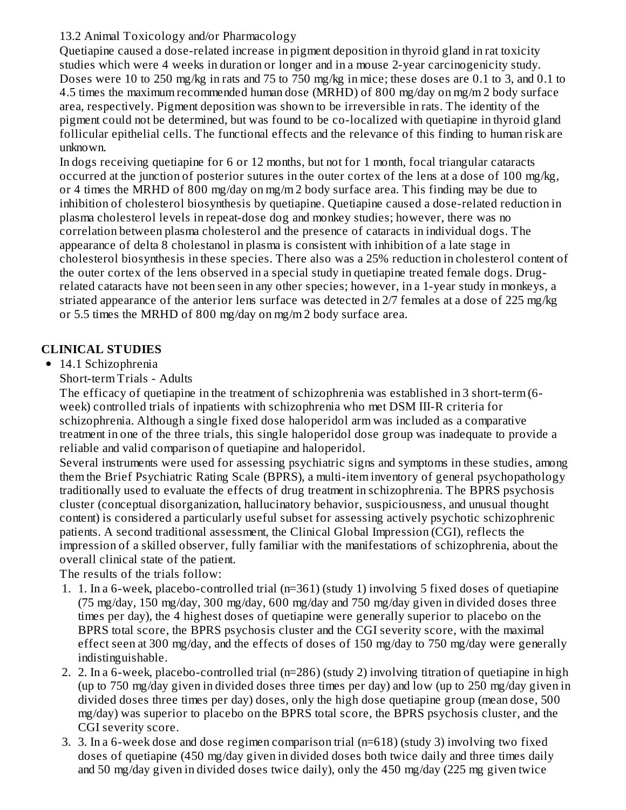# 13.2 Animal Toxicology and/or Pharmacology

Quetiapine caused a dose-related increase in pigment deposition in thyroid gland in rat toxicity studies which were 4 weeks in duration or longer and in a mouse 2-year carcinogenicity study. Doses were 10 to 250 mg/kg in rats and 75 to 750 mg/kg in mice; these doses are 0.1 to 3, and 0.1 to 4.5 times the maximum recommended human dose (MRHD) of 800 mg/day on mg/m 2 body surface area, respectively. Pigment deposition was shown to be irreversible in rats. The identity of the pigment could not be determined, but was found to be co-localized with quetiapine in thyroid gland follicular epithelial cells. The functional effects and the relevance of this finding to human risk are unknown.

In dogs receiving quetiapine for 6 or 12 months, but not for 1 month, focal triangular cataracts occurred at the junction of posterior sutures in the outer cortex of the lens at a dose of 100 mg/kg, or 4 times the MRHD of 800 mg/day on mg/m 2 body surface area. This finding may be due to inhibition of cholesterol biosynthesis by quetiapine. Quetiapine caused a dose-related reduction in plasma cholesterol levels in repeat-dose dog and monkey studies; however, there was no correlation between plasma cholesterol and the presence of cataracts in individual dogs. The appearance of delta 8 cholestanol in plasma is consistent with inhibition of a late stage in cholesterol biosynthesis in these species. There also was a 25% reduction in cholesterol content of the outer cortex of the lens observed in a special study in quetiapine treated female dogs. Drugrelated cataracts have not been seen in any other species; however, in a 1-year study in monkeys, a striated appearance of the anterior lens surface was detected in 2/7 females at a dose of 225 mg/kg or 5.5 times the MRHD of 800 mg/day on mg/m 2 body surface area.

# **CLINICAL STUDIES**

- 14.1 Schizophrenia
	- Short-term Trials Adults

The efficacy of quetiapine in the treatment of schizophrenia was established in 3 short-term (6 week) controlled trials of inpatients with schizophrenia who met DSM III-R criteria for schizophrenia. Although a single fixed dose haloperidol arm was included as a comparative treatment in one of the three trials, this single haloperidol dose group was inadequate to provide a reliable and valid comparison of quetiapine and haloperidol.

Several instruments were used for assessing psychiatric signs and symptoms in these studies, among them the Brief Psychiatric Rating Scale (BPRS), a multi-item inventory of general psychopathology traditionally used to evaluate the effects of drug treatment in schizophrenia. The BPRS psychosis cluster (conceptual disorganization, hallucinatory behavior, suspiciousness, and unusual thought content) is considered a particularly useful subset for assessing actively psychotic schizophrenic patients. A second traditional assessment, the Clinical Global Impression (CGI), reflects the impression of a skilled observer, fully familiar with the manifestations of schizophrenia, about the overall clinical state of the patient.

The results of the trials follow:

- 1. 1. In a 6-week, placebo-controlled trial (n=361) (study 1) involving 5 fixed doses of quetiapine (75 mg/day, 150 mg/day, 300 mg/day, 600 mg/day and 750 mg/day given in divided doses three times per day), the 4 highest doses of quetiapine were generally superior to placebo on the BPRS total score, the BPRS psychosis cluster and the CGI severity score, with the maximal effect seen at 300 mg/day, and the effects of doses of 150 mg/day to 750 mg/day were generally indistinguishable.
- 2. 2. In a 6-week, placebo-controlled trial (n=286) (study 2) involving titration of quetiapine in high (up to 750 mg/day given in divided doses three times per day) and low (up to 250 mg/day given in divided doses three times per day) doses, only the high dose quetiapine group (mean dose, 500 mg/day) was superior to placebo on the BPRS total score, the BPRS psychosis cluster, and the CGI severity score.
- 3. 3. In a 6-week dose and dose regimen comparison trial (n=618) (study 3) involving two fixed doses of quetiapine (450 mg/day given in divided doses both twice daily and three times daily and 50 mg/day given in divided doses twice daily), only the 450 mg/day (225 mg given twice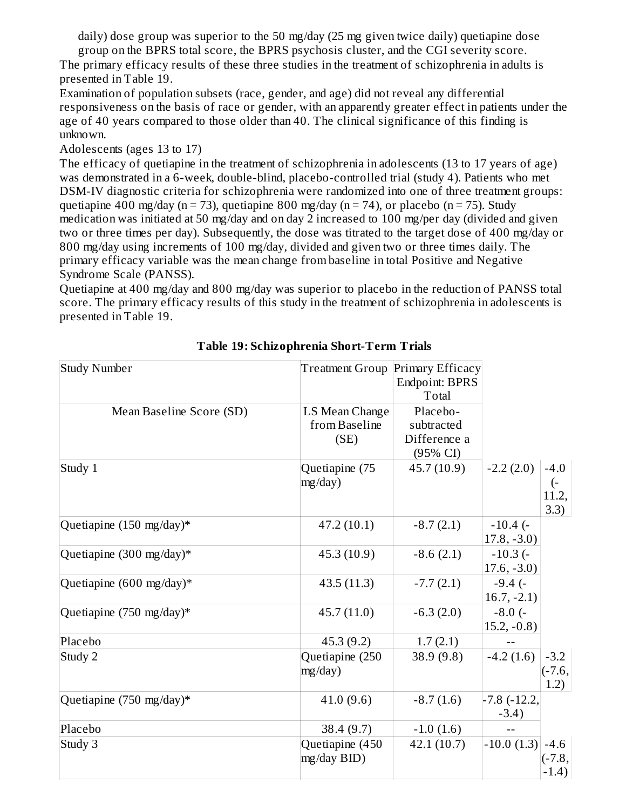daily) dose group was superior to the 50 mg/day (25 mg given twice daily) quetiapine dose

group on the BPRS total score, the BPRS psychosis cluster, and the CGI severity score. The primary efficacy results of these three studies in the treatment of schizophrenia in adults is presented in Table 19.

Examination of population subsets (race, gender, and age) did not reveal any differential responsiveness on the basis of race or gender, with an apparently greater effect in patients under the age of 40 years compared to those older than 40. The clinical significance of this finding is unknown.

Adolescents (ages 13 to 17)

The efficacy of quetiapine in the treatment of schizophrenia in adolescents (13 to 17 years of age) was demonstrated in a 6-week, double-blind, placebo-controlled trial (study 4). Patients who met DSM-IV diagnostic criteria for schizophrenia were randomized into one of three treatment groups: quetiapine 400 mg/day (n = 73), quetiapine 800 mg/day (n = 74), or placebo (n = 75). Study medication was initiated at 50 mg/day and on day 2 increased to 100 mg/per day (divided and given two or three times per day). Subsequently, the dose was titrated to the target dose of 400 mg/day or 800 mg/day using increments of 100 mg/day, divided and given two or three times daily. The primary efficacy variable was the mean change from baseline in total Positive and Negative Syndrome Scale (PANSS).

Quetiapine at 400 mg/day and 800 mg/day was superior to placebo in the reduction of PANSS total score. The primary efficacy results of this study in the treatment of schizophrenia in adolescents is presented in Table 19.

| <b>Study Number</b>      | Treatment Group Primary Efficacy        | Endpoint: BPRS<br>Total                            |                                 |                                                        |
|--------------------------|-----------------------------------------|----------------------------------------------------|---------------------------------|--------------------------------------------------------|
| Mean Baseline Score (SD) | LS Mean Change<br>from Baseline<br>(SE) | Placebo-<br>subtracted<br>Difference a<br>(95% CI) |                                 |                                                        |
| Study 1                  | Quetiapine (75<br>mg/day)               | 45.7(10.9)                                         | $-2.2(2.0)$                     | $-4.0$<br>(-<br>11.2,<br>3.3)                          |
| Quetiapine (150 mg/day)* | 47.2(10.1)                              | $-8.7(2.1)$                                        | $-10.4$ ( $-$<br>$17.8, -3.0$ ) |                                                        |
| Quetiapine (300 mg/day)* | 45.3(10.9)                              | $-8.6(2.1)$                                        | $-10.3$ ( $-$<br>$17.6, -3.0$ ) |                                                        |
| Quetiapine (600 mg/day)* | 43.5(11.3)                              | $-7.7(2.1)$                                        | $-9.4(-$<br>$16.7, -2.1$        |                                                        |
| Quetiapine (750 mg/day)* | 45.7(11.0)                              | $-6.3(2.0)$                                        | $-8.0(-$<br>$15.2, -0.8$        |                                                        |
| Placebo                  | 45.3(9.2)                               | 1.7(2.1)                                           |                                 |                                                        |
| Study 2                  | Quetiapine (250<br>mg/day)              | 38.9 (9.8)                                         | $-4.2(1.6)$                     | $-3.2$<br>$\begin{pmatrix} -7.6, \\ 1.2 \end{pmatrix}$ |
| Quetiapine (750 mg/day)* | 41.0 $(9.6)$                            | $-8.7(1.6)$                                        | $-7.8$ $(-12.2,$<br>$-3.4)$     |                                                        |
| Placebo                  | 38.4 (9.7)                              | $-1.0(1.6)$                                        |                                 |                                                        |
| Study 3                  | Quetiapine (450<br>mg/day BID)          | 42.1(10.7)                                         | $-10.0(1.3)$                    | $-4.6$<br>$(-7.8,$<br>$-1.4)$                          |

**Table 19: Schizophrenia Short-Term Trials**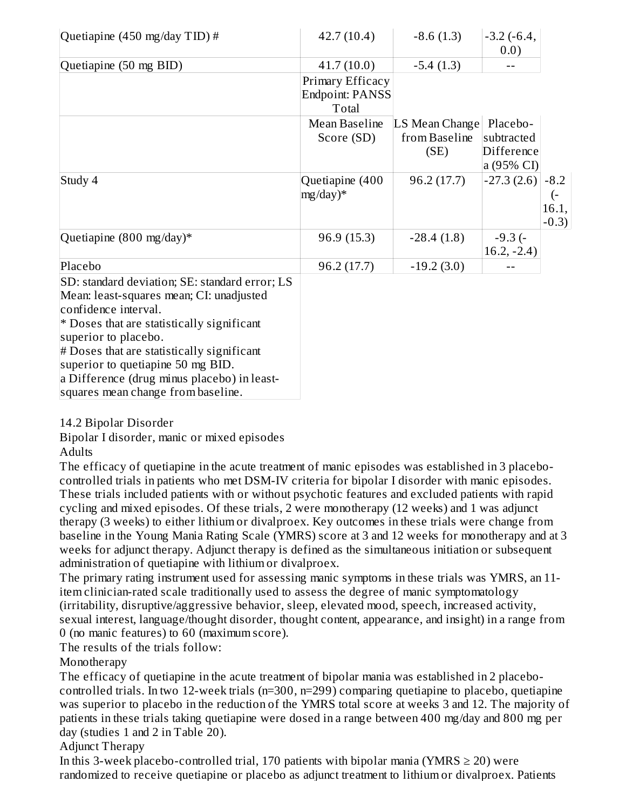| Quetiapine (450 mg/day TID) #                                                                                                                                                                                                                                                                                                                                    | 42.7(10.4)                                          | $-8.6(1.3)$                             | $-3.2$ $(-6.4,$<br>0.0)                            |                                  |
|------------------------------------------------------------------------------------------------------------------------------------------------------------------------------------------------------------------------------------------------------------------------------------------------------------------------------------------------------------------|-----------------------------------------------------|-----------------------------------------|----------------------------------------------------|----------------------------------|
| Quetiapine (50 mg BID)                                                                                                                                                                                                                                                                                                                                           | 41.7(10.0)                                          | $-5.4(1.3)$                             |                                                    |                                  |
|                                                                                                                                                                                                                                                                                                                                                                  | Primary Efficacy<br><b>Endpoint: PANSS</b><br>Total |                                         |                                                    |                                  |
|                                                                                                                                                                                                                                                                                                                                                                  | Mean Baseline<br>Score (SD)                         | LS Mean Change<br>from Baseline<br>(SE) | Placebo-<br>subtracted<br>Difference<br>a (95% CI) |                                  |
| Study 4                                                                                                                                                                                                                                                                                                                                                          | Quetiapine (400<br>$mg/day)*$                       | 96.2 (17.7)                             | $-27.3(2.6)$                                       | $-8.2$<br>(-<br>16.1,<br>$-0.3)$ |
| Quetiapine $(800 \text{ mg/day})^*$                                                                                                                                                                                                                                                                                                                              | 96.9 (15.3)                                         | $-28.4(1.8)$                            | $-9.3(-$<br>$16.2, -2.4)$                          |                                  |
| Placebo                                                                                                                                                                                                                                                                                                                                                          | 96.2 (17.7)                                         | $-19.2(3.0)$                            |                                                    |                                  |
| SD: standard deviation; SE: standard error; LS<br>Mean: least-squares mean; CI: unadjusted<br>confidence interval.<br>* Doses that are statistically significant<br>superior to placebo.<br># Doses that are statistically significant<br>superior to quetiapine 50 mg BID.<br>a Difference (drug minus placebo) in least-<br>squares mean change from baseline. |                                                     |                                         |                                                    |                                  |

14.2 Bipolar Disorder

Bipolar I disorder, manic or mixed episodes **Adults** 

The efficacy of quetiapine in the acute treatment of manic episodes was established in 3 placebocontrolled trials in patients who met DSM-IV criteria for bipolar I disorder with manic episodes. These trials included patients with or without psychotic features and excluded patients with rapid cycling and mixed episodes. Of these trials, 2 were monotherapy (12 weeks) and 1 was adjunct therapy (3 weeks) to either lithium or divalproex. Key outcomes in these trials were change from baseline in the Young Mania Rating Scale (YMRS) score at 3 and 12 weeks for monotherapy and at 3 weeks for adjunct therapy. Adjunct therapy is defined as the simultaneous initiation or subsequent administration of quetiapine with lithium or divalproex.

The primary rating instrument used for assessing manic symptoms in these trials was YMRS, an 11 item clinician-rated scale traditionally used to assess the degree of manic symptomatology (irritability, disruptive/aggressive behavior, sleep, elevated mood, speech, increased activity, sexual interest, language/thought disorder, thought content, appearance, and insight) in a range from 0 (no manic features) to 60 (maximum score).

The results of the trials follow:

Monotherapy

The efficacy of quetiapine in the acute treatment of bipolar mania was established in 2 placebocontrolled trials. In two 12-week trials (n=300, n=299) comparing quetiapine to placebo, quetiapine was superior to placebo in the reduction of the YMRS total score at weeks 3 and 12. The majority of patients in these trials taking quetiapine were dosed in a range between 400 mg/day and 800 mg per day (studies 1 and 2 in Table 20).

Adjunct Therapy

In this 3-week placebo-controlled trial, 170 patients with bipolar mania (YMRS  $\geq$  20) were randomized to receive quetiapine or placebo as adjunct treatment to lithium or divalproex. Patients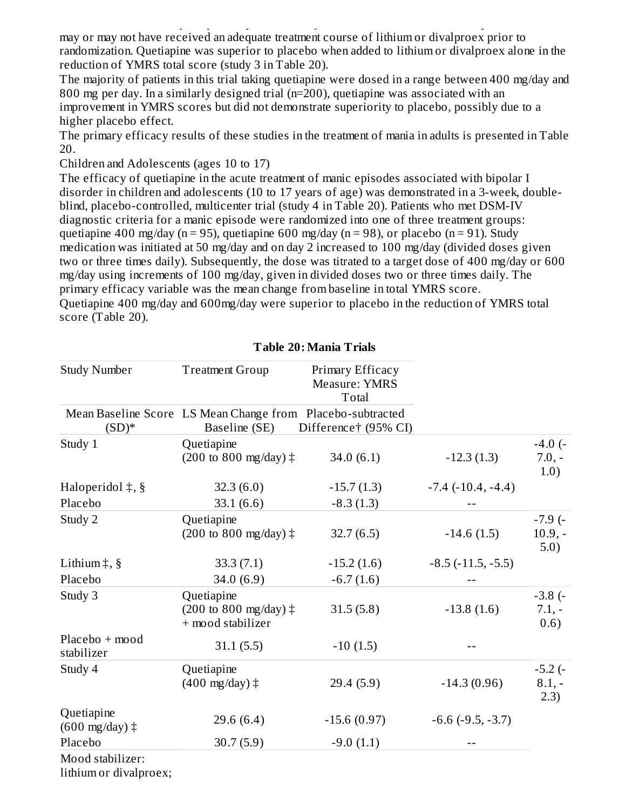may or may not have received an adequate treatment course of lithium or divalproex prior to randomization. Quetiapine was superior to placebo when added to lithium or divalproex alone in the reduction of YMRS total score (study 3 in Table 20).

randomized to receive quetiapine or placebo as adjunct treatment to lithium or divalproex. Patients

The majority of patients in this trial taking quetiapine were dosed in a range between 400 mg/day and 800 mg per day. In a similarly designed trial (n=200), quetiapine was associated with an improvement in YMRS scores but did not demonstrate superiority to placebo, possibly due to a higher placebo effect.

The primary efficacy results of these studies in the treatment of mania in adults is presented in Table 20.

Children and Adolescents (ages 10 to 17)

The efficacy of quetiapine in the acute treatment of manic episodes associated with bipolar I disorder in children and adolescents (10 to 17 years of age) was demonstrated in a 3-week, doubleblind, placebo-controlled, multicenter trial (study 4 in Table 20). Patients who met DSM-IV diagnostic criteria for a manic episode were randomized into one of three treatment groups: quetiapine 400 mg/day (n = 95), quetiapine 600 mg/day (n = 98), or placebo (n = 91). Study medication was initiated at 50 mg/day and on day 2 increased to 100 mg/day (divided doses given two or three times daily). Subsequently, the dose was titrated to a target dose of 400 mg/day or 600 mg/day using increments of 100 mg/day, given in divided doses two or three times daily. The primary efficacy variable was the mean change from baseline in total YMRS score. Quetiapine 400 mg/day and 600mg/day were superior to placebo in the reduction of YMRS total score (Table 20).

| <b>Study Number</b>                           | <b>Treatment Group</b>                                                             | Primary Efficacy<br>Measure: YMRS<br>Total |                             |                                   |
|-----------------------------------------------|------------------------------------------------------------------------------------|--------------------------------------------|-----------------------------|-----------------------------------|
| $(SD)^*$                                      | Mean Baseline Score LS Mean Change from Placebo-subtracted<br>Baseline (SE)        | Difference† (95% CI)                       |                             |                                   |
| Study 1                                       | Quetiapine<br>$(200 \text{ to } 800 \text{ mg/day}) \ddagger$                      | 34.0 $(6.1)$                               | $-12.3(1.3)$                | $-4.0$ ( $-$<br>$7.0, -$<br>1.0)  |
| Haloperidol $\ddagger$ , §                    | 32.3(6.0)                                                                          | $-15.7(1.3)$                               | $-7.4$ $(-10.4, -4.4)$      |                                   |
| Placebo                                       | 33.1(6.6)                                                                          | $-8.3(1.3)$                                |                             |                                   |
| Study 2                                       | Quetiapine<br>$(200 \text{ to } 800 \text{ mg/day}) \ddagger$                      | 32.7(6.5)                                  | $-14.6(1.5)$                | $-7.9$ ( $-$<br>$10.9, -$<br>5.0) |
| Lithium $\ddagger$ , §                        | 33.3(7.1)                                                                          | $-15.2(1.6)$                               | $-8.5$ ( $-11.5$ , $-5.5$ ) |                                   |
| Placebo                                       | 34.0 $(6.9)$                                                                       | $-6.7(1.6)$                                |                             |                                   |
| Study 3                                       | Quetiapine<br>$(200 \text{ to } 800 \text{ mg/day}) \ddagger$<br>+ mood stabilizer | 31.5(5.8)                                  | $-13.8(1.6)$                | $-3.8$ ( $-$<br>$7.1, -$<br>0.6)  |
| Placebo + mood<br>stabilizer                  | 31.1(5.5)                                                                          | $-10(1.5)$                                 |                             |                                   |
| Study 4                                       | Quetiapine<br>$(400 \text{ mg/day}) \ddagger$                                      | 29.4(5.9)                                  | $-14.3(0.96)$               | $-5.2$ ( $-$<br>$8.1, -$<br>2.3)  |
| Quetiapine<br>$(600 \text{ mg/day}) \ddagger$ | 29.6(6.4)                                                                          | $-15.6(0.97)$                              | $-6.6$ $(-9.5, -3.7)$       |                                   |
| Placebo                                       | 30.7(5.9)                                                                          | $-9.0(1.1)$                                |                             |                                   |
| Mood stabilizer:                              |                                                                                    |                                            |                             |                                   |

# **Table 20: Mania Trials**

lithium or divalproex;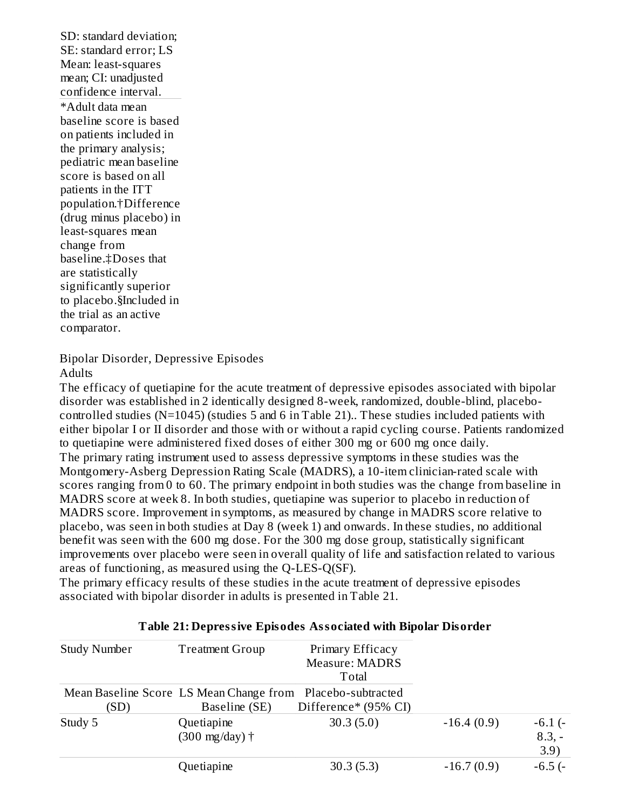\*Adult data mean baseline score is based on patients included in the primary analysis; pediatric mean baseline score is based on all patients in the ITT population.†Difference (drug minus placebo) in least-squares mean change from baseline.‡Doses that are statistically significantly superior to placebo.§Included in the trial as an active comparator. SD: standard deviation; SE: standard error; LS Mean: least-squares mean; CI: unadjusted confidence interval.

Bipolar Disorder, Depressive Episodes

Adults

The efficacy of quetiapine for the acute treatment of depressive episodes associated with bipolar disorder was established in 2 identically designed 8-week, randomized, double-blind, placebocontrolled studies (N=1045) (studies 5 and 6 in Table 21).. These studies included patients with either bipolar I or II disorder and those with or without a rapid cycling course. Patients randomized to quetiapine were administered fixed doses of either 300 mg or 600 mg once daily. The primary rating instrument used to assess depressive symptoms in these studies was the Montgomery-Asberg Depression Rating Scale (MADRS), a 10-item clinician-rated scale with scores ranging from 0 to 60. The primary endpoint in both studies was the change from baseline in MADRS score at week 8. In both studies, quetiapine was superior to placebo in reduction of MADRS score. Improvement in symptoms, as measured by change in MADRS score relative to placebo, was seen in both studies at Day 8 (week 1) and onwards. In these studies, no additional benefit was seen with the 600 mg dose. For the 300 mg dose group, statistically significant improvements over placebo were seen in overall quality of life and satisfaction related to various areas of functioning, as measured using the Q-LES-Q(SF).

The primary efficacy results of these studies in the acute treatment of depressive episodes associated with bipolar disorder in adults is presented in Table 21.

#### **Table 21: Depressive Episodes Associated with Bipolar Disorder**

| <b>Study Number</b> | <b>Treatment Group</b>                                   | Primary Efficacy<br>Measure: MADRS<br>Total |              |                              |
|---------------------|----------------------------------------------------------|---------------------------------------------|--------------|------------------------------|
| (SD)                | Mean Baseline Score LS Mean Change from<br>Baseline (SE) | Placebo-subtracted<br>Difference* (95% CI)  |              |                              |
| Study 5             | Quetiapine<br>$(300 \text{ mg/day})$ †                   | 30.3(5.0)                                   | $-16.4(0.9)$ | $-6.1(-$<br>$8.3, -$<br>3.9) |
|                     | Quetiapine                                               | 30.3(5.3)                                   | $-16.7(0.9)$ | $-6.5$ ( $-$                 |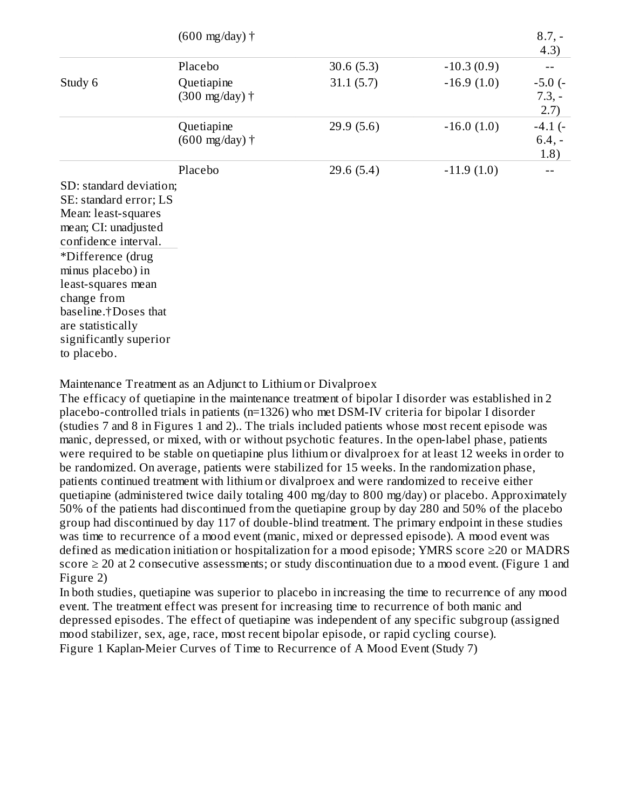|                                                                                                                                                                                                                                                                                               | $(600 \text{ mg/day})$ †               |           |              | $8.7,-$                           |
|-----------------------------------------------------------------------------------------------------------------------------------------------------------------------------------------------------------------------------------------------------------------------------------------------|----------------------------------------|-----------|--------------|-----------------------------------|
|                                                                                                                                                                                                                                                                                               | Placebo                                | 30.6(5.3) | $-10.3(0.9)$ | 4.3)                              |
| Study 6                                                                                                                                                                                                                                                                                       | Quetiapine<br>$(300 \text{ mg/day})$ † | 31.1(5.7) | $-16.9(1.0)$ | $-5.0(-$<br>$7.3, -$<br>2.7)      |
|                                                                                                                                                                                                                                                                                               | Quetiapine<br>$(600 \text{ mg/day})$ † | 29.9(5.6) | $-16.0(1.0)$ | $-4.1$ ( $-$<br>$6.4, -$<br>(1.8) |
|                                                                                                                                                                                                                                                                                               | Placebo                                | 29.6(5.4) | $-11.9(1.0)$ |                                   |
| SD: standard deviation;<br>SE: standard error; LS<br>Mean: least-squares<br>mean; CI: unadjusted<br>confidence interval.<br>*Difference (drug<br>minus placebo) in<br>least-squares mean<br>change from<br>baseline.†Doses that<br>are statistically<br>significantly superior<br>to placebo. |                                        |           |              |                                   |

Maintenance Treatment as an Adjunct to Lithium or Divalproex

The efficacy of quetiapine in the maintenance treatment of bipolar I disorder was established in 2 placebo-controlled trials in patients (n=1326) who met DSM-IV criteria for bipolar I disorder (studies 7 and 8 in Figures 1 and 2).. The trials included patients whose most recent episode was manic, depressed, or mixed, with or without psychotic features. In the open-label phase, patients were required to be stable on quetiapine plus lithium or divalproex for at least 12 weeks in order to be randomized. On average, patients were stabilized for 15 weeks. In the randomization phase, patients continued treatment with lithium or divalproex and were randomized to receive either quetiapine (administered twice daily totaling 400 mg/day to 800 mg/day) or placebo. Approximately 50% of the patients had discontinued from the quetiapine group by day 280 and 50% of the placebo group had discontinued by day 117 of double-blind treatment. The primary endpoint in these studies was time to recurrence of a mood event (manic, mixed or depressed episode). A mood event was defined as medication initiation or hospitalization for a mood episode; YMRS score ≥20 or MADRS score  $\geq$  20 at 2 consecutive assessments; or study discontinuation due to a mood event. (Figure 1 and Figure 2)

In both studies, quetiapine was superior to placebo in increasing the time to recurrence of any mood event. The treatment effect was present for increasing time to recurrence of both manic and depressed episodes. The effect of quetiapine was independent of any specific subgroup (assigned mood stabilizer, sex, age, race, most recent bipolar episode, or rapid cycling course). Figure 1 Kaplan-Meier Curves of Time to Recurrence of A Mood Event (Study 7)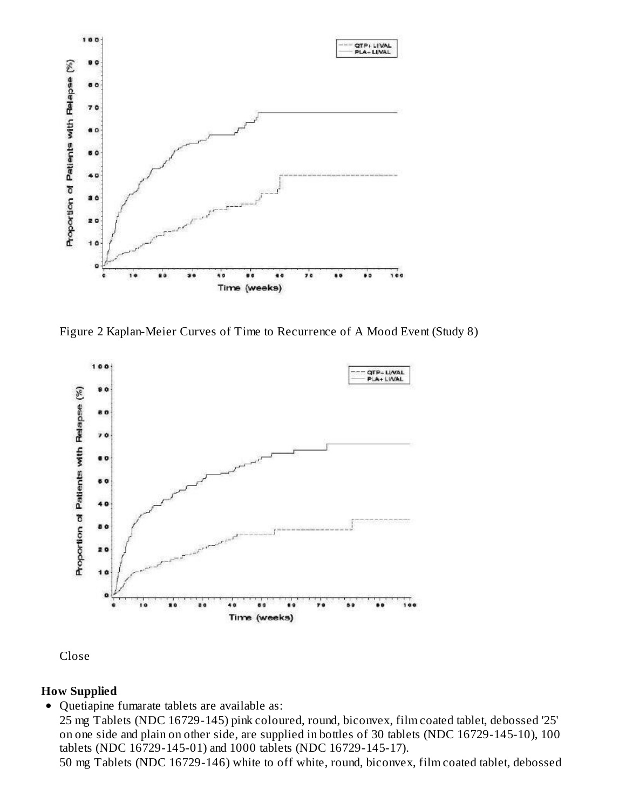

Figure 2 Kaplan-Meier Curves of Time to Recurrence of A Mood Event (Study 8)



Close

#### **How Supplied**

Quetiapine fumarate tablets are available as:

25 mg Tablets (NDC 16729-145) pink coloured, round, biconvex, film coated tablet, debossed '25' on one side and plain on other side, are supplied in bottles of 30 tablets (NDC 16729-145-10), 100 tablets (NDC 16729-145-01) and 1000 tablets (NDC 16729-145-17).

50 mg Tablets (NDC 16729-146) white to off white, round, biconvex, film coated tablet, debossed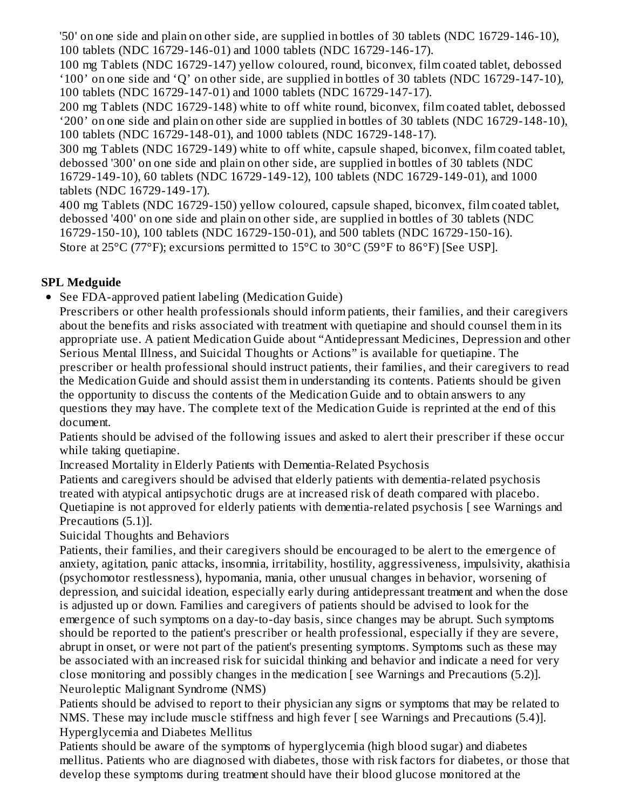'50' on one side and plain on other side, are supplied in bottles of 30 tablets (NDC 16729-146-10), 100 tablets (NDC 16729-146-01) and 1000 tablets (NDC 16729-146-17).

100 mg Tablets (NDC 16729-147) yellow coloured, round, biconvex, film coated tablet, debossed '100' on one side and 'Q' on other side, are supplied in bottles of 30 tablets (NDC 16729-147-10), 100 tablets (NDC 16729-147-01) and 1000 tablets (NDC 16729-147-17).

200 mg Tablets (NDC 16729-148) white to off white round, biconvex, film coated tablet, debossed '200' on one side and plain on other side are supplied in bottles of 30 tablets (NDC 16729-148-10), 100 tablets (NDC 16729-148-01), and 1000 tablets (NDC 16729-148-17).

300 mg Tablets (NDC 16729-149) white to off white, capsule shaped, biconvex, film coated tablet, debossed '300' on one side and plain on other side, are supplied in bottles of 30 tablets (NDC 16729-149-10), 60 tablets (NDC 16729-149-12), 100 tablets (NDC 16729-149-01), and 1000 tablets (NDC 16729-149-17).

400 mg Tablets (NDC 16729-150) yellow coloured, capsule shaped, biconvex, film coated tablet, debossed '400' on one side and plain on other side, are supplied in bottles of 30 tablets (NDC 16729-150-10), 100 tablets (NDC 16729-150-01), and 500 tablets (NDC 16729-150-16). Store at 25°C (77°F); excursions permitted to 15°C to 30°C (59°F to 86°F) [See USP].

# **SPL Medguide**

• See FDA-approved patient labeling (Medication Guide)

Prescribers or other health professionals should inform patients, their families, and their caregivers about the benefits and risks associated with treatment with quetiapine and should counsel them in its appropriate use. A patient Medication Guide about "Antidepressant Medicines, Depression and other Serious Mental Illness, and Suicidal Thoughts or Actions" is available for quetiapine. The prescriber or health professional should instruct patients, their families, and their caregivers to read the Medication Guide and should assist them in understanding its contents. Patients should be given the opportunity to discuss the contents of the Medication Guide and to obtain answers to any questions they may have. The complete text of the Medication Guide is reprinted at the end of this document.

Patients should be advised of the following issues and asked to alert their prescriber if these occur while taking quetiapine.

Increased Mortality in Elderly Patients with Dementia-Related Psychosis

Patients and caregivers should be advised that elderly patients with dementia-related psychosis treated with atypical antipsychotic drugs are at increased risk of death compared with placebo. Quetiapine is not approved for elderly patients with dementia-related psychosis [ see Warnings and Precautions (5.1)].

Suicidal Thoughts and Behaviors

Patients, their families, and their caregivers should be encouraged to be alert to the emergence of anxiety, agitation, panic attacks, insomnia, irritability, hostility, aggressiveness, impulsivity, akathisia (psychomotor restlessness), hypomania, mania, other unusual changes in behavior, worsening of depression, and suicidal ideation, especially early during antidepressant treatment and when the dose is adjusted up or down. Families and caregivers of patients should be advised to look for the emergence of such symptoms on a day-to-day basis, since changes may be abrupt. Such symptoms should be reported to the patient's prescriber or health professional, especially if they are severe, abrupt in onset, or were not part of the patient's presenting symptoms. Symptoms such as these may be associated with an increased risk for suicidal thinking and behavior and indicate a need for very close monitoring and possibly changes in the medication [ see Warnings and Precautions (5.2)]. Neuroleptic Malignant Syndrome (NMS)

Patients should be advised to report to their physician any signs or symptoms that may be related to NMS. These may include muscle stiffness and high fever [ see Warnings and Precautions (5.4)]. Hyperglycemia and Diabetes Mellitus

Patients should be aware of the symptoms of hyperglycemia (high blood sugar) and diabetes mellitus. Patients who are diagnosed with diabetes, those with risk factors for diabetes, or those that develop these symptoms during treatment should have their blood glucose monitored at the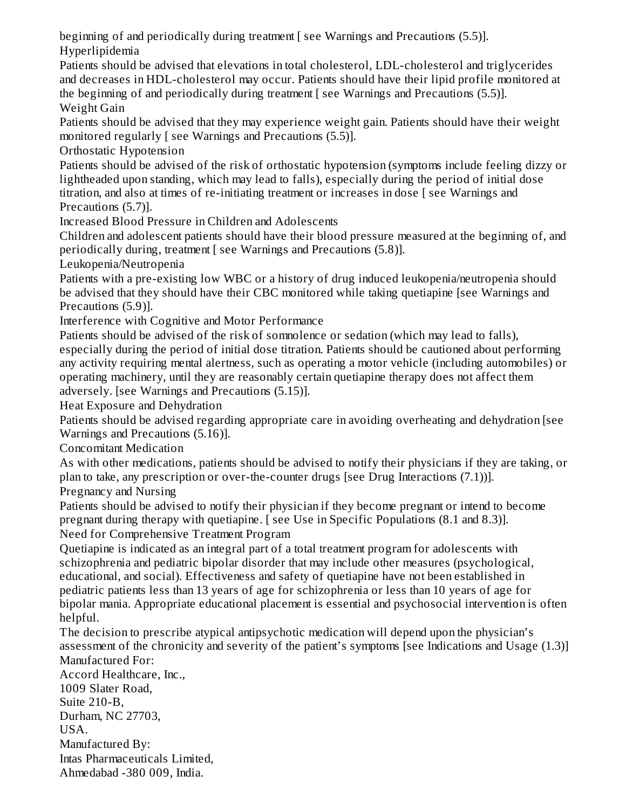beginning of and periodically during treatment [ see Warnings and Precautions (5.5)]. Hyperlipidemia

Patients should be advised that elevations in total cholesterol, LDL-cholesterol and triglycerides and decreases in HDL-cholesterol may occur. Patients should have their lipid profile monitored at the beginning of and periodically during treatment [ see Warnings and Precautions (5.5)]. Weight Gain

Patients should be advised that they may experience weight gain. Patients should have their weight monitored regularly [ see Warnings and Precautions (5.5)].

Orthostatic Hypotension

Patients should be advised of the risk of orthostatic hypotension (symptoms include feeling dizzy or lightheaded upon standing, which may lead to falls), especially during the period of initial dose titration, and also at times of re-initiating treatment or increases in dose [ see Warnings and Precautions (5.7)].

Increased Blood Pressure in Children and Adolescents

Children and adolescent patients should have their blood pressure measured at the beginning of, and periodically during, treatment [ see Warnings and Precautions (5.8)].

Leukopenia/Neutropenia

Patients with a pre-existing low WBC or a history of drug induced leukopenia/neutropenia should be advised that they should have their CBC monitored while taking quetiapine [see Warnings and Precautions (5.9)].

Interference with Cognitive and Motor Performance

Patients should be advised of the risk of somnolence or sedation (which may lead to falls), especially during the period of initial dose titration. Patients should be cautioned about performing any activity requiring mental alertness, such as operating a motor vehicle (including automobiles) or operating machinery, until they are reasonably certain quetiapine therapy does not affect them adversely. [see Warnings and Precautions (5.15)].

Heat Exposure and Dehydration

Patients should be advised regarding appropriate care in avoiding overheating and dehydration [see Warnings and Precautions (5.16)].

Concomitant Medication

As with other medications, patients should be advised to notify their physicians if they are taking, or plan to take, any prescription or over-the-counter drugs [see Drug Interactions (7.1))].

Pregnancy and Nursing

Patients should be advised to notify their physician if they become pregnant or intend to become pregnant during therapy with quetiapine. [ see Use in Specific Populations (8.1 and 8.3)]. Need for Comprehensive Treatment Program

Quetiapine is indicated as an integral part of a total treatment program for adolescents with schizophrenia and pediatric bipolar disorder that may include other measures (psychological, educational, and social). Effectiveness and safety of quetiapine have not been established in pediatric patients less than 13 years of age for schizophrenia or less than 10 years of age for bipolar mania. Appropriate educational placement is essential and psychosocial intervention is often helpful.

The decision to prescribe atypical antipsychotic medication will depend upon the physician's assessment of the chronicity and severity of the patient's symptoms [see Indications and Usage (1.3)] Manufactured For:

Accord Healthcare, Inc., 1009 Slater Road, Suite 210-B, Durham, NC 27703, USA. Manufactured By: Intas Pharmaceuticals Limited, Ahmedabad -380 009, India.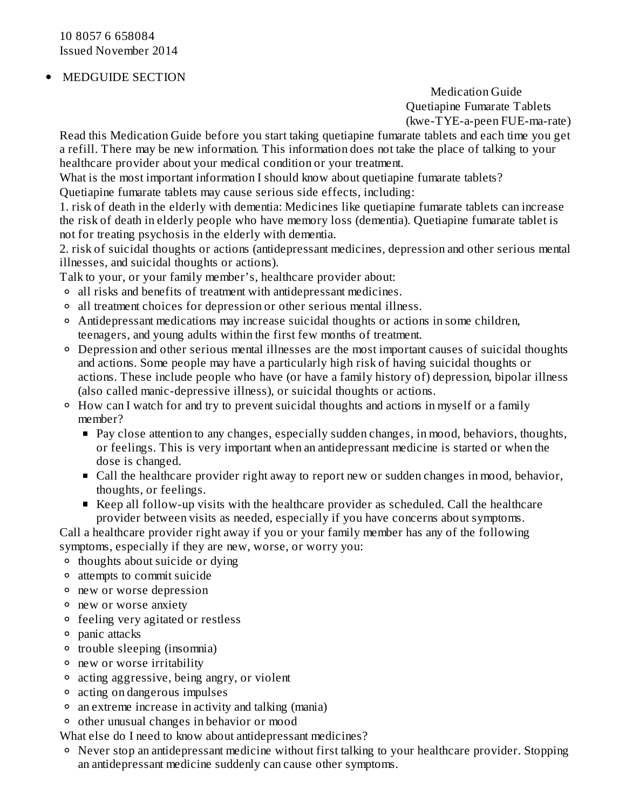$\bullet$ MEDGUIDE SECTION

Medication Guide Quetiapine Fumarate Tablets (kwe-TYE-a-peen FUE-ma-rate)

Read this Medication Guide before you start taking quetiapine fumarate tablets and each time you get a refill. There may be new information. This information does not take the place of talking to your healthcare provider about your medical condition or your treatment.

What is the most important information I should know about quetiapine fumarate tablets? Quetiapine fumarate tablets may cause serious side effects, including:

1. risk of death in the elderly with dementia: Medicines like quetiapine fumarate tablets can increase the risk of death in elderly people who have memory loss (dementia). Quetiapine fumarate tablet is not for treating psychosis in the elderly with dementia.

2. risk of suicidal thoughts or actions (antidepressant medicines, depression and other serious mental illnesses, and suicidal thoughts or actions).

Talk to your, or your family member's, healthcare provider about:

- all risks and benefits of treatment with antidepressant medicines.
- all treatment choices for depression or other serious mental illness.
- Antidepressant medications may increase suicidal thoughts or actions in some children, teenagers, and young adults within the first few months of treatment.
- Depression and other serious mental illnesses are the most important causes of suicidal thoughts and actions. Some people may have a particularly high risk of having suicidal thoughts or actions. These include people who have (or have a family history of) depression, bipolar illness (also called manic-depressive illness), or suicidal thoughts or actions.
- How can I watch for and try to prevent suicidal thoughts and actions in myself or a family member?
	- **Pay close attention to any changes, especially sudden changes, in mood, behaviors, thoughts,** or feelings. This is very important when an antidepressant medicine is started or when the dose is changed.
	- Call the healthcare provider right away to report new or sudden changes in mood, behavior, thoughts, or feelings.
	- Keep all follow-up visits with the healthcare provider as scheduled. Call the healthcare provider between visits as needed, especially if you have concerns about symptoms.

Call a healthcare provider right away if you or your family member has any of the following symptoms, especially if they are new, worse, or worry you:

- <sup>o</sup> thoughts about suicide or dying
- attempts to commit suicide
- new or worse depression
- new or worse anxiety
- feeling very agitated or restless
- panic attacks
- trouble sleeping (insomnia)
- new or worse irritability
- acting aggressive, being angry, or violent
- acting on dangerous impulses
- an extreme increase in activity and talking (mania)
- other unusual changes in behavior or mood

What else do I need to know about antidepressant medicines?

Never stop an antidepressant medicine without first talking to your healthcare provider. Stopping an antidepressant medicine suddenly can cause other symptoms.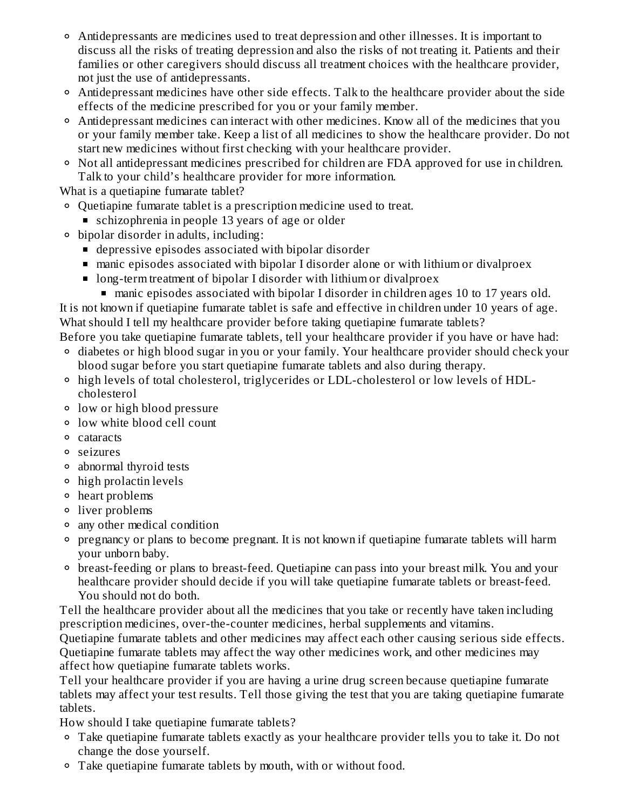- Antidepressants are medicines used to treat depression and other illnesses. It is important to discuss all the risks of treating depression and also the risks of not treating it. Patients and their families or other caregivers should discuss all treatment choices with the healthcare provider, not just the use of antidepressants.
- Antidepressant medicines have other side effects. Talk to the healthcare provider about the side effects of the medicine prescribed for you or your family member.
- Antidepressant medicines can interact with other medicines. Know all of the medicines that you or your family member take. Keep a list of all medicines to show the healthcare provider. Do not start new medicines without first checking with your healthcare provider.
- Not all antidepressant medicines prescribed for children are FDA approved for use in children. Talk to your child's healthcare provider for more information.

What is a quetiapine fumarate tablet?

- Quetiapine fumarate tablet is a prescription medicine used to treat.
	- schizophrenia in people 13 years of age or older
- bipolar disorder in adults, including:
	- depressive episodes associated with bipolar disorder
	- manic episodes associated with bipolar I disorder alone or with lithium or divalproex
	- **Iong-term treatment of bipolar I disorder with lithium or divalproex** 
		- manic episodes associated with bipolar I disorder in children ages 10 to 17 years old.

It is not known if quetiapine fumarate tablet is safe and effective in children under 10 years of age. What should I tell my healthcare provider before taking quetiapine fumarate tablets?

Before you take quetiapine fumarate tablets, tell your healthcare provider if you have or have had: <sup>o</sup> diabetes or high blood sugar in you or your family. Your healthcare provider should check your

- blood sugar before you start quetiapine fumarate tablets and also during therapy.
- high levels of total cholesterol, triglycerides or LDL-cholesterol or low levels of HDLcholesterol
- low or high blood pressure
- low white blood cell count
- cataracts
- seizures
- abnormal thyroid tests
- high prolactin levels
- heart problems
- liver problems
- any other medical condition
- pregnancy or plans to become pregnant. It is not known if quetiapine fumarate tablets will harm your unborn baby.
- breast-feeding or plans to breast-feed. Quetiapine can pass into your breast milk. You and your healthcare provider should decide if you will take quetiapine fumarate tablets or breast-feed. You should not do both.

Tell the healthcare provider about all the medicines that you take or recently have taken including prescription medicines, over-the-counter medicines, herbal supplements and vitamins.

Quetiapine fumarate tablets and other medicines may affect each other causing serious side effects. Quetiapine fumarate tablets may affect the way other medicines work, and other medicines may affect how quetiapine fumarate tablets works.

Tell your healthcare provider if you are having a urine drug screen because quetiapine fumarate tablets may affect your test results. Tell those giving the test that you are taking quetiapine fumarate tablets.

How should I take quetiapine fumarate tablets?

- Take quetiapine fumarate tablets exactly as your healthcare provider tells you to take it. Do not change the dose yourself.
- Take quetiapine fumarate tablets by mouth, with or without food.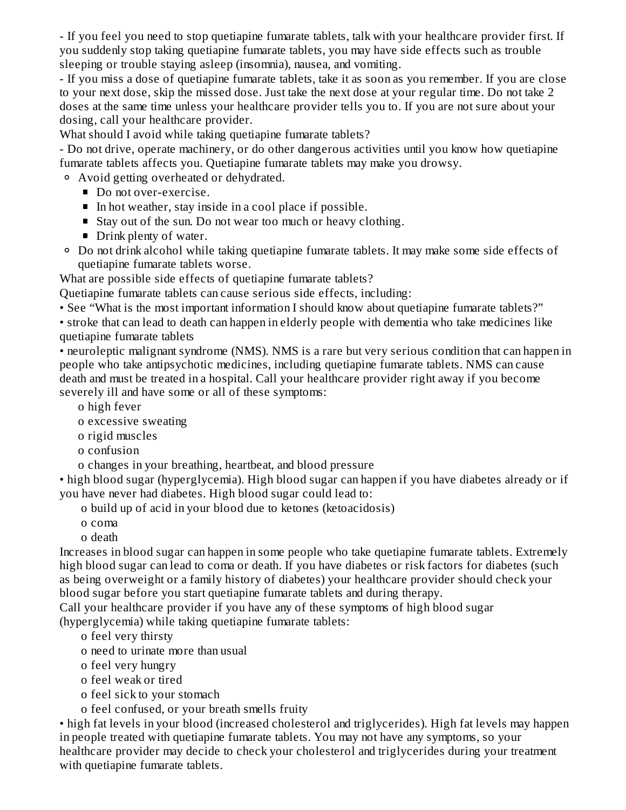- If you feel you need to stop quetiapine fumarate tablets, talk with your healthcare provider first. If you suddenly stop taking quetiapine fumarate tablets, you may have side effects such as trouble sleeping or trouble staying asleep (insomnia), nausea, and vomiting.

- If you miss a dose of quetiapine fumarate tablets, take it as soon as you remember. If you are close to your next dose, skip the missed dose. Just take the next dose at your regular time. Do not take 2 doses at the same time unless your healthcare provider tells you to. If you are not sure about your dosing, call your healthcare provider.

What should I avoid while taking quetiapine fumarate tablets?

- Do not drive, operate machinery, or do other dangerous activities until you know how quetiapine fumarate tablets affects you. Quetiapine fumarate tablets may make you drowsy.

Avoid getting overheated or dehydrated.

- Do not over-exercise.
- In hot weather, stay inside in a cool place if possible.
- Stay out of the sun. Do not wear too much or heavy clothing.
- **Drink plenty of water.**
- Do not drink alcohol while taking quetiapine fumarate tablets. It may make some side effects of quetiapine fumarate tablets worse.

What are possible side effects of quetiapine fumarate tablets?

Quetiapine fumarate tablets can cause serious side effects, including:

• See "What is the most important information I should know about quetiapine fumarate tablets?"

• stroke that can lead to death can happen in elderly people with dementia who take medicines like quetiapine fumarate tablets

• neuroleptic malignant syndrome (NMS). NMS is a rare but very serious condition that can happen in people who take antipsychotic medicines, including quetiapine fumarate tablets. NMS can cause death and must be treated in a hospital. Call your healthcare provider right away if you become severely ill and have some or all of these symptoms:

o high fever

o excessive sweating

- o rigid muscles
- o confusion

o changes in your breathing, heartbeat, and blood pressure

• high blood sugar (hyperglycemia). High blood sugar can happen if you have diabetes already or if you have never had diabetes. High blood sugar could lead to:

o build up of acid in your blood due to ketones (ketoacidosis)

o coma

o death

Increases in blood sugar can happen in some people who take quetiapine fumarate tablets. Extremely high blood sugar can lead to coma or death. If you have diabetes or risk factors for diabetes (such as being overweight or a family history of diabetes) your healthcare provider should check your blood sugar before you start quetiapine fumarate tablets and during therapy.

Call your healthcare provider if you have any of these symptoms of high blood sugar (hyperglycemia) while taking quetiapine fumarate tablets:

- o feel very thirsty
- o need to urinate more than usual
- o feel very hungry
- o feel weak or tired
- o feel sick to your stomach
- o feel confused, or your breath smells fruity

• high fat levels in your blood (increased cholesterol and triglycerides). High fat levels may happen in people treated with quetiapine fumarate tablets. You may not have any symptoms, so your healthcare provider may decide to check your cholesterol and triglycerides during your treatment with quetiapine fumarate tablets.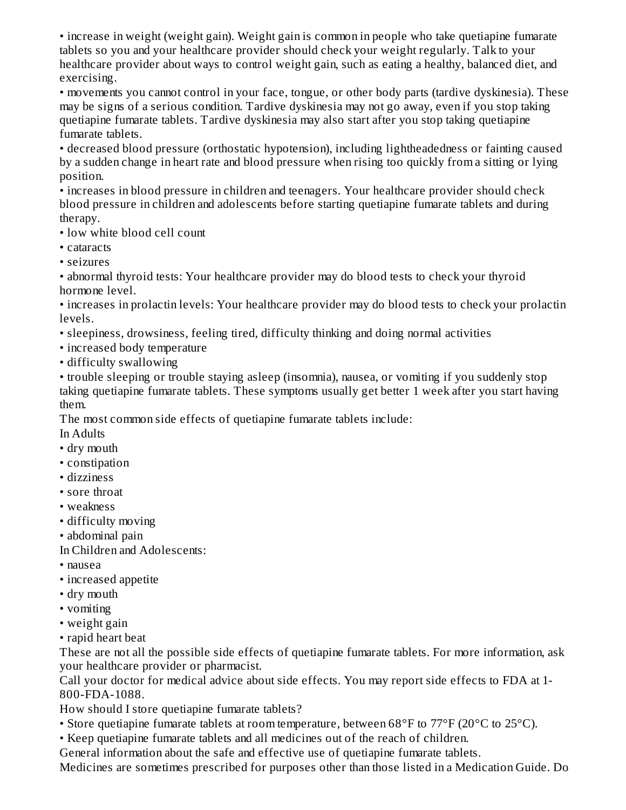• increase in weight (weight gain). Weight gain is common in people who take quetiapine fumarate tablets so you and your healthcare provider should check your weight regularly. Talk to your healthcare provider about ways to control weight gain, such as eating a healthy, balanced diet, and exercising.

• movements you cannot control in your face, tongue, or other body parts (tardive dyskinesia). These may be signs of a serious condition. Tardive dyskinesia may not go away, even if you stop taking quetiapine fumarate tablets. Tardive dyskinesia may also start after you stop taking quetiapine fumarate tablets.

• decreased blood pressure (orthostatic hypotension), including lightheadedness or fainting caused by a sudden change in heart rate and blood pressure when rising too quickly from a sitting or lying position.

• increases in blood pressure in children and teenagers. Your healthcare provider should check blood pressure in children and adolescents before starting quetiapine fumarate tablets and during therapy.

- low white blood cell count
- cataracts
- seizures

• abnormal thyroid tests: Your healthcare provider may do blood tests to check your thyroid hormone level.

• increases in prolactin levels: Your healthcare provider may do blood tests to check your prolactin levels.

- sleepiness, drowsiness, feeling tired, difficulty thinking and doing normal activities
- increased body temperature
- difficulty swallowing

• trouble sleeping or trouble staying asleep (insomnia), nausea, or vomiting if you suddenly stop taking quetiapine fumarate tablets. These symptoms usually get better 1 week after you start having them.

The most common side effects of quetiapine fumarate tablets include:

In Adults

- dry mouth
- constipation
- dizziness
- sore throat
- weakness
- difficulty moving
- abdominal pain

In Children and Adolescents:

- nausea
- increased appetite
- dry mouth
- vomiting
- weight gain
- rapid heart beat

These are not all the possible side effects of quetiapine fumarate tablets. For more information, ask your healthcare provider or pharmacist.

Call your doctor for medical advice about side effects. You may report side effects to FDA at 1- 800-FDA-1088.

How should I store quetiapine fumarate tablets?

- Store quetiapine fumarate tablets at room temperature, between 68°F to 77°F (20°C to 25°C).
- Keep quetiapine fumarate tablets and all medicines out of the reach of children.
- General information about the safe and effective use of quetiapine fumarate tablets.

Medicines are sometimes prescribed for purposes other than those listed in a Medication Guide. Do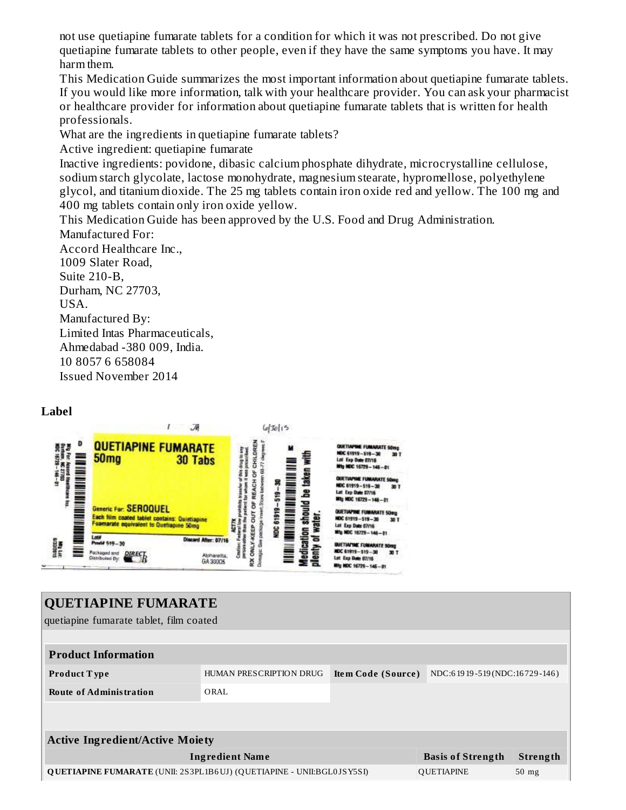not use quetiapine fumarate tablets for a condition for which it was not prescribed. Do not give quetiapine fumarate tablets to other people, even if they have the same symptoms you have. It may harm them.

This Medication Guide summarizes the most important information about quetiapine fumarate tablets. If you would like more information, talk with your healthcare provider. You can ask your pharmacist or healthcare provider for information about quetiapine fumarate tablets that is written for health professionals.

What are the ingredients in quetiapine fumarate tablets?

Active ingredient: quetiapine fumarate

Inactive ingredients: povidone, dibasic calcium phosphate dihydrate, microcrystalline cellulose, sodium starch glycolate, lactose monohydrate, magnesium stearate, hypromellose, polyethylene glycol, and titanium dioxide. The 25 mg tablets contain iron oxide red and yellow. The 100 mg and 400 mg tablets contain only iron oxide yellow.

This Medication Guide has been approved by the U.S. Food and Drug Administration. Manufactured For:

Accord Healthcare Inc., 1009 Slater Road, Suite 210-B, Durham, NC 27703, USA. Manufactured By: Limited Intas Pharmaceuticals, Ahmedabad -380 009, India. 10 8057 6 658084 Issued November 2014

#### **Label**



# **QUETIAPINE FUMARATE**

quetiapine fumarate tablet, film coated **Product Information Product T ype** HUMAN PRESCRIPTION DRUG **Ite m Code (Source )** NDC:6 19 19 -519 (NDC:16 729 -146 ) **Route of Administration** ORAL **Active Ingredient/Active Moiety Ingredient Name Basis of Strength Strength QUETIAPINE FUMARATE** (UNII: 2S3PL1B6UJ) (QUETIAPINE - UNII:BGL0JSY5SI) QUETIAPINE 50 mg